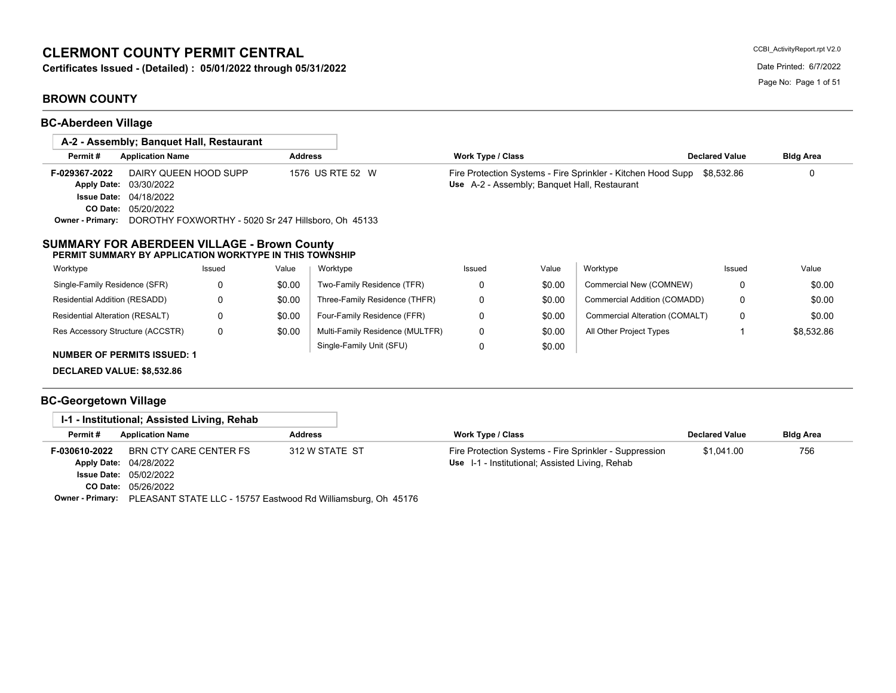# **CLERMONT COUNTY PERMIT CENTRAL**

**Certificates Issued - (Detailed) : 05/01/2022 through 05/31/2022** Date Printed: 6/7/2022

# **BROWN COUNTY**

**BC-Aberdeen Village**

|                                                                       |                                                                 | A-2 - Assembly: Banguet Hall, Restaurant                                                                      |                |                                 |                          |        |                                                                                                              |                       |                  |
|-----------------------------------------------------------------------|-----------------------------------------------------------------|---------------------------------------------------------------------------------------------------------------|----------------|---------------------------------|--------------------------|--------|--------------------------------------------------------------------------------------------------------------|-----------------------|------------------|
| Permit#                                                               | <b>Application Name</b>                                         |                                                                                                               | <b>Address</b> |                                 | <b>Work Type / Class</b> |        |                                                                                                              | <b>Declared Value</b> | <b>Bldg Area</b> |
| F-029367-2022<br><b>Apply Date:</b><br><b>Issue Date:</b><br>CO Date: | DAIRY QUEEN HOOD SUPP<br>03/30/2022<br>04/18/2022<br>05/20/2022 |                                                                                                               |                | 1576 US RTE 52 W                |                          |        | Fire Protection Systems - Fire Sprinkler - Kitchen Hood Supp<br>Use A-2 - Assembly; Banquet Hall, Restaurant | \$8,532.86            | $\Omega$         |
| <b>Owner - Primary:</b>                                               |                                                                 | DOROTHY FOXWORTHY - 5020 Sr 247 Hillsboro, Oh 45133                                                           |                |                                 |                          |        |                                                                                                              |                       |                  |
| Worktype                                                              |                                                                 | Issued                                                                                                        | Value          | Worktype                        | Issued                   | Value  | Worktype                                                                                                     | Issued                | Value            |
|                                                                       |                                                                 | <b>SUMMARY FOR ABERDEEN VILLAGE - Brown County</b><br>PERMIT SUMMARY BY APPLICATION WORKTYPE IN THIS TOWNSHIP |                |                                 |                          |        |                                                                                                              |                       |                  |
| Single-Family Residence (SFR)                                         |                                                                 | $\mathbf 0$                                                                                                   | \$0.00         | Two-Family Residence (TFR)      | 0                        | \$0.00 | Commercial New (COMNEW)                                                                                      | 0                     | \$0.00           |
|                                                                       |                                                                 |                                                                                                               |                |                                 |                          |        |                                                                                                              |                       |                  |
| Residential Addition (RESADD)                                         |                                                                 | 0                                                                                                             | \$0.00         | Three-Family Residence (THFR)   | 0                        | \$0.00 | Commercial Addition (COMADD)                                                                                 | 0                     | \$0.00           |
| Residential Alteration (RESALT)                                       |                                                                 | 0                                                                                                             | \$0.00         | Four-Family Residence (FFR)     | 0                        | \$0.00 | Commercial Alteration (COMALT)                                                                               | 0                     | \$0.00           |
|                                                                       | Res Accessory Structure (ACCSTR)                                | 0                                                                                                             | \$0.00         | Multi-Family Residence (MULTFR) | 0                        | \$0.00 | All Other Project Types                                                                                      |                       | \$8,532.86       |
|                                                                       | <b>NUMBER OF PERMITS ISSUED: 1</b>                              |                                                                                                               |                | Single-Family Unit (SFU)        | 0                        | \$0.00 |                                                                                                              |                       |                  |
| <b>DECLARED VALUE: \$8,532.86</b>                                     |                                                                 |                                                                                                               |                |                                 |                          |        |                                                                                                              |                       |                  |

# **BC-Georgetown Village**

|               | I-1 - Institutional; Assisted Living, Rehab                                    |                |                                                        |                       |                  |
|---------------|--------------------------------------------------------------------------------|----------------|--------------------------------------------------------|-----------------------|------------------|
| Permit#       | <b>Application Name</b>                                                        | <b>Address</b> | Work Type / Class                                      | <b>Declared Value</b> | <b>Bldg Area</b> |
| F-030610-2022 | BRN CTY CARE CENTER FS                                                         | 312 W STATE ST | Fire Protection Systems - Fire Sprinkler - Suppression | \$1.041.00            | 756              |
|               | <b>Apply Date: 04/28/2022</b>                                                  |                | Use I-1 - Institutional; Assisted Living, Rehab        |                       |                  |
|               | <b>Issue Date: 05/02/2022</b>                                                  |                |                                                        |                       |                  |
|               | <b>CO Date: 05/26/2022</b>                                                     |                |                                                        |                       |                  |
|               | Owner - Primary: PLEASANT STATE LLC - 15757 Eastwood Rd Williamsburg, Oh 45176 |                |                                                        |                       |                  |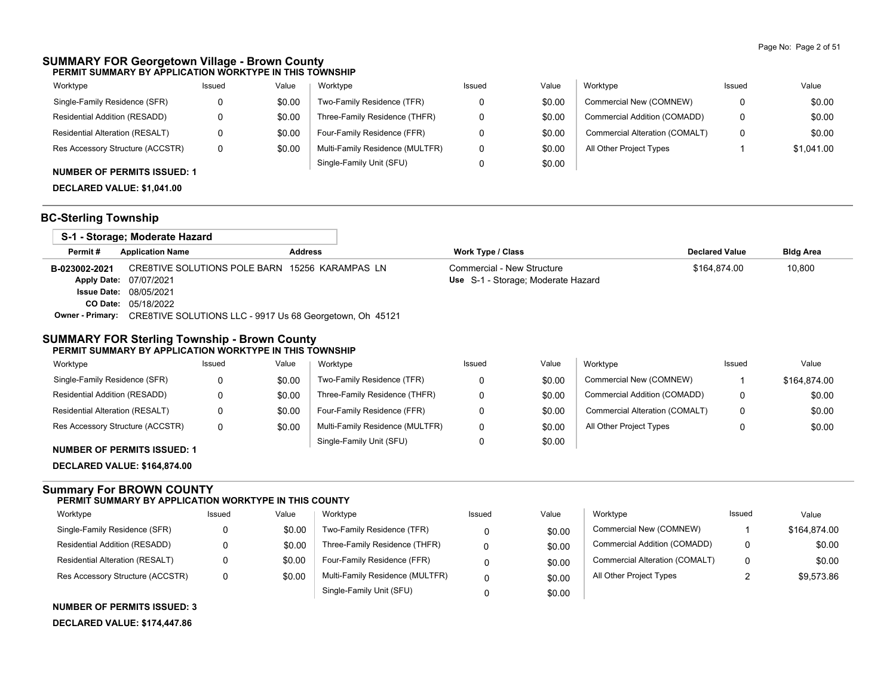### **SUMMARY FOR Georgetown Village - Brown County PERMIT SUMMARY BY APPLICATION WORKTYPE IN THIS TOWNSHIP**

| Worktype                               | Issued | Value  | Worktype                        | Issued | Value  | Worktype                       | Issued | Value      |
|----------------------------------------|--------|--------|---------------------------------|--------|--------|--------------------------------|--------|------------|
| Single-Family Residence (SFR)          |        | \$0.00 | Two-Family Residence (TFR)      |        | \$0.00 | Commercial New (COMNEW)        | 0      | \$0.00     |
| Residential Addition (RESADD)          |        | \$0.00 | Three-Family Residence (THFR)   |        | \$0.00 | Commercial Addition (COMADD)   | 0      | \$0.00     |
| <b>Residential Alteration (RESALT)</b> |        | \$0.00 | Four-Family Residence (FFR)     |        | \$0.00 | Commercial Alteration (COMALT) | 0      | \$0.00     |
| Res Accessory Structure (ACCSTR)       | 0      | \$0.00 | Multi-Family Residence (MULTFR) |        | \$0.00 | All Other Project Types        |        | \$1.041.00 |
| <b>NUMBER OF PERMITS ISSUED: 1</b>     |        |        | Single-Family Unit (SFU)        |        | \$0.00 |                                |        |            |

**DECLARED VALUE: \$1,041.00**

### **BC-Sterling Township**

|               | S-1 - Storage; Moderate Hazard                                                   |                |                                    |                       |                  |
|---------------|----------------------------------------------------------------------------------|----------------|------------------------------------|-----------------------|------------------|
| Permit#       | <b>Application Name</b>                                                          | <b>Address</b> | <b>Work Type / Class</b>           | <b>Declared Value</b> | <b>Bldg Area</b> |
| B-023002-2021 | CRE8TIVE SOLUTIONS POLE BARN 15256 KARAMPAS LN                                   |                | Commercial - New Structure         | \$164.874.00          | 10,800           |
|               | Apply Date: 07/07/2021                                                           |                | Use S-1 - Storage; Moderate Hazard |                       |                  |
|               | <b>Issue Date: 08/05/2021</b>                                                    |                |                                    |                       |                  |
|               | <b>CO Date: 05/18/2022</b>                                                       |                |                                    |                       |                  |
|               | <b>Owner - Primary:</b> CRE8TIVE SOLUTIONS LLC - 9917 Us 68 Georgetown, Oh 45121 |                |                                    |                       |                  |

#### **SUMMARY FOR Sterling Township - Brown County PERMIT SUMMARY BY APPLICATION WORKTYPE IN THIS TOWNSHIP**

| Worktype                         | Issued | Value  | Worktype                        | Issued | Value  | Worktype                       | Issued | Value        |
|----------------------------------|--------|--------|---------------------------------|--------|--------|--------------------------------|--------|--------------|
| Single-Family Residence (SFR)    |        | \$0.00 | Two-Family Residence (TFR)      |        | \$0.00 | Commercial New (COMNEW)        |        | \$164.874.00 |
| Residential Addition (RESADD)    |        | \$0.00 | Three-Family Residence (THFR)   |        | \$0.00 | Commercial Addition (COMADD)   |        | \$0.00       |
| Residential Alteration (RESALT)  |        | \$0.00 | Four-Family Residence (FFR)     |        | \$0.00 | Commercial Alteration (COMALT) | 0      | \$0.00       |
| Res Accessory Structure (ACCSTR) |        | \$0.00 | Multi-Family Residence (MULTFR) |        | \$0.00 | All Other Project Types        |        | \$0.00       |
|                                  |        |        | Single-Family Unit (SFU)        |        | \$0.00 |                                |        |              |

**NUMBER OF PERMITS ISSUED: 1**

**DECLARED VALUE: \$164,874.00**

#### **Summary For BROWN COUNTY PERMIT SUMMARY BY APPLICATION WORKTYPE IN THIS COUNTY**

| Worktype                               | Issued | Value  | Worktype                        | Issued | Value  | Worktype                       | Issued | Value        |
|----------------------------------------|--------|--------|---------------------------------|--------|--------|--------------------------------|--------|--------------|
| Single-Family Residence (SFR)          |        | \$0.00 | Two-Family Residence (TFR)      |        | \$0.00 | Commercial New (COMNEW)        |        | \$164,874.00 |
| Residential Addition (RESADD)          |        | \$0.00 | Three-Family Residence (THFR)   |        | \$0.00 | Commercial Addition (COMADD)   | 0      | \$0.00       |
| <b>Residential Alteration (RESALT)</b> |        | \$0.00 | Four-Family Residence (FFR)     |        | \$0.00 | Commercial Alteration (COMALT) | 0      | \$0.00       |
| Res Accessory Structure (ACCSTR)       |        | \$0.00 | Multi-Family Residence (MULTFR) |        | \$0.00 | All Other Project Types        |        | \$9.573.86   |
|                                        |        |        | Single-Family Unit (SFU)        |        | \$0.00 |                                |        |              |

**NUMBER OF PERMITS ISSUED: 3**

**DECLARED VALUE: \$174,447.86**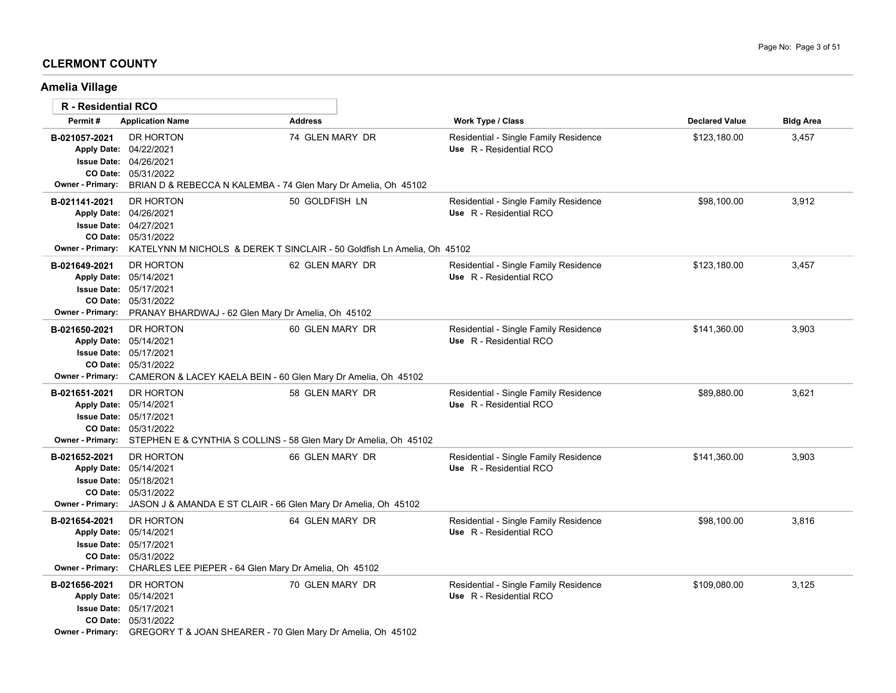## **CLERMONT COUNTY**

# **Amelia Village**

| R - Residential RCO                      |                                                                                                                                                                                    |                                                                                           |                                                                  |                       |                  |
|------------------------------------------|------------------------------------------------------------------------------------------------------------------------------------------------------------------------------------|-------------------------------------------------------------------------------------------|------------------------------------------------------------------|-----------------------|------------------|
| Permit#                                  | <b>Application Name</b>                                                                                                                                                            | <b>Address</b>                                                                            | Work Type / Class                                                | <b>Declared Value</b> | <b>Bldg Area</b> |
| B-021057-2021<br><b>Owner - Primary:</b> | DR HORTON<br>Apply Date: 04/22/2021<br><b>Issue Date: 04/26/2021</b><br>CO Date: 05/31/2022<br>BRIAN D & REBECCA N KALEMBA - 74 Glen Mary Dr Amelia, Oh 45102                      | 74 GLEN MARY DR                                                                           | Residential - Single Family Residence<br>Use R - Residential RCO | \$123,180.00          | 3,457            |
| B-021141-2021<br><b>Owner - Primary:</b> | DR HORTON<br>Apply Date: 04/26/2021<br><b>Issue Date: 04/27/2021</b><br>CO Date: 05/31/2022                                                                                        | 50 GOLDFISH LN<br>KATELYNN M NICHOLS & DEREK T SINCLAIR - 50 Goldfish Ln Amelia, Oh 45102 | Residential - Single Family Residence<br>Use R - Residential RCO | \$98,100.00           | 3,912            |
| B-021649-2021<br><b>Owner - Primary:</b> | DR HORTON<br>Apply Date: 05/14/2021<br><b>Issue Date: 05/17/2021</b><br>CO Date: 05/31/2022<br>PRANAY BHARDWAJ - 62 Glen Mary Dr Amelia, Oh 45102                                  | 62 GLEN MARY DR                                                                           | Residential - Single Family Residence<br>Use R - Residential RCO | \$123,180.00          | 3,457            |
| B-021650-2021<br><b>Owner - Primary:</b> | DR HORTON<br>Apply Date: 05/14/2021<br><b>Issue Date: 05/17/2021</b><br>CO Date: 05/31/2022<br>CAMERON & LACEY KAELA BEIN - 60 Glen Mary Dr Amelia, Oh 45102                       | 60 GLEN MARY DR                                                                           | Residential - Single Family Residence<br>Use R - Residential RCO | \$141.360.00          | 3,903            |
| B-021651-2021<br><b>Owner - Primary:</b> | DR HORTON<br>Apply Date: 05/14/2021<br><b>Issue Date: 05/17/2021</b><br>CO Date: 05/31/2022<br>STEPHEN E & CYNTHIA S COLLINS - 58 Glen Mary Dr Amelia, Oh 45102                    | 58 GLEN MARY DR                                                                           | Residential - Single Family Residence<br>Use R - Residential RCO | \$89,880.00           | 3,621            |
| B-021652-2021<br>Owner - Primary:        | DR HORTON<br>Apply Date: 05/14/2021<br><b>Issue Date: 05/18/2021</b><br>CO Date: 05/31/2022<br>JASON J & AMANDA E ST CLAIR - 66 Glen Mary Dr Amelia, Oh 45102                      | 66 GLEN MARY DR                                                                           | Residential - Single Family Residence<br>Use R - Residential RCO | \$141,360.00          | 3,903            |
| B-021654-2021<br><b>Owner - Primary:</b> | DR HORTON<br>Apply Date: 05/14/2021<br><b>Issue Date: 05/17/2021</b><br>CO Date: 05/31/2022<br>CHARLES LEE PIEPER - 64 Glen Mary Dr Amelia, Oh 45102                               | 64 GLEN MARY DR                                                                           | Residential - Single Family Residence<br>Use R - Residential RCO | \$98,100.00           | 3,816            |
| B-021656-2021                            | DR HORTON<br>Apply Date: 05/14/2021<br><b>Issue Date: 05/17/2021</b><br><b>CO Date: 05/31/2022</b><br>Owner - Primary: GREGORY T & JOAN SHEARER - 70 Glen Mary Dr Amelia, Oh 45102 | 70 GLEN MARY DR                                                                           | Residential - Single Family Residence<br>Use R - Residential RCO | \$109,080.00          | 3,125            |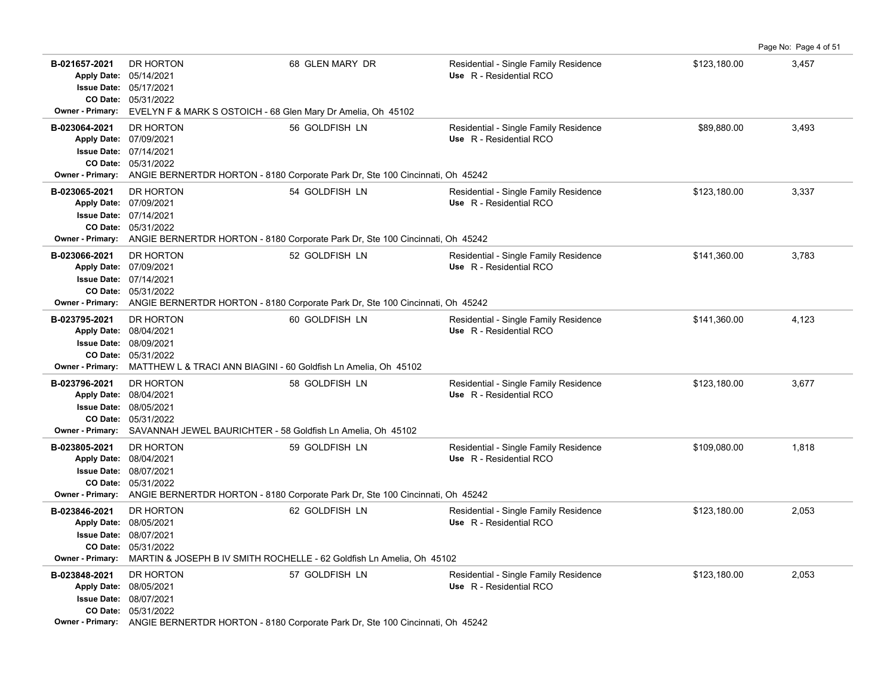|                                                                    |                                                                                                                                                                              |                                                                                         |                                                                  |              | Page No: Page 4 of 51 |
|--------------------------------------------------------------------|------------------------------------------------------------------------------------------------------------------------------------------------------------------------------|-----------------------------------------------------------------------------------------|------------------------------------------------------------------|--------------|-----------------------|
| B-021657-2021<br>Apply Date: 05/14/2021<br><b>Owner - Primary:</b> | DR HORTON<br><b>Issue Date: 05/17/2021</b><br>CO Date: 05/31/2022<br>EVELYN F & MARK S OSTOICH - 68 Glen Mary Dr Amelia, Oh 45102                                            | 68 GLEN MARY DR                                                                         | Residential - Single Family Residence<br>Use R - Residential RCO | \$123,180.00 | 3,457                 |
| B-023064-2021<br>Apply Date: 07/09/2021<br><b>Owner - Primary:</b> | DR HORTON<br><b>Issue Date: 07/14/2021</b><br>CO Date: 05/31/2022<br>ANGIE BERNERTDR HORTON - 8180 Corporate Park Dr, Ste 100 Cincinnati, Oh 45242                           | 56 GOLDFISH LN                                                                          | Residential - Single Family Residence<br>Use R - Residential RCO | \$89,880.00  | 3,493                 |
| B-023065-2021<br><b>Owner - Primary:</b>                           | DR HORTON<br>Apply Date: 07/09/2021<br><b>Issue Date: 07/14/2021</b><br>CO Date: 05/31/2022<br>ANGIE BERNERTDR HORTON - 8180 Corporate Park Dr, Ste 100 Cincinnati, Oh 45242 | 54 GOLDFISH LN                                                                          | Residential - Single Family Residence<br>Use R - Residential RCO | \$123,180.00 | 3,337                 |
| B-023066-2021<br>Apply Date: 07/09/2021<br><b>Owner - Primary:</b> | DR HORTON<br><b>Issue Date: 07/14/2021</b><br>CO Date: 05/31/2022<br>ANGIE BERNERTDR HORTON - 8180 Corporate Park Dr, Ste 100 Cincinnati, Oh 45242                           | 52 GOLDFISH LN                                                                          | Residential - Single Family Residence<br>Use R - Residential RCO | \$141,360.00 | 3,783                 |
| B-023795-2021<br><b>Owner - Primary:</b>                           | <b>DR HORTON</b><br>Apply Date: 08/04/2021<br><b>Issue Date: 08/09/2021</b><br>CO Date: 05/31/2022<br>MATTHEW L & TRACI ANN BIAGINI - 60 Goldfish Ln Amelia, Oh 45102        | 60 GOLDFISH LN                                                                          | Residential - Single Family Residence<br>Use R - Residential RCO | \$141,360.00 | 4,123                 |
| B-023796-2021<br>Owner - Primary:                                  | DR HORTON<br>Apply Date: 08/04/2021<br><b>Issue Date: 08/05/2021</b><br>CO Date: 05/31/2022<br>SAVANNAH JEWEL BAURICHTER - 58 Goldfish Ln Amelia, Oh 45102                   | 58 GOLDFISH LN                                                                          | Residential - Single Family Residence<br>Use R - Residential RCO | \$123,180.00 | 3,677                 |
| B-023805-2021<br>Apply Date: 08/04/2021<br><b>Owner - Primary:</b> | DR HORTON<br><b>Issue Date: 08/07/2021</b><br>CO Date: 05/31/2022<br>ANGIE BERNERTDR HORTON - 8180 Corporate Park Dr, Ste 100 Cincinnati, Oh 45242                           | 59 GOLDFISH LN                                                                          | Residential - Single Family Residence<br>Use R - Residential RCO | \$109,080.00 | 1,818                 |
| B-023846-2021<br>Apply Date: 08/05/2021<br><b>Owner - Primary:</b> | DR HORTON<br><b>Issue Date: 08/07/2021</b><br>CO Date: 05/31/2022                                                                                                            | 62 GOLDFISH LN<br>MARTIN & JOSEPH B IV SMITH ROCHELLE - 62 Goldfish Ln Amelia, Oh 45102 | Residential - Single Family Residence<br>Use R - Residential RCO | \$123,180.00 | 2,053                 |
| B-023848-2021<br>Apply Date: 08/05/2021                            | DR HORTON<br><b>Issue Date: 08/07/2021</b><br>CO Date: 05/31/2022<br>Owner - Primary: ANGIE BERNERTDR HORTON - 8180 Corporate Park Dr, Ste 100 Cincinnati, Oh 45242          | 57 GOLDFISH LN                                                                          | Residential - Single Family Residence<br>Use R - Residential RCO | \$123,180.00 | 2,053                 |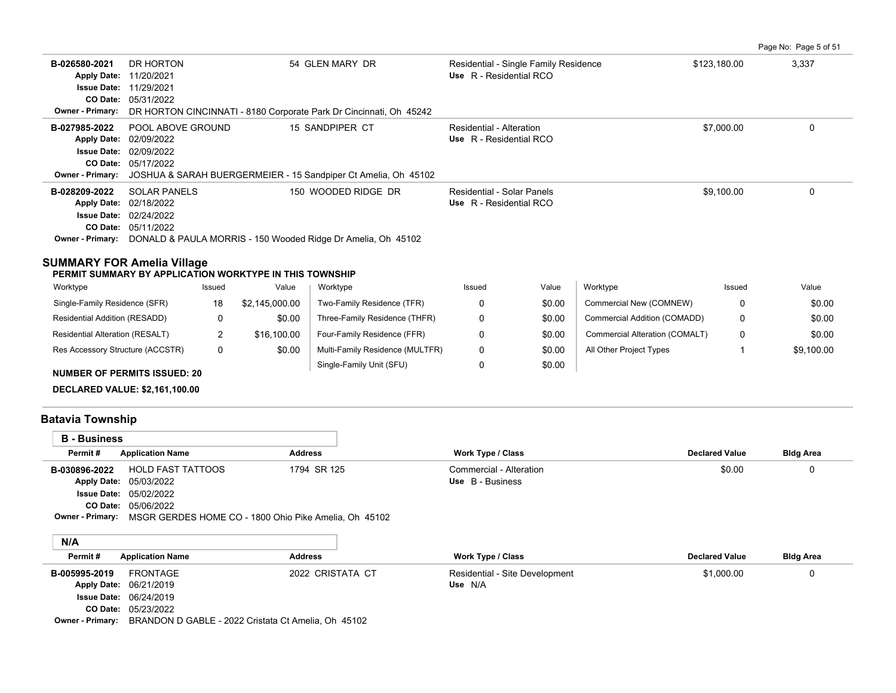|                         |                                                                    |                                                                |                                       |              | Page No: Page 5 of 51 |  |  |  |  |  |
|-------------------------|--------------------------------------------------------------------|----------------------------------------------------------------|---------------------------------------|--------------|-----------------------|--|--|--|--|--|
| B-026580-2021           | DR HORTON                                                          | 54 GLEN MARY DR                                                | Residential - Single Family Residence | \$123,180.00 | 3,337                 |  |  |  |  |  |
|                         | Apply Date: 11/20/2021                                             |                                                                | Use R - Residential RCO               |              |                       |  |  |  |  |  |
|                         | <b>Issue Date: 11/29/2021</b>                                      |                                                                |                                       |              |                       |  |  |  |  |  |
|                         | CO Date: 05/31/2022                                                |                                                                |                                       |              |                       |  |  |  |  |  |
| <b>Owner - Primary:</b> | DR HORTON CINCINNATI - 8180 Corporate Park Dr Cincinnati, Oh 45242 |                                                                |                                       |              |                       |  |  |  |  |  |
| B-027985-2022           | POOL ABOVE GROUND                                                  | 15 SANDPIPER CT                                                | Residential - Alteration              | \$7,000.00   | 0                     |  |  |  |  |  |
|                         | Apply Date: 02/09/2022                                             |                                                                | Use R - Residential RCO               |              |                       |  |  |  |  |  |
| <b>Issue Date:</b>      | 02/09/2022                                                         |                                                                |                                       |              |                       |  |  |  |  |  |
|                         | CO Date: 05/17/2022                                                |                                                                |                                       |              |                       |  |  |  |  |  |
| <b>Owner - Primary:</b> |                                                                    | JOSHUA & SARAH BUERGERMEIER - 15 Sandpiper Ct Amelia, Oh 45102 |                                       |              |                       |  |  |  |  |  |
| B-028209-2022           | <b>SOLAR PANELS</b>                                                | 150 WOODED RIDGE DR                                            | Residential - Solar Panels            | \$9,100.00   | 0                     |  |  |  |  |  |
|                         | Apply Date: 02/18/2022                                             |                                                                | Use R - Residential RCO               |              |                       |  |  |  |  |  |
| <b>Issue Date:</b>      | 02/24/2022                                                         |                                                                |                                       |              |                       |  |  |  |  |  |
|                         | <b>CO Date: 05/11/2022</b>                                         |                                                                |                                       |              |                       |  |  |  |  |  |
| <b>Owner - Primary:</b> | DONALD & PAULA MORRIS - 150 Wooded Ridge Dr Amelia, Oh 45102       |                                                                |                                       |              |                       |  |  |  |  |  |

### **SUMMARY FOR Amelia Village**

**PERMIT SUMMARY BY APPLICATION WORKTYPE IN THIS TOWNSHIP**

| Worktype                               | Issued | Value          | Worktype                        | Issued | Value  | Worktype                       | Issued | Value      |
|----------------------------------------|--------|----------------|---------------------------------|--------|--------|--------------------------------|--------|------------|
| Single-Family Residence (SFR)          | 18     | \$2.145.000.00 | Two-Family Residence (TFR)      |        | \$0.00 | Commercial New (COMNEW)        |        | \$0.00     |
| Residential Addition (RESADD)          | 0      | \$0.00         | Three-Family Residence (THFR)   |        | \$0.00 | Commercial Addition (COMADD)   |        | \$0.00     |
| <b>Residential Alteration (RESALT)</b> |        | \$16.100.00    | Four-Family Residence (FFR)     |        | \$0.00 | Commercial Alteration (COMALT) |        | \$0.00     |
| Res Accessory Structure (ACCSTR)       | 0      | \$0.00         | Multi-Family Residence (MULTFR) |        | \$0.00 | All Other Project Types        |        | \$9,100.00 |
| <b>NUMBER OF PERMITS ISSUED: 20</b>    |        |                | Single-Family Unit (SFU)        |        | \$0.00 |                                |        |            |

**DECLARED VALUE: \$2,161,100.00**

# **Batavia Township**

| <b>B</b> - Business |                                                                               |                |                         |                       |                  |
|---------------------|-------------------------------------------------------------------------------|----------------|-------------------------|-----------------------|------------------|
| Permit#             | <b>Application Name</b>                                                       | <b>Address</b> | Work Type / Class       | <b>Declared Value</b> | <b>Bldg Area</b> |
| B-030896-2022       | <b>HOLD FAST TATTOOS</b>                                                      | 1794 SR 125    | Commercial - Alteration | \$0.00                | 0                |
|                     | Apply Date: 05/03/2022                                                        |                | Use B - Business        |                       |                  |
|                     | <b>Issue Date: 05/02/2022</b>                                                 |                |                         |                       |                  |
|                     | CO Date: 05/06/2022                                                           |                |                         |                       |                  |
|                     | <b>Owner - Primary:</b> MSGR GERDES HOME CO - 1800 Ohio Pike Amelia, Oh 45102 |                |                         |                       |                  |
|                     |                                                                               |                |                         |                       |                  |
| N/A                 |                                                                               |                |                         |                       |                  |
| Permit#             | <b>Application Name</b>                                                       | <b>Address</b> | Work Type / Class       | <b>Declared Value</b> | <b>Bldg Area</b> |

| B-005995-2019                 | FRONTAGE                      | 2022 CRISTATA CT                                                                                                                                                                              | Residential - Site Development | \$1,000.00 |  |
|-------------------------------|-------------------------------|-----------------------------------------------------------------------------------------------------------------------------------------------------------------------------------------------|--------------------------------|------------|--|
| <b>Apply Date: 06/21/2019</b> |                               |                                                                                                                                                                                               | Use N/A                        |            |  |
|                               | <b>Issue Date: 06/24/2019</b> |                                                                                                                                                                                               |                                |            |  |
|                               | CO Date: 05/23/2022           |                                                                                                                                                                                               |                                |            |  |
|                               |                               | $Q_{\text{total}}$ $Q_{\text{total}}$ $Q_{\text{total}}$ $Q_{\text{total}}$ $Q_{\text{total}}$ $Q_{\text{total}}$ $Q_{\text{total}}$ $Q_{\text{total}}$ $Q_{\text{total}}$ $Q_{\text{total}}$ |                                |            |  |

**Owner - Primary:** BRANDON D GABLE - 2022 Cristata Ct Amelia, Oh 45102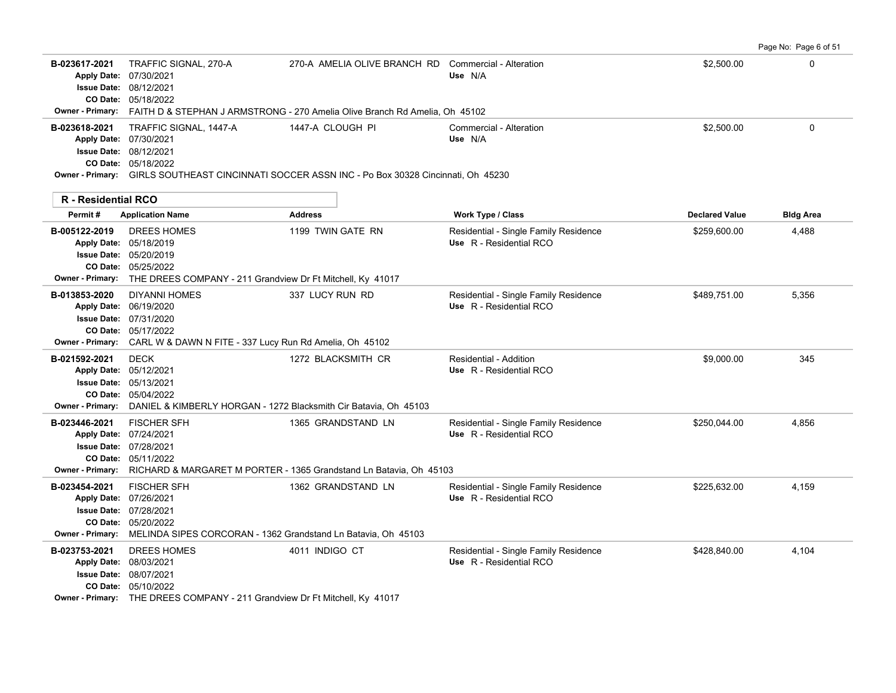|                                                                                |                                                                                                                                                                                     |                                                                                                                                     |                                                                  |                       | Page No: Page 6 of 51 |
|--------------------------------------------------------------------------------|-------------------------------------------------------------------------------------------------------------------------------------------------------------------------------------|-------------------------------------------------------------------------------------------------------------------------------------|------------------------------------------------------------------|-----------------------|-----------------------|
| B-023617-2021<br><b>Owner - Primary:</b>                                       | TRAFFIC SIGNAL, 270-A<br>Apply Date: 07/30/2021<br><b>Issue Date: 08/12/2021</b><br>CO Date: 05/18/2022                                                                             | 270-A AMELIA OLIVE BRANCH RD Commercial - Alteration<br>FAITH D & STEPHAN J ARMSTRONG - 270 Amelia Olive Branch Rd Amelia, Oh 45102 | Use N/A                                                          | \$2,500.00            | $\Omega$              |
| B-023618-2021<br>Apply Date: 07/30/2021                                        | TRAFFIC SIGNAL, 1447-A<br><b>Issue Date: 08/12/2021</b><br>CO Date: 05/18/2022                                                                                                      | 1447-A CLOUGH PI<br><b>Owner - Primary:</b> GIRLS SOUTHEAST CINCINNATI SOCCER ASSN INC - Po Box 30328 Cincinnati. Oh 45230          | Commercial - Alteration<br>Use N/A                               | \$2,500.00            | $\mathbf 0$           |
| <b>R</b> - Residential RCO                                                     |                                                                                                                                                                                     |                                                                                                                                     |                                                                  |                       |                       |
| Permit#                                                                        | <b>Application Name</b>                                                                                                                                                             | <b>Address</b>                                                                                                                      | <b>Work Type / Class</b>                                         | <b>Declared Value</b> | Bidg Area             |
| B-005122-2019                                                                  | <b>DREES HOMES</b><br>Apply Date: 05/18/2019<br><b>Issue Date: 05/20/2019</b><br>CO Date: 05/25/2022<br>Owner - Primary: THE DREES COMPANY - 211 Grandview Dr Ft Mitchell, Ky 41017 | 1199 TWIN GATE RN                                                                                                                   | Residential - Single Family Residence<br>Use R - Residential RCO | \$259,600.00          | 4,488                 |
| B-013853-2020<br><b>Owner - Primary:</b>                                       | <b>DIYANNI HOMES</b><br>Apply Date: 06/19/2020<br><b>Issue Date: 07/31/2020</b><br>CO Date: 05/17/2022<br>CARL W & DAWN N FITE - 337 Lucy Run Rd Amelia, Oh 45102                   | 337 LUCY RUN RD                                                                                                                     | Residential - Single Family Residence<br>Use R - Residential RCO | \$489,751.00          | 5,356                 |
| B-021592-2021<br>Apply Date: 05/12/2021<br>CO Date:<br><b>Owner - Primary:</b> | <b>DECK</b><br><b>Issue Date: 05/13/2021</b><br>05/04/2022<br>DANIEL & KIMBERLY HORGAN - 1272 Blacksmith Cir Batavia, Oh 45103                                                      | 1272 BLACKSMITH CR                                                                                                                  | Residential - Addition<br>Use R - Residential RCO                | \$9,000.00            | 345                   |
| B-023446-2021<br>Apply Date: 07/24/2021<br><b>Owner - Primary:</b>             | <b>FISCHER SFH</b><br><b>Issue Date: 07/28/2021</b><br>CO Date: 05/11/2022                                                                                                          | 1365 GRANDSTAND LN<br>RICHARD & MARGARET M PORTER - 1365 Grandstand Ln Batavia, Oh 45103                                            | Residential - Single Family Residence<br>Use R - Residential RCO | \$250,044.00          | 4,856                 |
| B-023454-2021<br>Apply Date: 07/26/2021<br><b>Owner - Primary:</b>             | <b>FISCHER SFH</b><br><b>Issue Date: 07/28/2021</b><br>CO Date: 05/20/2022<br>MELINDA SIPES CORCORAN - 1362 Grandstand Ln Batavia, Oh 45103                                         | 1362 GRANDSTAND LN                                                                                                                  | Residential - Single Family Residence<br>Use R - Residential RCO | \$225,632.00          | 4,159                 |
| B-023753-2021<br>Apply Date: 08/03/2021                                        | DREES HOMES<br>Issue Date: 08/07/2021<br>CO Date: 05/10/2022<br><b>Owner - Primary:</b> THE DREES COMPANY - 211 Grandview Dr Ft Mitchell, Ky 41017                                  | 4011 INDIGO CT                                                                                                                      | Residential - Single Family Residence<br>Use R - Residential RCO | \$428.840.00          | 4,104                 |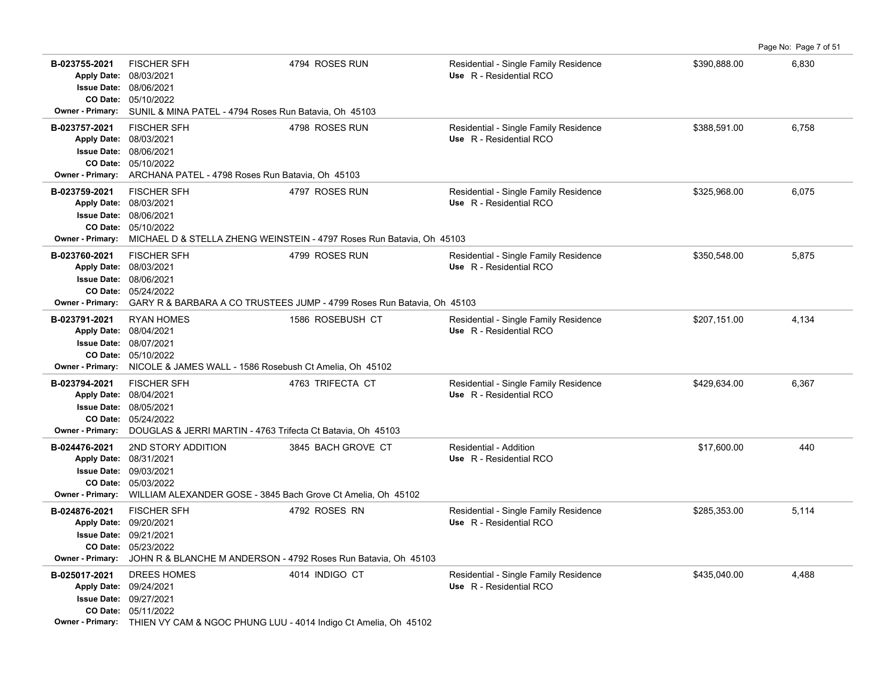|                                                                                   |                                                                                                                                                                |                                                                                          |                                                                  |              | Page No: Page 7 of 51 |
|-----------------------------------------------------------------------------------|----------------------------------------------------------------------------------------------------------------------------------------------------------------|------------------------------------------------------------------------------------------|------------------------------------------------------------------|--------------|-----------------------|
| B-023755-2021<br>Apply Date: 08/03/2021<br><b>Owner - Primary:</b>                | <b>FISCHER SFH</b><br><b>Issue Date: 08/06/2021</b><br>CO Date: 05/10/2022<br>SUNIL & MINA PATEL - 4794 Roses Run Batavia, Oh 45103                            | 4794 ROSES RUN                                                                           | Residential - Single Family Residence<br>Use R - Residential RCO | \$390,888.00 | 6,830                 |
| B-023757-2021<br>Apply Date: 08/03/2021<br><b>Owner - Primary:</b>                | <b>FISCHER SFH</b><br><b>Issue Date: 08/06/2021</b><br>CO Date: 05/10/2022<br>ARCHANA PATEL - 4798 Roses Run Batavia, Oh 45103                                 | 4798 ROSES RUN                                                                           | Residential - Single Family Residence<br>Use R - Residential RCO | \$388,591.00 | 6,758                 |
| B-023759-2021<br>Apply Date: 08/03/2021<br><b>Owner - Primary:</b>                | <b>FISCHER SFH</b><br><b>Issue Date: 08/06/2021</b><br>CO Date: 05/10/2022                                                                                     | 4797 ROSES RUN<br>MICHAEL D & STELLA ZHENG WEINSTEIN - 4797 Roses Run Batavia, Oh 45103  | Residential - Single Family Residence<br>Use R - Residential RCO | \$325,968.00 | 6,075                 |
| B-023760-2021<br>Apply Date: 08/03/2021<br><b>Issue Date:</b><br>Owner - Primary: | <b>FISCHER SFH</b><br>08/06/2021<br>CO Date: 05/24/2022                                                                                                        | 4799 ROSES RUN<br>GARY R & BARBARA A CO TRUSTEES JUMP - 4799 Roses Run Batavia, Oh 45103 | Residential - Single Family Residence<br>Use R - Residential RCO | \$350,548.00 | 5,875                 |
| B-023791-2021<br>Apply Date: 08/04/2021<br><b>Owner - Primary:</b>                | <b>RYAN HOMES</b><br><b>Issue Date: 08/07/2021</b><br>CO Date: 05/10/2022<br>NICOLE & JAMES WALL - 1586 Rosebush Ct Amelia, Oh 45102                           | 1586 ROSEBUSH CT                                                                         | Residential - Single Family Residence<br>Use R - Residential RCO | \$207,151.00 | 4,134                 |
| B-023794-2021<br>Apply Date: 08/04/2021<br><b>Owner - Primary:</b>                | <b>FISCHER SFH</b><br><b>Issue Date: 08/05/2021</b><br>CO Date: 05/24/2022<br>DOUGLAS & JERRI MARTIN - 4763 Trifecta Ct Batavia, Oh 45103                      | 4763 TRIFECTA CT                                                                         | Residential - Single Family Residence<br>Use R - Residential RCO | \$429,634.00 | 6,367                 |
| B-024476-2021<br>Apply Date: 08/31/2021<br><b>Owner - Primary:</b>                | 2ND STORY ADDITION<br>Issue Date: 09/03/2021<br>CO Date: 05/03/2022<br>WILLIAM ALEXANDER GOSE - 3845 Bach Grove Ct Amelia, Oh 45102                            | 3845 BACH GROVE CT                                                                       | Residential - Addition<br>Use R - Residential RCO                | \$17,600.00  | 440                   |
| B-024876-2021<br>Apply Date: 09/20/2021<br><b>Owner - Primary:</b>                | <b>FISCHER SFH</b><br><b>Issue Date: 09/21/2021</b><br>CO Date: 05/23/2022<br>JOHN R & BLANCHE M ANDERSON - 4792 Roses Run Batavia, Oh 45103                   | 4792 ROSES RN                                                                            | Residential - Single Family Residence<br>Use R - Residential RCO | \$285,353.00 | 5,114                 |
| B-025017-2021<br>Apply Date: 09/24/2021                                           | <b>DREES HOMES</b><br><b>Issue Date: 09/27/2021</b><br>CO Date: 05/11/2022<br>Owner - Primary: THIEN VY CAM & NGOC PHUNG LUU - 4014 Indigo Ct Amelia, Oh 45102 | 4014 INDIGO CT                                                                           | Residential - Single Family Residence<br>Use R - Residential RCO | \$435,040.00 | 4,488                 |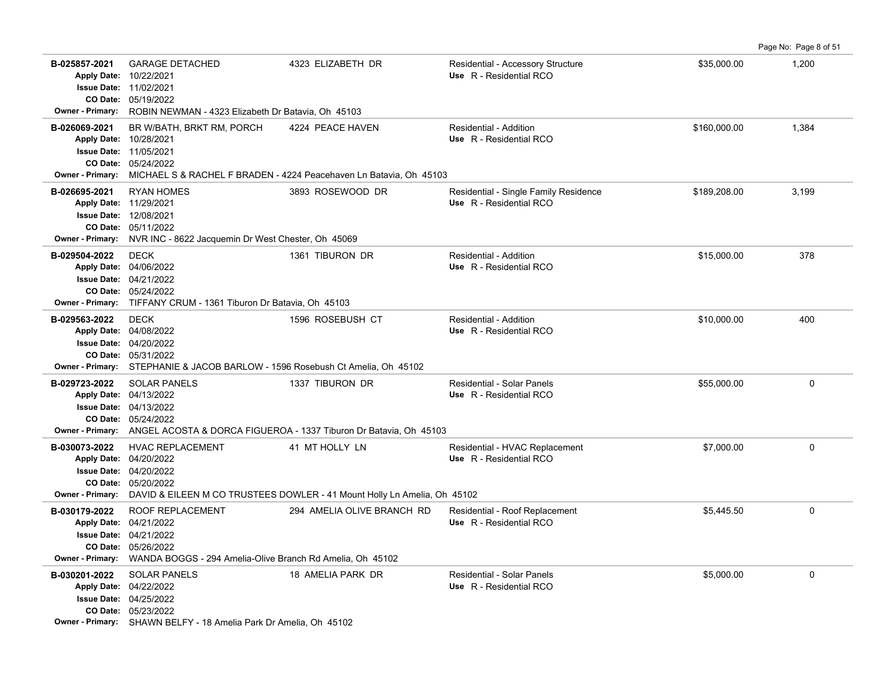|                                                                    |                                                                                                                                                                                   |                                                                                                             |                                                                  |              | Page No: Page 8 of 51 |
|--------------------------------------------------------------------|-----------------------------------------------------------------------------------------------------------------------------------------------------------------------------------|-------------------------------------------------------------------------------------------------------------|------------------------------------------------------------------|--------------|-----------------------|
| B-025857-2021<br><b>Owner - Primary:</b>                           | <b>GARAGE DETACHED</b><br>Apply Date: 10/22/2021<br><b>Issue Date: 11/02/2021</b><br>CO Date: 05/19/2022<br>ROBIN NEWMAN - 4323 Elizabeth Dr Batavia, Oh 45103                    | 4323 ELIZABETH DR                                                                                           | Residential - Accessory Structure<br>Use R - Residential RCO     | \$35,000.00  | 1,200                 |
| B-026069-2021<br>Apply Date: 10/28/2021<br><b>Owner - Primary:</b> | BR W/BATH, BRKT RM, PORCH<br><b>Issue Date: 11/05/2021</b><br>CO Date: 05/24/2022                                                                                                 | 4224 PEACE HAVEN<br>MICHAEL S & RACHEL F BRADEN - 4224 Peacehaven Ln Batavia, Oh 45103                      | Residential - Addition<br>Use R - Residential RCO                | \$160,000.00 | 1,384                 |
| B-026695-2021<br><b>Owner - Primary:</b>                           | <b>RYAN HOMES</b><br>Apply Date: 11/29/2021<br><b>Issue Date: 12/08/2021</b><br>CO Date: 05/11/2022<br>NVR INC - 8622 Jacquemin Dr West Chester, Oh 45069                         | 3893 ROSEWOOD DR                                                                                            | Residential - Single Family Residence<br>Use R - Residential RCO | \$189,208.00 | 3,199                 |
| B-029504-2022<br><b>Owner - Primary:</b>                           | <b>DECK</b><br>Apply Date: 04/06/2022<br><b>Issue Date: 04/21/2022</b><br>CO Date: 05/24/2022<br>TIFFANY CRUM - 1361 Tiburon Dr Batavia, Oh 45103                                 | 1361 TIBURON DR                                                                                             | Residential - Addition<br>Use R - Residential RCO                | \$15,000.00  | 378                   |
| B-029563-2022                                                      | <b>DECK</b><br>Apply Date: 04/08/2022<br><b>Issue Date: 04/20/2022</b><br>CO Date: 05/31/2022<br>Owner - Primary: STEPHANIE & JACOB BARLOW - 1596 Rosebush Ct Amelia, Oh 45102    | 1596 ROSEBUSH CT                                                                                            | Residential - Addition<br>Use R - Residential RCO                | \$10,000.00  | 400                   |
| B-029723-2022                                                      | <b>SOLAR PANELS</b><br>Apply Date: 04/13/2022<br><b>Issue Date: 04/13/2022</b><br>CO Date: 05/24/2022                                                                             | 1337 TIBURON DR<br>Owner - Primary: ANGEL ACOSTA & DORCA FIGUEROA - 1337 Tiburon Dr Batavia, Oh 45103       | Residential - Solar Panels<br>Use R - Residential RCO            | \$55,000.00  | $\mathbf 0$           |
| B-030073-2022                                                      | <b>HVAC REPLACEMENT</b><br>Apply Date: 04/20/2022<br><b>Issue Date: 04/20/2022</b><br>CO Date: 05/20/2022                                                                         | 41 MT HOLLY LN<br>Owner - Primary: DAVID & EILEEN M CO TRUSTEES DOWLER - 41 Mount Holly Ln Amelia, Oh 45102 | Residential - HVAC Replacement<br>Use R - Residential RCO        | \$7,000.00   | $\mathbf 0$           |
| B-030179-2022<br><b>Owner - Primary:</b>                           | ROOF REPLACEMENT<br>Apply Date: 04/21/2022<br><b>Issue Date: 04/21/2022</b><br>CO Date: 05/26/2022<br>WANDA BOGGS - 294 Amelia-Olive Branch Rd Amelia, Oh 45102                   | 294 AMELIA OLIVE BRANCH RD                                                                                  | Residential - Roof Replacement<br>Use R - Residential RCO        | \$5,445.50   | $\mathbf 0$           |
| B-030201-2022                                                      | <b>SOLAR PANELS</b><br>Apply Date: 04/22/2022<br><b>Issue Date: 04/25/2022</b><br>CO Date: 05/23/2022<br><b>Owner - Primary:</b> SHAWN BELFY - 18 Amelia Park Dr Amelia, Oh 45102 | 18 AMELIA PARK DR                                                                                           | Residential - Solar Panels<br>Use R - Residential RCO            | \$5,000.00   | $\mathbf 0$           |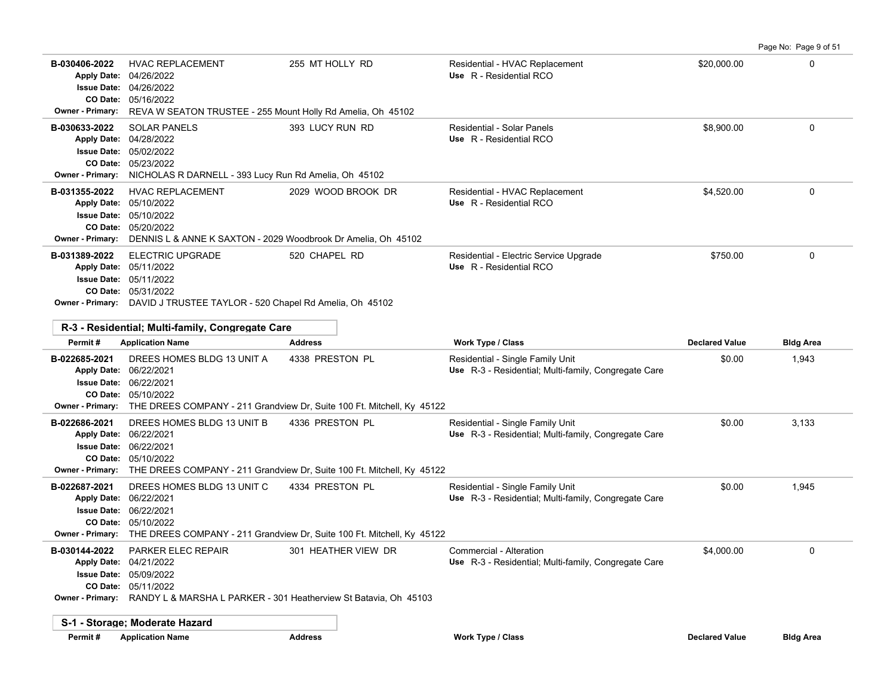**B-030406-2022** \$20,000.00 0 HVAC REPLACEMENT 255 MT HOLLY RD Residential - HVAC Replacement 05/16/2022 **CO Date:** 04/26/2022 **Issue Date:** Apply Date: 04/26/2022 **Apply Date: Use** R - Residential RCO **Owner - Primary:** REVA W SEATON TRUSTEE - 255 Mount Holly Rd Amelia, Oh 45102 **B-030633-2022** \$8,900.00 0 SOLAR PANELS 393 LUCY RUN RD Residential - Solar Panels 05/23/2022 **CO Date:** 05/02/2022 **Issue Date:** 04/28/2022 **Apply Date: Use** R - Residential RCO **Owner - Primary:** NICHOLAS R DARNELL - 393 Lucy Run Rd Amelia, Oh 45102 **B-031355-2022** HVAC REPLACEMENT 2029 WOOD BROOK DR Residential - HVAC Replacement \$4,520.00 \$4,520.00 05/20/2022 **CO Date:** 05/10/2022 **Issue Date:** 05/10/2022 **Apply Date: Use** R - Residential RCO **Owner - Primary:** DENNIS L & ANNE K SAXTON - 2029 Woodbrook Dr Amelia, Oh 45102 **B-031389-2022** ELECTRIC UPGRADE 520 CHAPEL RD Residential - Electric Service Upgrade \$750.00 \$750.00 05/31/2022 **CO Date:** 05/11/2022 **Issue Date:** Apply Date: 05/11/2022 **Apply Date: Use** R - Residential RCO **Owner - Primary:** DAVID J TRUSTEE TAYLOR - 520 Chapel Rd Amelia, Oh 45102 **R-3 - Residential; Multi-family, Congregate Care Permit # Application Name Address Work Type / Class Declared Value Bldg Area B-022685-2021** \$0.00 1,943 DREES HOMES BLDG 13 UNIT A 4338 PRESTON PL Residential - Single Family Unit 05/10/2022 **CO Date:** 06/22/2021 **Issue Date:** Apply Date: 06/22/2021 Use R-3 - Residential; Multi-family, Congregate Care **Owner - Primary:** THE DREES COMPANY - 211 Grandview Dr, Suite 100 Ft. Mitchell, Ky 45122 **B-022686-2021** \$0.00 3,133 DREES HOMES BLDG 13 UNIT B 4336 PRESTON PL Residential - Single Family Unit 05/10/2022 **CO Date:** 06/22/2021 **Issue Date:** Apply Date: 06/22/2021 Use R-3 - Residential; Multi-family, Congregate Care **Owner - Primary:** THE DREES COMPANY - 211 Grandview Dr, Suite 100 Ft. Mitchell, Ky 45122 **B-022687-2021** \$0.00 1,945 DREES HOMES BLDG 13 UNIT C 4334 PRESTON PL Residential - Single Family Unit 05/10/2022 **CO Date:** 06/22/2021 **Issue Date:** Apply Date: 06/22/2021 Use R-3 - Residential; Multi-family, Congregate Care **Owner - Primary:** THE DREES COMPANY - 211 Grandview Dr, Suite 100 Ft. Mitchell, Ky 45122 **B-030144-2022** PARKER ELEC REPAIR 301 HEATHER VIEW DR Commercial - Alteration 34,000.00 54,000.00 0 05/11/2022 **CO Date:** 05/09/2022 **Issue Date:** Apply Date: 04/21/2022 Use R-3 - Residential; Multi-family, Congregate Care **Owner - Primary:** RANDY L & MARSHA L PARKER - 301 Heatherview St Batavia, Oh 45103 **S-1 - Storage; Moderate Hazard**

**Permit # Application Name Address Work Type / Class Declared Value Bldg Area**

Page No: Page 9 of 51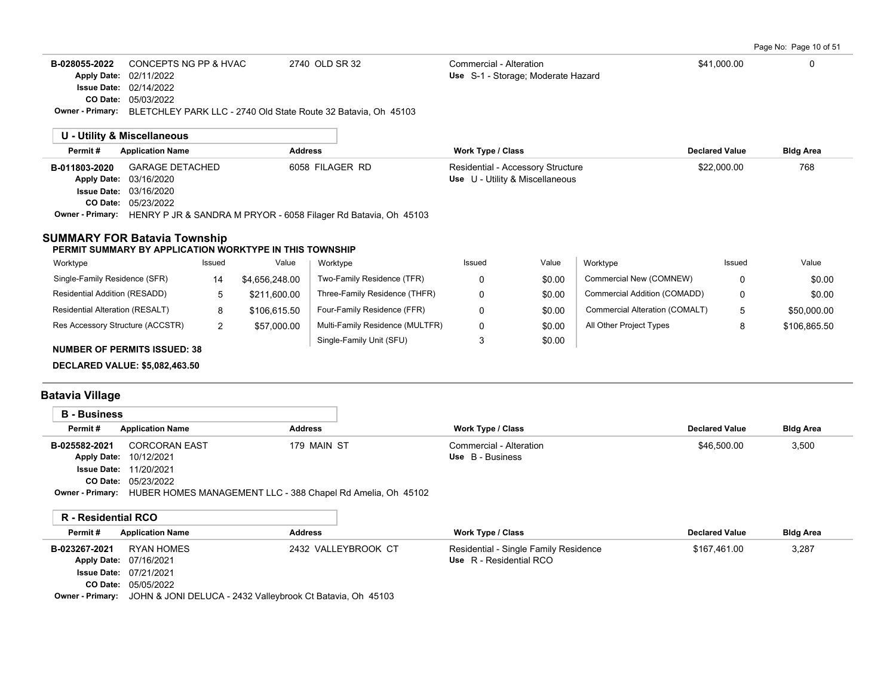Page No: Page 10 of 51

| <b>B-028055-2022</b> CONCEPTS NG PP & HVAC                                             | 2740 OLD SR 32 | Commercial - Alteration            | \$41.000.00 |  |
|----------------------------------------------------------------------------------------|----------------|------------------------------------|-------------|--|
| <b>Apply Date: 02/11/2022</b>                                                          |                | Use S-1 - Storage: Moderate Hazard |             |  |
| <b>Issue Date: 02/14/2022</b>                                                          |                |                                    |             |  |
| <b>CO Date: 05/03/2022</b>                                                             |                |                                    |             |  |
| <b>Owner - Primary:</b> BLETCHLEY PARK LLC - 2740 Old State Route 32 Batavia, Oh 45103 |                |                                    |             |  |

| U - Utility & Miscellaneous |                                                                                         |                 |                                   |                       |                  |
|-----------------------------|-----------------------------------------------------------------------------------------|-----------------|-----------------------------------|-----------------------|------------------|
| Permit#                     | <b>Application Name</b>                                                                 | <b>Address</b>  | <b>Work Type / Class</b>          | <b>Declared Value</b> | <b>Bldg Area</b> |
| B-011803-2020               | <b>GARAGE DETACHED</b>                                                                  | 6058 FILAGER RD | Residential - Accessory Structure | \$22,000.00           | 768              |
|                             | <b>Apply Date: 03/16/2020</b>                                                           |                 | Use U - Utility & Miscellaneous   |                       |                  |
|                             | <b>Issue Date: 03/16/2020</b>                                                           |                 |                                   |                       |                  |
|                             | <b>CO Date: 05/23/2022</b>                                                              |                 |                                   |                       |                  |
|                             | <b>Owner - Primary:</b> HENRY P JR & SANDRA M PRYOR - 6058 Filager Rd Batavia, Oh 45103 |                 |                                   |                       |                  |

### **SUMMARY FOR Batavia Township**

#### **PERMIT SUMMARY BY APPLICATION WORKTYPE IN THIS TOWNSHIP**

| Worktype                            | Issued | Value          | Worktype                        | Issued | Value  | Worktype                       | Issued       | Value        |
|-------------------------------------|--------|----------------|---------------------------------|--------|--------|--------------------------------|--------------|--------------|
| Single-Family Residence (SFR)       | 14     | \$4.656.248.00 | Two-Family Residence (TFR)      |        | \$0.00 | Commercial New (COMNEW)        |              | \$0.00       |
| Residential Addition (RESADD)       | 5      | \$211.600.00   | Three-Family Residence (THFR)   |        | \$0.00 | Commercial Addition (COMADD)   | 0            | \$0.00       |
| Residential Alteration (RESALT)     | 8      | \$106.615.50   | Four-Family Residence (FFR)     |        | \$0.00 | Commercial Alteration (COMALT) | $\mathbf{5}$ | \$50,000.00  |
| Res Accessory Structure (ACCSTR)    | 2      | \$57,000.00    | Multi-Family Residence (MULTFR) | 0      | \$0.00 | All Other Project Types        | 8            | \$106.865.50 |
| <b>NUMBER OF PERMITS ISSUED: 38</b> |        |                | Single-Family Unit (SFU)        |        | \$0.00 |                                |              |              |
|                                     |        |                |                                 |        |        |                                |              |              |

**DECLARED VALUE: \$5,082,463.50**

### **Batavia Village**

| <b>B</b> - Business     |                                                             |                |                          |                       |                  |
|-------------------------|-------------------------------------------------------------|----------------|--------------------------|-----------------------|------------------|
| Permit#                 | <b>Application Name</b>                                     | <b>Address</b> | <b>Work Type / Class</b> | <b>Declared Value</b> | <b>Bldg Area</b> |
| B-025582-2021           | <b>CORCORAN EAST</b>                                        | 179 MAIN ST    | Commercial - Alteration  | \$46,500.00           | 3,500            |
|                         | <b>Apply Date: 10/12/2021</b>                               |                | Use B - Business         |                       |                  |
|                         | <b>Issue Date: 11/20/2021</b>                               |                |                          |                       |                  |
|                         | <b>CO Date: 05/23/2022</b>                                  |                |                          |                       |                  |
| <b>Owner - Primary:</b> | HUBER HOMES MANAGEMENT LLC - 388 Chapel Rd Amelia, Oh 45102 |                |                          |                       |                  |

### **R - Residential RCO**

| Permit#       | <b>Application Name</b>                                                             | <b>Address</b>      | Work Type / Class                     | <b>Declared Value</b> | <b>Bldg Area</b> |  |
|---------------|-------------------------------------------------------------------------------------|---------------------|---------------------------------------|-----------------------|------------------|--|
| B-023267-2021 | RYAN HOMES                                                                          | 2432 VALLEYBROOK CT | Residential - Single Family Residence | \$167.461.00          | 3,287            |  |
|               | Apply Date: 07/16/2021                                                              |                     | Use R - Residential RCO               |                       |                  |  |
|               | <b>Issue Date: 07/21/2021</b>                                                       |                     |                                       |                       |                  |  |
|               | <b>CO Date: 05/05/2022</b>                                                          |                     |                                       |                       |                  |  |
|               | <b>Owner - Primary:</b> JOHN & JONI DELUCA - 2432 Valleybrook Ct Batavia, Ob. 45103 |                     |                                       |                       |                  |  |

**Owner - Primary:** JOHN & JONI DELUCA - 2432 Valleybrook Ct Batavia, Oh 45103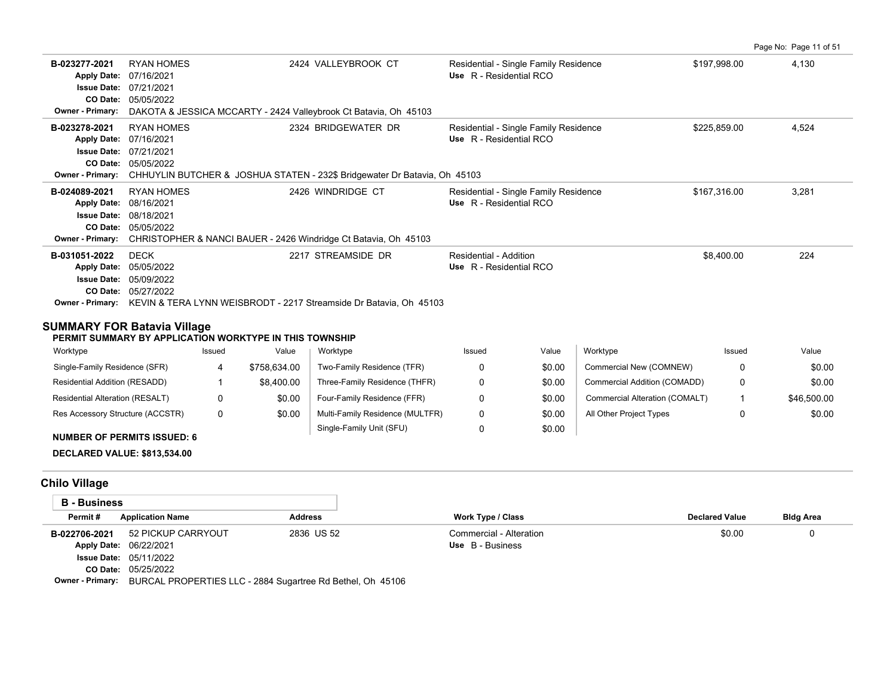|                                                                                                  |                                                                                                                                |                                                                                                  |                                                                  |              | Page No: Page 11 of 51 |
|--------------------------------------------------------------------------------------------------|--------------------------------------------------------------------------------------------------------------------------------|--------------------------------------------------------------------------------------------------|------------------------------------------------------------------|--------------|------------------------|
| B-023277-2021<br><b>Apply Date:</b><br><b>Issue Date:</b><br>CO Date:<br><b>Owner - Primary:</b> | RYAN HOMES<br>07/16/2021<br>07/21/2021<br>05/05/2022<br>DAKOTA & JESSICA MCCARTY - 2424 Valleybrook Ct Batavia, Oh 45103       | 2424 VALLEYBROOK CT                                                                              | Residential - Single Family Residence<br>Use R - Residential RCO | \$197,998.00 | 4,130                  |
| B-023278-2021<br><b>Apply Date:</b><br><b>Issue Date:</b><br>CO Date:<br><b>Owner - Primary:</b> | <b>RYAN HOMES</b><br>07/16/2021<br>07/21/2021<br>05/05/2022                                                                    | 2324 BRIDGEWATER DR<br>CHHUYLIN BUTCHER & JOSHUA STATEN - 232\$ Bridgewater Dr Batavia, Oh 45103 | Residential - Single Family Residence<br>Use R - Residential RCO | \$225,859.00 | 4,524                  |
| B-024089-2021<br><b>Apply Date:</b><br><b>Issue Date:</b><br>CO Date:<br><b>Owner - Primary:</b> | <b>RYAN HOMES</b><br>08/16/2021<br>08/18/2021<br>05/05/2022<br>CHRISTOPHER & NANCI BAUER - 2426 Windridge Ct Batavia, Oh 45103 | 2426 WINDRIDGE CT                                                                                | Residential - Single Family Residence<br>Use R - Residential RCO | \$167,316.00 | 3,281                  |
| B-031051-2022<br><b>Apply Date:</b><br><b>Issue Date:</b><br>CO Date:<br><b>Owner - Primary:</b> | <b>DECK</b><br>05/05/2022<br>05/09/2022<br>05/27/2022                                                                          | 2217 STREAMSIDE DR<br>KEVIN & TERA LYNN WEISBRODT - 2217 Streamside Dr Batavia. Oh 45103         | Residential - Addition<br>Use R - Residential RCO                | \$8,400.00   | 224                    |

### **SUMMARY FOR Batavia Village**

#### **PERMIT SUMMARY BY APPLICATION WORKTYPE IN THIS TOWNSHIP**

| Worktype                                                                                                                                                                                                                                                                                                                                                                                                                                                   | Issued | Value        | Worktype                        | Issued | Value  | Worktype                       | Issued | Value       |
|------------------------------------------------------------------------------------------------------------------------------------------------------------------------------------------------------------------------------------------------------------------------------------------------------------------------------------------------------------------------------------------------------------------------------------------------------------|--------|--------------|---------------------------------|--------|--------|--------------------------------|--------|-------------|
| Single-Family Residence (SFR)                                                                                                                                                                                                                                                                                                                                                                                                                              |        | \$758.634.00 | Two-Family Residence (TFR)      |        | \$0.00 | Commercial New (COMNEW)        |        | \$0.00      |
| Residential Addition (RESADD)                                                                                                                                                                                                                                                                                                                                                                                                                              |        | \$8,400.00   | Three-Family Residence (THFR)   |        | \$0.00 | Commercial Addition (COMADD)   |        | \$0.00      |
| Residential Alteration (RESALT)                                                                                                                                                                                                                                                                                                                                                                                                                            |        | \$0.00       | Four-Family Residence (FFR)     |        | \$0.00 | Commercial Alteration (COMALT) |        | \$46,500.00 |
| Res Accessory Structure (ACCSTR)                                                                                                                                                                                                                                                                                                                                                                                                                           |        | \$0.00       | Multi-Family Residence (MULTFR) |        | \$0.00 | All Other Project Types        |        | \$0.00      |
| $\mathbf{1} \cup \mathbf{1} \cup \mathbf{2} \cup \mathbf{3} \cup \mathbf{4} \cup \mathbf{5} \cup \mathbf{6} \cup \mathbf{5} \cup \mathbf{6} \cup \mathbf{7} \cup \mathbf{8} \cup \mathbf{8} \cup \mathbf{8} \cup \mathbf{9} \cup \mathbf{1} \cup \mathbf{1} \cup \mathbf{1} \cup \mathbf{1} \cup \mathbf{1} \cup \mathbf{1} \cup \mathbf{1} \cup \mathbf{1} \cup \mathbf{1} \cup \mathbf{1} \cup \mathbf{1} \cup \mathbf{1} \cup \mathbf{1} \cup \mathbf{$ |        |              | Single-Family Unit (SFU)        |        | \$0.00 |                                |        |             |

# **NUMBER OF PERMITS ISSUED: 6**

### **DECLARED VALUE: \$813,534.00**

# **Chilo Village**

| <b>B</b> - Business     |                                                            |                |                          |                       |                  |
|-------------------------|------------------------------------------------------------|----------------|--------------------------|-----------------------|------------------|
| Permit#                 | <b>Application Name</b>                                    | <b>Address</b> | <b>Work Type / Class</b> | <b>Declared Value</b> | <b>Bldg Area</b> |
| B-022706-2021           | 52 PICKUP CARRYOUT                                         | 2836 US 52     | Commercial - Alteration  | \$0.00                |                  |
|                         | Apply Date: 06/22/2021                                     |                | Use B - Business         |                       |                  |
|                         | <b>Issue Date: 05/11/2022</b>                              |                |                          |                       |                  |
|                         | CO Date: 05/25/2022                                        |                |                          |                       |                  |
| <b>Owner - Primary:</b> | BURCAL PROPERTIES LLC - 2884 Sugartree Rd Bethel, Oh 45106 |                |                          |                       |                  |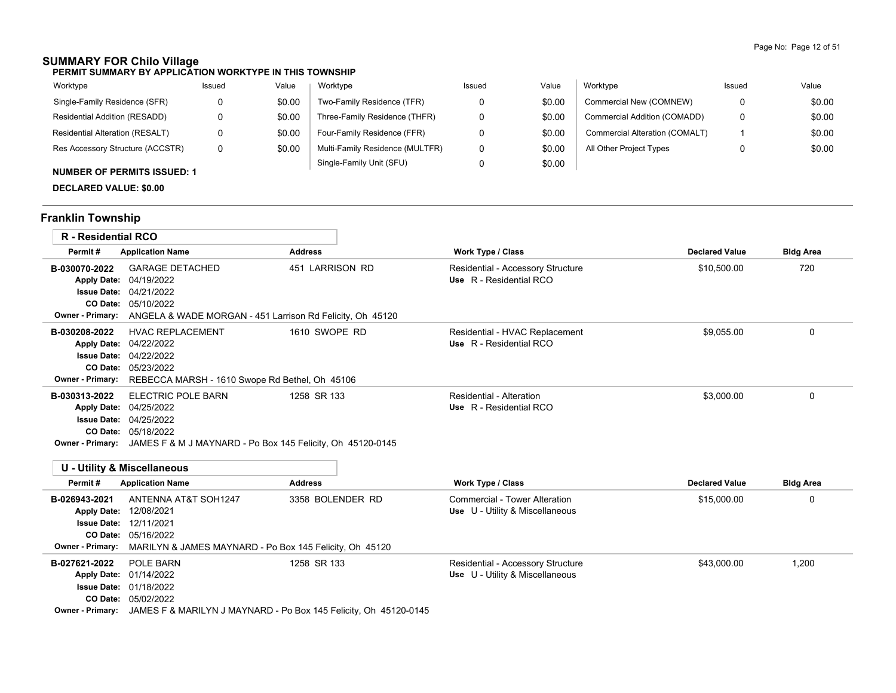# **SUMMARY FOR Chilo Village**

| Worktype                           | Issued | Value  | Worktype                        | Issued | Value  | Worktype                       | Issued | Value  |
|------------------------------------|--------|--------|---------------------------------|--------|--------|--------------------------------|--------|--------|
| Single-Family Residence (SFR)      |        | \$0.00 | Two-Family Residence (TFR)      |        | \$0.00 | Commercial New (COMNEW)        |        | \$0.00 |
| Residential Addition (RESADD)      |        | \$0.00 | Three-Family Residence (THFR)   |        | \$0.00 | Commercial Addition (COMADD)   |        | \$0.00 |
| Residential Alteration (RESALT)    |        | \$0.00 | Four-Family Residence (FFR)     |        | \$0.00 | Commercial Alteration (COMALT) |        | \$0.00 |
| Res Accessory Structure (ACCSTR)   | 0      | \$0.00 | Multi-Family Residence (MULTFR) | 0      | \$0.00 | All Other Project Types        |        | \$0.00 |
| <b>NUMBER OF PERMITS ISSUED: 1</b> |        |        | Single-Family Unit (SFU)        |        | \$0.00 |                                |        |        |
|                                    |        |        |                                 |        |        |                                |        |        |

# **DECLARED VALUE: \$0.00**

# **Franklin Township**

| <b>R</b> - Residential RCO                                                           |                                                                                                                                                           |                  |                                                                      |                       |                  |
|--------------------------------------------------------------------------------------|-----------------------------------------------------------------------------------------------------------------------------------------------------------|------------------|----------------------------------------------------------------------|-----------------------|------------------|
| Permit#                                                                              | <b>Application Name</b>                                                                                                                                   | <b>Address</b>   | Work Type / Class                                                    | <b>Declared Value</b> | <b>Bldg Area</b> |
| B-030070-2022<br><b>Apply Date:</b><br><b>Owner - Primary:</b>                       | <b>GARAGE DETACHED</b><br>04/19/2022<br><b>Issue Date: 04/21/2022</b><br>CO Date: 05/10/2022<br>ANGELA & WADE MORGAN - 451 Larrison Rd Felicity, Oh 45120 | 451 LARRISON RD  | Residential - Accessory Structure<br>Use R - Residential RCO         | \$10,500.00           | 720              |
| B-030208-2022<br><b>Apply Date:</b><br>Owner - Primary:                              | <b>HVAC REPLACEMENT</b><br>04/22/2022<br><b>Issue Date: 04/22/2022</b><br>CO Date: 05/23/2022<br>REBECCA MARSH - 1610 Swope Rd Bethel, Oh 45106           | 1610 SWOPE RD    | Residential - HVAC Replacement<br>Use R - Residential RCO            | \$9,055.00            | 0                |
| B-030313-2022<br><b>Apply Date:</b><br><b>Issue Date:</b><br><b>Owner - Primary:</b> | ELECTRIC POLE BARN<br>04/25/2022<br>04/25/2022<br>CO Date: 05/18/2022<br>JAMES F & M J MAYNARD - Po Box 145 Felicity, Oh 45120-0145                       | 1258 SR 133      | Residential - Alteration<br>Use R - Residential RCO                  | \$3.000.00            | 0                |
|                                                                                      | <b>U - Utility &amp; Miscellaneous</b>                                                                                                                    |                  |                                                                      |                       |                  |
| Permit#                                                                              | <b>Application Name</b>                                                                                                                                   | <b>Address</b>   | <b>Work Type / Class</b>                                             | <b>Declared Value</b> | <b>Bldg Area</b> |
| B-026943-2021<br><b>Apply Date:</b><br><b>Issue Date:</b><br>Owner - Primary:        | ANTENNA AT&T SOH1247<br>12/08/2021<br>12/11/2021<br>CO Date: 05/16/2022<br>MARILYN & JAMES MAYNARD - Po Box 145 Felicity, Oh 45120                        | 3358 BOLENDER RD | Commercial - Tower Alteration<br>Use U - Utility & Miscellaneous     | \$15,000.00           | 0                |
| B-027621-2022                                                                        | POLE BARN<br>Apply Date: 01/14/2022                                                                                                                       | 1258 SR 133      | Residential - Accessory Structure<br>Use U - Utility & Miscellaneous | \$43,000.00           | 1,200            |

01/18/2022 **Issue Date:**

05/02/2022 **CO Date:**

**Owner - Primary:** JAMES F & MARILYN J MAYNARD - Po Box 145 Felicity, Oh 45120-0145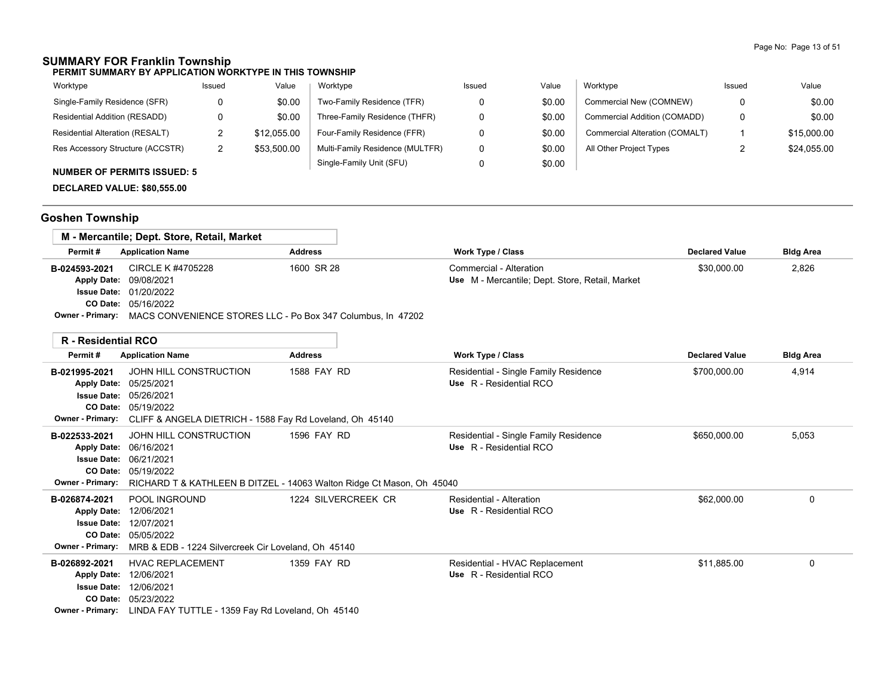### **SUMMARY FOR Franklin Township**

**PERMIT SUMMARY BY APPLICATION WORKTYPE IN THIS TOWNSHIP**

| Worktype                         | Issued | Value       | Worktype                        | Issued | Value  | Worktype                       | Issued | Value       |
|----------------------------------|--------|-------------|---------------------------------|--------|--------|--------------------------------|--------|-------------|
| Single-Family Residence (SFR)    |        | \$0.00      | Two-Family Residence (TFR)      |        | \$0.00 | Commercial New (COMNEW)        | 0      | \$0.00      |
| Residential Addition (RESADD)    |        | \$0.00      | Three-Family Residence (THFR)   |        | \$0.00 | Commercial Addition (COMADD)   | 0      | \$0.00      |
| Residential Alteration (RESALT)  |        | \$12,055.00 | Four-Family Residence (FFR)     |        | \$0.00 | Commercial Alteration (COMALT) |        | \$15,000.00 |
| Res Accessory Structure (ACCSTR) |        | \$53,500.00 | Multi-Family Residence (MULTFR) |        | \$0.00 | All Other Project Types        |        | \$24,055.00 |
| $\ddot{ }$                       |        |             | Single-Family Unit (SFU)        |        | \$0.00 |                                |        |             |

# **NUMBER OF PERMITS ISSUED: 5**

**DECLARED VALUE: \$80,555.00**

# **Goshen Township**

|                         | M - Mercantile; Dept. Store, Retail, Market                 |                |                                                 |                       |                  |
|-------------------------|-------------------------------------------------------------|----------------|-------------------------------------------------|-----------------------|------------------|
| Permit#                 | <b>Application Name</b>                                     | <b>Address</b> | Work Type / Class                               | <b>Declared Value</b> | <b>Bldg Area</b> |
| B-024593-2021           | CIRCLE K #4705228                                           | 1600 SR 28     | Commercial - Alteration                         | \$30,000.00           | 2,826            |
|                         | Apply Date: 09/08/2021                                      |                | Use M - Mercantile; Dept. Store, Retail, Market |                       |                  |
|                         | <b>Issue Date: 01/20/2022</b>                               |                |                                                 |                       |                  |
|                         | <b>CO Date: 05/16/2022</b>                                  |                |                                                 |                       |                  |
| <b>Owner - Primary:</b> | MACS CONVENIENCE STORES LLC - Po Box 347 Columbus, In 47202 |                |                                                 |                       |                  |

| <b>R</b> - Residential RCO               |                                                                       |                     |                                                                  |                       |                  |
|------------------------------------------|-----------------------------------------------------------------------|---------------------|------------------------------------------------------------------|-----------------------|------------------|
| Permit#                                  | <b>Application Name</b>                                               | <b>Address</b>      | Work Type / Class                                                | <b>Declared Value</b> | <b>Bldg Area</b> |
| B-021995-2021                            | JOHN HILL CONSTRUCTION                                                | 1588 FAY RD         | Residential - Single Family Residence<br>Use R - Residential RCO | \$700,000.00          | 4,914            |
| <b>Apply Date:</b><br><b>Issue Date:</b> | 05/25/2021<br>05/26/2021                                              |                     |                                                                  |                       |                  |
| CO Date:                                 | 05/19/2022                                                            |                     |                                                                  |                       |                  |
| Owner - Primary:                         | CLIFF & ANGELA DIETRICH - 1588 Fay Rd Loveland, Oh 45140              |                     |                                                                  |                       |                  |
| B-022533-2021                            | JOHN HILL CONSTRUCTION                                                | 1596 FAY RD         | Residential - Single Family Residence                            | \$650,000.00          | 5,053            |
| <b>Apply Date:</b>                       | 06/16/2021                                                            |                     | Use R - Residential RCO                                          |                       |                  |
| <b>Issue Date:</b>                       | 06/21/2021                                                            |                     |                                                                  |                       |                  |
| CO Date:                                 | 05/19/2022                                                            |                     |                                                                  |                       |                  |
| <b>Owner - Primary:</b>                  | RICHARD T & KATHLEEN B DITZEL - 14063 Walton Ridge Ct Mason, Oh 45040 |                     |                                                                  |                       |                  |
| B-026874-2021                            | POOL INGROUND                                                         | 1224 SILVERCREEK CR | Residential - Alteration                                         | \$62,000.00           | $\Omega$         |
|                                          | Apply Date: 12/06/2021                                                |                     | Use R - Residential RCO                                          |                       |                  |
| <b>Issue Date:</b>                       | 12/07/2021                                                            |                     |                                                                  |                       |                  |
|                                          | CO Date: 05/05/2022                                                   |                     |                                                                  |                       |                  |
| Owner - Primary:                         | MRB & EDB - 1224 Silvercreek Cir Loveland, Oh 45140                   |                     |                                                                  |                       |                  |
| B-026892-2021                            | <b>HVAC REPLACEMENT</b>                                               | 1359 FAY RD         | Residential - HVAC Replacement                                   | \$11,885.00           | 0                |
| <b>Apply Date:</b>                       | 12/06/2021                                                            |                     | Use R - Residential RCO                                          |                       |                  |
|                                          | <b>Issue Date: 12/06/2021</b>                                         |                     |                                                                  |                       |                  |
| <b>CO Date:</b>                          | 05/23/2022                                                            |                     |                                                                  |                       |                  |
| <b>Owner - Primary:</b>                  | LINDA FAY TUTTLE - 1359 Fay Rd Loveland, Oh 45140                     |                     |                                                                  |                       |                  |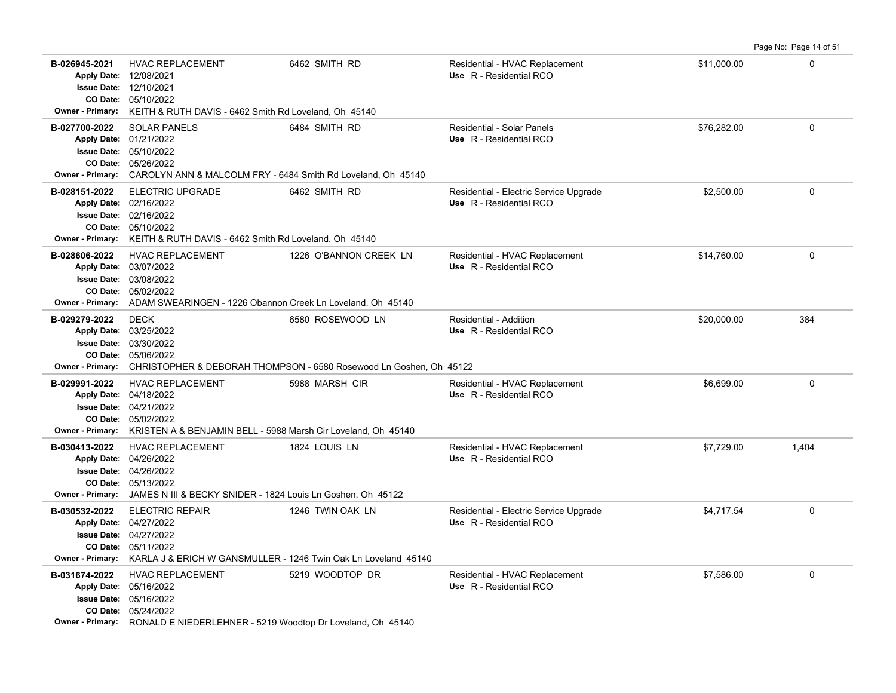| B-026945-2021<br><b>Owner - Primary:</b> | <b>HVAC REPLACEMENT</b><br>Apply Date: 12/08/2021<br><b>Issue Date: 12/10/2021</b><br>CO Date: 05/10/2022<br>KEITH & RUTH DAVIS - 6462 Smith Rd Loveland, Oh 45140                          | 6462 SMITH RD                                                                          | Residential - HVAC Replacement<br>Use R - Residential RCO         | \$11,000.00 | $\mathbf 0$ |
|------------------------------------------|---------------------------------------------------------------------------------------------------------------------------------------------------------------------------------------------|----------------------------------------------------------------------------------------|-------------------------------------------------------------------|-------------|-------------|
| B-027700-2022<br><b>Owner - Primary:</b> | <b>SOLAR PANELS</b><br>Apply Date: 01/21/2022<br><b>Issue Date: 05/10/2022</b><br>CO Date: 05/26/2022<br>CAROLYN ANN & MALCOLM FRY - 6484 Smith Rd Loveland, Oh 45140                       | 6484 SMITH RD                                                                          | Residential - Solar Panels<br>Use R - Residential RCO             | \$76,282.00 | $\mathbf 0$ |
| B-028151-2022<br><b>Owner - Primary:</b> | <b>ELECTRIC UPGRADE</b><br>Apply Date: 02/16/2022<br><b>Issue Date: 02/16/2022</b><br>CO Date: 05/10/2022<br>KEITH & RUTH DAVIS - 6462 Smith Rd Loveland, Oh 45140                          | 6462 SMITH RD                                                                          | Residential - Electric Service Upgrade<br>Use R - Residential RCO | \$2,500.00  | $\mathbf 0$ |
| B-028606-2022<br><b>Owner - Primary:</b> | <b>HVAC REPLACEMENT</b><br>Apply Date: 03/07/2022<br><b>Issue Date: 03/08/2022</b><br>CO Date: 05/02/2022<br>ADAM SWEARINGEN - 1226 Obannon Creek Ln Loveland, Oh 45140                     | 1226 O'BANNON CREEK LN                                                                 | Residential - HVAC Replacement<br>Use R - Residential RCO         | \$14,760.00 | 0           |
| B-029279-2022<br><b>Owner - Primary:</b> | <b>DECK</b><br>Apply Date: 03/25/2022<br><b>Issue Date: 03/30/2022</b><br>CO Date: 05/06/2022                                                                                               | 6580 ROSEWOOD LN<br>CHRISTOPHER & DEBORAH THOMPSON - 6580 Rosewood Ln Goshen, Oh 45122 | Residential - Addition<br>Use R - Residential RCO                 | \$20,000.00 | 384         |
| B-029991-2022<br><b>Owner - Primary:</b> | <b>HVAC REPLACEMENT</b><br>Apply Date: 04/18/2022<br><b>Issue Date: 04/21/2022</b><br>CO Date: 05/02/2022<br>KRISTEN A & BENJAMIN BELL - 5988 Marsh Cir Loveland, Oh 45140                  | 5988 MARSH CIR                                                                         | Residential - HVAC Replacement<br>Use R - Residential RCO         | \$6.699.00  | 0           |
| B-030413-2022<br><b>Owner - Primary:</b> | <b>HVAC REPLACEMENT</b><br>Apply Date: 04/26/2022<br><b>Issue Date: 04/26/2022</b><br>CO Date: 05/13/2022<br>JAMES N III & BECKY SNIDER - 1824 Louis Ln Goshen, Oh 45122                    | 1824 LOUIS LN                                                                          | Residential - HVAC Replacement<br>Use R - Residential RCO         | \$7,729.00  | 1,404       |
| B-030532-2022                            | <b>ELECTRIC REPAIR</b><br>Apply Date: 04/27/2022<br><b>Issue Date: 04/27/2022</b><br>CO Date: 05/11/2022<br>Owner - Primary: KARLA J & ERICH W GANSMULLER - 1246 Twin Oak Ln Loveland 45140 | 1246 TWIN OAK LN                                                                       | Residential - Electric Service Upgrade<br>Use R - Residential RCO | \$4,717.54  | $\mathbf 0$ |
| B-031674-2022                            | HVAC REPLACEMENT<br>Apply Date: 05/16/2022<br><b>Issue Date: 05/16/2022</b><br>CO Date: 05/24/2022<br><b>Owner - Primary:</b> RONALD E NIEDERLEHNER - 5219 Woodtop Dr Loveland, Oh 45140    | 5219 WOODTOP DR                                                                        | Residential - HVAC Replacement<br>Use R - Residential RCO         | \$7,586.00  | $\Omega$    |

Page No: Page 14 of 51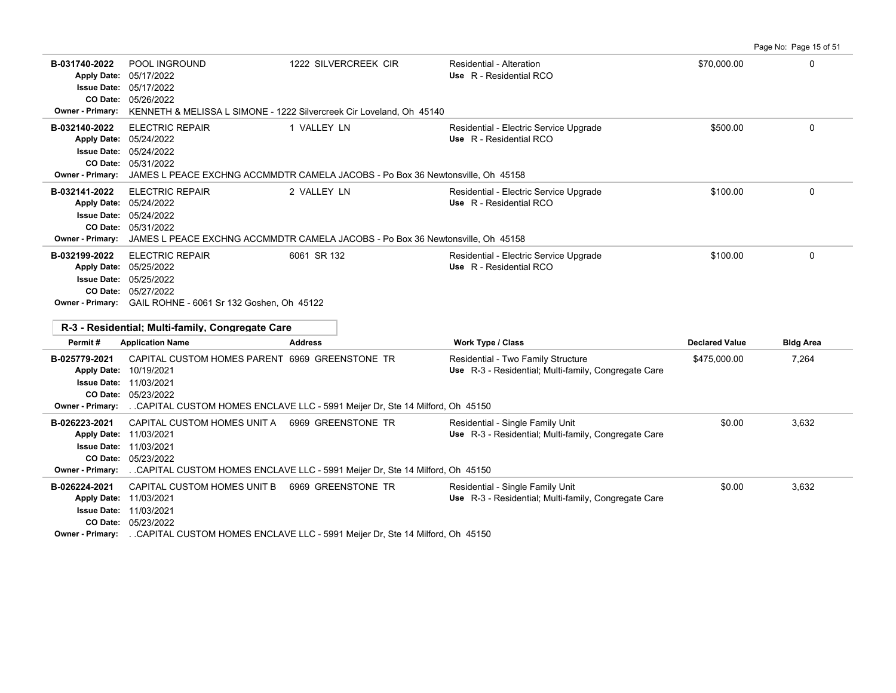**B-031740-2022** POOL INGROUND 1222 SILVERCREEK CIR Residential - Alteration \$70,000.00 \$70,000.00 0 05/26/2022 **CO Date:** 05/17/2022 **Issue Date:** Apply Date: 05/17/2022 **Apply Date: Use** R - Residential RCO **Owner - Primary:** KENNETH & MELISSA L SIMONE - 1222 Silvercreek Cir Loveland, Oh 45140 **B-032140-2022** ELECTRIC REPAIR 1 VALLEY LN Residential - Electric Service Upgrade \$500.00 \$500.00 0 05/31/2022 **CO Date:** 05/24/2022 **Issue Date:** 05/24/2022 **Apply Date: Use** R - Residential RCO **Owner - Primary:** JAMES L PEACE EXCHNG ACCMMDTR CAMELA JACOBS - Po Box 36 Newtonsville, Oh 45158 **B-032141-2022** ELECTRIC REPAIR 2 VALLEY LN Residential - Electric Service Upgrade \$100.00 \$100.00 0 05/31/2022 **CO Date:** 05/24/2022 **Issue Date:** 05/24/2022 **Apply Date: Use** R - Residential RCO **Owner - Primary:** JAMES L PEACE EXCHNG ACCMMDTR CAMELA JACOBS - Po Box 36 Newtonsville, Oh 45158 **B-032199-2022** ELECTRIC REPAIR 6061 SR 132 Residential - Electric Service Upgrade \$100.00 \$100.00 05/27/2022 **CO Date:** 05/25/2022 **Issue Date:** Apply Date: 05/25/2022 **Apply Date: Use** R - Residential RCO **Owner - Primary:** GAIL ROHNE - 6061 Sr 132 Goshen, Oh 45122 **R-3 - Residential; Multi-family, Congregate Care Permit # Application Name Address Work Type / Class Declared Value Bldg Area** B-025779-2021 CAPITAL CUSTOM HOMES PARENT 6969 GREENSTONE TR Residential - Two Family Structure  $$475,000.00$  7,264 05/23/2022 **CO Date:** 11/03/2021 **Issue Date:** Apply Date: 10/19/2021 Use R-3 - Residential; Multi-family, Congregate Care **Owner - Primary:** . .CAPITAL CUSTOM HOMES ENCLAVE LLC - 5991 Meijer Dr, Ste 14 Milford, Oh 45150 **B-026223-2021** CAPITAL CUSTOM HOMES UNIT A 6969 GREENSTONE TR Residential - Single Family Unit \$0.00 \$0.00 \$3,632 05/23/2022 **CO Date:** 11/03/2021 **Issue Date:** Apply Date: 11/03/2021 Use R-3 - Residential; Multi-family, Congregate Care **Owner - Primary:** . .CAPITAL CUSTOM HOMES ENCLAVE LLC - 5991 Meijer Dr, Ste 14 Milford, Oh 45150 B-026224-2021 CAPITAL CUSTOM HOMES UNIT B 6969 GREENSTONE TR Residential - Single Family Unit **1988-2021** CAPITAL CUSTOM HOMES UNIT B 6969 GREENSTONE TR 05/23/2022 **CO Date:** 11/03/2021 **Issue Date:** Apply Date: 11/03/2021 Use R-3 - Residential; Multi-family, Congregate Care

Page No: Page 15 of 51

**Owner - Primary:** . .CAPITAL CUSTOM HOMES ENCLAVE LLC - 5991 Meijer Dr, Ste 14 Milford, Oh 45150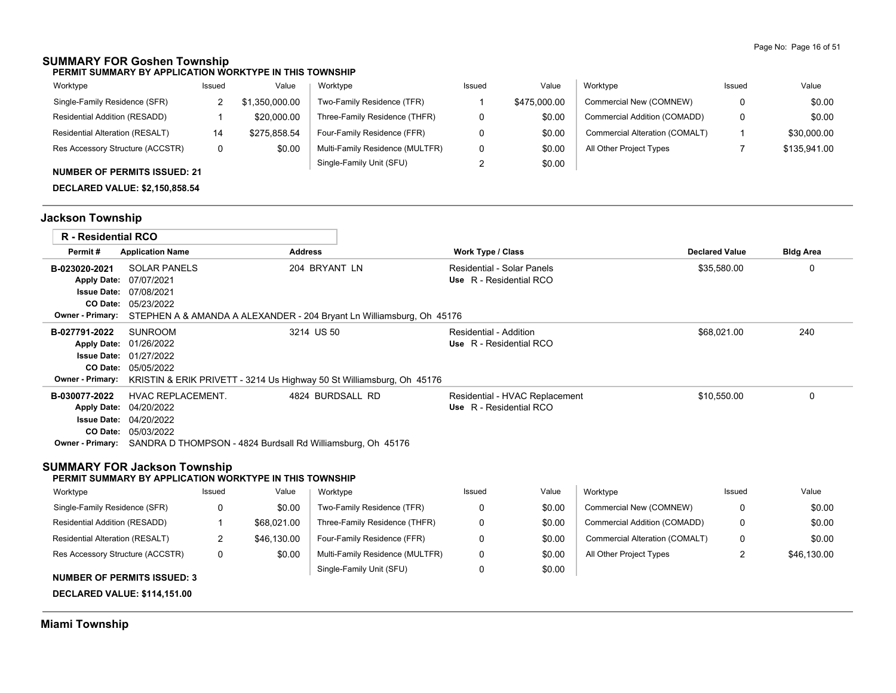### **SUMMARY FOR Goshen Township**

**PERMIT SUMMARY BY APPLICATION WORKTYPE IN THIS TOWNSHIP**

| Worktype                            | Issued | Value          | Worktype                        | Issued | Value        | Worktype                       | Issued | Value        |
|-------------------------------------|--------|----------------|---------------------------------|--------|--------------|--------------------------------|--------|--------------|
| Single-Family Residence (SFR)       |        | \$1,350,000.00 | Two-Family Residence (TFR)      |        | \$475,000.00 | Commercial New (COMNEW)        | 0      | \$0.00       |
| Residential Addition (RESADD)       |        | \$20,000.00    | Three-Family Residence (THFR)   |        | \$0.00       | Commercial Addition (COMADD)   | 0      | \$0.00       |
| Residential Alteration (RESALT)     | 14     | \$275,858.54   | Four-Family Residence (FFR)     |        | \$0.00       | Commercial Alteration (COMALT) |        | \$30,000.00  |
| Res Accessory Structure (ACCSTR)    |        | \$0.00         | Multi-Family Residence (MULTFR) |        | \$0.00       | All Other Project Types        |        | \$135,941.00 |
| <b>NUMBER OF PERMITS ISSUED: 21</b> |        |                | Single-Family Unit (SFU)        |        | \$0.00       |                                |        |              |

**DECLARED VALUE: \$2,150,858.54**

# **Jackson Township**

| <b>R</b> - Residential RCO                                                                                      |                                                                                                |             |                |                                                                                                                                                              |                                                       |                                |                                |                       |                  |
|-----------------------------------------------------------------------------------------------------------------|------------------------------------------------------------------------------------------------|-------------|----------------|--------------------------------------------------------------------------------------------------------------------------------------------------------------|-------------------------------------------------------|--------------------------------|--------------------------------|-----------------------|------------------|
| Permit#                                                                                                         | <b>Application Name</b>                                                                        |             | <b>Address</b> |                                                                                                                                                              | Work Type / Class                                     |                                |                                | <b>Declared Value</b> | <b>Bldg Area</b> |
| B-023020-2021<br><b>Apply Date:</b><br><b>Issue Date: 07/08/2021</b><br>CO Date:                                | <b>SOLAR PANELS</b><br>07/07/2021<br>05/23/2022                                                |             |                | 204 BRYANT LN                                                                                                                                                | Residential - Solar Panels<br>Use R - Residential RCO |                                |                                | \$35,580.00           | 0                |
| <b>Owner - Primary:</b><br>B-027791-2022<br><b>Apply Date:</b><br><b>Issue Date:</b><br><b>Owner - Primary:</b> | <b>SUNROOM</b><br>01/26/2022<br>01/27/2022<br>CO Date: 05/05/2022                              |             |                | STEPHEN A & AMANDA A ALEXANDER - 204 Bryant Ln Williamsburg, Oh 45176<br>3214 US 50<br>KRISTIN & ERIK PRIVETT - 3214 Us Highway 50 St Williamsburg, Oh 45176 | Residential - Addition<br>Use R - Residential RCO     |                                |                                | \$68,021.00           | 240              |
| B-030077-2022<br><b>Apply Date:</b><br><b>SUMMARY FOR Jackson Township</b>                                      | <b>HVAC REPLACEMENT.</b><br>04/20/2022<br><b>Issue Date: 04/20/2022</b><br>CO Date: 05/03/2022 |             |                | 4824 BURDSALL RD<br><b>Owner - Primary:</b> SANDRA D THOMPSON - 4824 Burdsall Rd Williamsburg, Oh 45176                                                      | Use R - Residential RCO                               | Residential - HVAC Replacement |                                | \$10,550.00           | 0                |
| PERMIT SUMMARY BY APPLICATION WORKTYPE IN THIS TOWNSHIP                                                         |                                                                                                |             |                |                                                                                                                                                              |                                                       |                                |                                |                       |                  |
| Worktype                                                                                                        |                                                                                                | Issued      | Value          | Worktype                                                                                                                                                     | Issued                                                | Value                          | Worktype                       | Issued                | Value            |
| Single-Family Residence (SFR)                                                                                   |                                                                                                | 0           | \$0.00         | Two-Family Residence (TFR)                                                                                                                                   | 0                                                     | \$0.00                         | Commercial New (COMNEW)        | $\Omega$              | \$0.00           |
| Residential Addition (RESADD)                                                                                   |                                                                                                | $\mathbf 1$ | \$68,021.00    | Three-Family Residence (THFR)                                                                                                                                | 0                                                     | \$0.00                         | Commercial Addition (COMADD)   | 0                     | \$0.00           |
| Residential Alteration (RESALT)                                                                                 |                                                                                                | 2           | \$46,130.00    | Four-Family Residence (FFR)                                                                                                                                  | 0                                                     | \$0.00                         | Commercial Alteration (COMALT) | 0                     | \$0.00           |
| Res Accessory Structure (ACCSTR)<br><b>NUMBER OF PERMITS ISSUED: 3</b>                                          |                                                                                                | 0           | \$0.00         | Multi-Family Residence (MULTFR)<br>Single-Family Unit (SFU)                                                                                                  | 0<br>0                                                | \$0.00<br>\$0.00               | All Other Project Types        | 2                     | \$46,130.00      |
| <b>DECLARED VALUE: \$114,151.00</b>                                                                             |                                                                                                |             |                |                                                                                                                                                              |                                                       |                                |                                |                       |                  |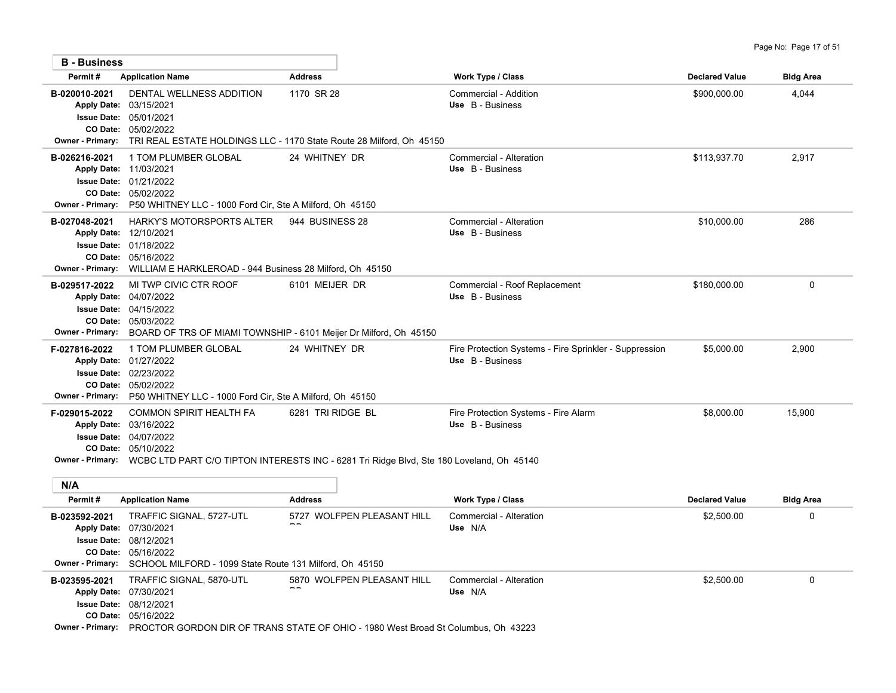| <b>B</b> - Business                      |                                                                                                                                                                                         |                                                                                                                                |                                                                            |                       |                  |
|------------------------------------------|-----------------------------------------------------------------------------------------------------------------------------------------------------------------------------------------|--------------------------------------------------------------------------------------------------------------------------------|----------------------------------------------------------------------------|-----------------------|------------------|
| Permit#                                  | <b>Application Name</b>                                                                                                                                                                 | <b>Address</b>                                                                                                                 | <b>Work Type / Class</b>                                                   | <b>Declared Value</b> | <b>Bldg Area</b> |
| B-020010-2021<br><b>Owner - Primary:</b> | DENTAL WELLNESS ADDITION<br>Apply Date: 03/15/2021<br><b>Issue Date: 05/01/2021</b><br>CO Date: 05/02/2022                                                                              | 1170 SR 28<br>TRI REAL ESTATE HOLDINGS LLC - 1170 State Route 28 Milford, Oh 45150                                             | Commercial - Addition<br>Use B - Business                                  | \$900,000.00          | 4,044            |
| B-026216-2021<br><b>Owner - Primary:</b> | 1 TOM PLUMBER GLOBAL<br>Apply Date: 11/03/2021<br><b>Issue Date: 01/21/2022</b><br>CO Date: 05/02/2022<br>P50 WHITNEY LLC - 1000 Ford Cir, Ste A Milford, Oh 45150                      | 24 WHITNEY DR                                                                                                                  | Commercial - Alteration<br>Use B - Business                                | \$113,937.70          | 2,917            |
| B-027048-2021<br><b>Owner - Primary:</b> | HARKY'S MOTORSPORTS ALTER 944 BUSINESS 28<br>Apply Date: 12/10/2021<br><b>Issue Date: 01/18/2022</b><br>CO Date: 05/16/2022<br>WILLIAM E HARKLEROAD - 944 Business 28 Milford, Oh 45150 |                                                                                                                                | Commercial - Alteration<br>Use B - Business                                | \$10,000.00           | 286              |
| B-029517-2022<br><b>Owner - Primary:</b> | MI TWP CIVIC CTR ROOF<br>Apply Date: 04/07/2022<br><b>Issue Date: 04/15/2022</b><br>CO Date: 05/03/2022<br>BOARD OF TRS OF MIAMI TOWNSHIP - 6101 Meijer Dr Milford, Oh 45150            | 6101 MEIJER DR                                                                                                                 | Commercial - Roof Replacement<br>Use B - Business                          | \$180,000.00          | $\mathbf 0$      |
| F-027816-2022                            | 1 TOM PLUMBER GLOBAL<br>Apply Date: 01/27/2022<br><b>Issue Date: 02/23/2022</b><br>CO Date: 05/02/2022<br>Owner - Primary: P50 WHITNEY LLC - 1000 Ford Cir, Ste A Milford, Oh 45150     | 24 WHITNEY DR                                                                                                                  | Fire Protection Systems - Fire Sprinkler - Suppression<br>Use B - Business | \$5,000.00            | 2,900            |
| F-029015-2022<br>N/A                     | <b>COMMON SPIRIT HEALTH FA</b><br>Apply Date: 03/16/2022<br><b>Issue Date: 04/07/2022</b><br>CO Date: 05/10/2022                                                                        | 6281 TRI RIDGE BL<br>Owner - Primary: WCBC LTD PART C/O TIPTON INTERESTS INC - 6281 Tri Ridge Blvd, Ste 180 Loveland, Oh 45140 | Fire Protection Systems - Fire Alarm<br>Use B - Business                   | \$8,000.00            | 15,900           |
| Permit#                                  | <b>Application Name</b>                                                                                                                                                                 | <b>Address</b>                                                                                                                 | <b>Work Type / Class</b>                                                   | <b>Declared Value</b> | <b>Bldg Area</b> |
| B-023592-2021                            | TRAFFIC SIGNAL, 5727-UTL<br>Apply Date: 07/30/2021                                                                                                                                      | 5727 WOLFPEN PLEASANT HILL                                                                                                     | Commercial - Alteration<br>Use N/A                                         | \$2,500.00            | 0                |

|               | Owner - Primary: SCHOOL MILFORD - 1099 State Route 131 Milford, Oh 45150 |                                     |                       |
|---------------|--------------------------------------------------------------------------|-------------------------------------|-----------------------|
| D 022505 2024 | TRACCIC CICNAL 5270 LITL                                                 | <b>E270 MOI EDEN DI EACANT LIII</b> | Commorcial Altoration |

05/16/2022 **CO Date:** 08/12/2021 **Issue Date:**

| B-023595-2021      | TRAFFIC SIGNAL, 5870-UTL                                                                  | 5870 WOLFPEN PLEASANT HILL | Commercial - Alteration | \$2,500.00 |  |
|--------------------|-------------------------------------------------------------------------------------------|----------------------------|-------------------------|------------|--|
| <b>Apply Date:</b> | 07/30/2021                                                                                | $- -$                      | Use N/A                 |            |  |
|                    | <b>Issue Date: 08/12/2021</b>                                                             |                            |                         |            |  |
|                    | CO Date: 05/16/2022                                                                       |                            |                         |            |  |
| Owner - Primary    | <b>DDOCTOD CODDON DID OF TRANS STATE OF OHIO - 1080 Wort Broad St Columbus. Ob. 43223</b> |                            |                         |            |  |

**Owner - Primary:** PROCTOR GORDON DIR OF TRANS STATE OF OHIO - 1980 West Broad St Columbus, Oh 43223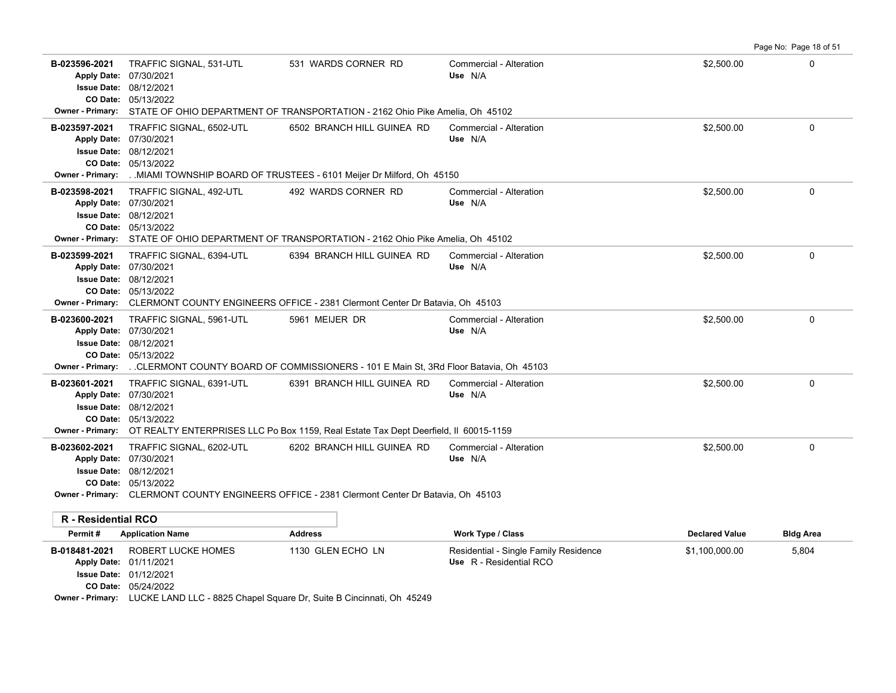| B-023596-2021<br>Apply Date: 07/30/2021<br><b>Owner - Primary:</b> | TRAFFIC SIGNAL, 531-UTL<br><b>Issue Date: 08/12/2021</b><br>CO Date: 05/13/2022  | 531 WARDS CORNER RD<br>STATE OF OHIO DEPARTMENT OF TRANSPORTATION - 2162 Ohio Pike Amelia, Oh 45102                                 | Commercial - Alteration<br>Use N/A                               | \$2,500.00            | 0                |
|--------------------------------------------------------------------|----------------------------------------------------------------------------------|-------------------------------------------------------------------------------------------------------------------------------------|------------------------------------------------------------------|-----------------------|------------------|
| B-023597-2021<br>Apply Date: 07/30/2021<br><b>Owner - Primary:</b> | TRAFFIC SIGNAL, 6502-UTL<br><b>Issue Date: 08/12/2021</b><br>CO Date: 05/13/2022 | 6502 BRANCH HILL GUINEA RD<br>. MIAMI TOWNSHIP BOARD OF TRUSTEES - 6101 Meijer Dr Milford, Oh 45150                                 | Commercial - Alteration<br>Use N/A                               | \$2,500.00            | 0                |
| B-023598-2021<br>Apply Date: 07/30/2021<br><b>Owner - Primary:</b> | TRAFFIC SIGNAL, 492-UTL<br><b>Issue Date: 08/12/2021</b><br>CO Date: 05/13/2022  | 492 WARDS CORNER RD<br>STATE OF OHIO DEPARTMENT OF TRANSPORTATION - 2162 Ohio Pike Amelia, Oh 45102                                 | Commercial - Alteration<br>Use N/A                               | \$2,500.00            | 0                |
| B-023599-2021<br>Apply Date: 07/30/2021<br><b>Owner - Primary:</b> | TRAFFIC SIGNAL, 6394-UTL<br><b>Issue Date: 08/12/2021</b><br>CO Date: 05/13/2022 | 6394 BRANCH HILL GUINEA RD<br>CLERMONT COUNTY ENGINEERS OFFICE - 2381 Clermont Center Dr Batavia, Oh 45103                          | Commercial - Alteration<br>Use N/A                               | \$2,500.00            | 0                |
| B-023600-2021<br>Apply Date: 07/30/2021<br><b>Owner - Primary:</b> | TRAFFIC SIGNAL, 5961-UTL<br><b>Issue Date: 08/12/2021</b><br>CO Date: 05/13/2022 | 5961 MEIJER DR<br>. CLERMONT COUNTY BOARD OF COMMISSIONERS - 101 E Main St, 3Rd Floor Batavia, Oh 45103                             | Commercial - Alteration<br>Use N/A                               | \$2,500.00            | 0                |
| B-023601-2021<br>Apply Date: 07/30/2021                            | TRAFFIC SIGNAL, 6391-UTL<br><b>Issue Date: 08/12/2021</b><br>CO Date: 05/13/2022 | 6391 BRANCH HILL GUINEA RD<br>Owner - Primary: OT REALTY ENTERPRISES LLC Po Box 1159, Real Estate Tax Dept Deerfield, II 60015-1159 | Commercial - Alteration<br>Use N/A                               | \$2,500.00            | 0                |
| B-023602-2021<br>Apply Date: 07/30/2021                            | TRAFFIC SIGNAL, 6202-UTL<br><b>Issue Date: 08/12/2021</b><br>CO Date: 05/13/2022 | 6202 BRANCH HILL GUINEA RD<br>Owner - Primary: CLERMONT COUNTY ENGINEERS OFFICE - 2381 Clermont Center Dr Batavia, Oh 45103         | Commercial - Alteration<br>Use N/A                               | \$2,500.00            | 0                |
| R - Residential RCO<br>Permit#                                     | <b>Application Name</b>                                                          | <b>Address</b>                                                                                                                      | <b>Work Type / Class</b>                                         | <b>Declared Value</b> | <b>Bldg Area</b> |
| B-018481-2021                                                      | ROBERT LUCKE HOMES<br>Apply Date: 01/11/2021<br>Issue Date: 01/12/2021           | 1130 GLEN ECHO LN                                                                                                                   | Residential - Single Family Residence<br>Use R - Residential RCO | \$1,100,000.00        | 5,804            |

Page No: Page 18 of 51

05/24/2022 **CO Date:**

**Owner - Primary:** LUCKE LAND LLC - 8825 Chapel Square Dr, Suite B Cincinnati, Oh 45249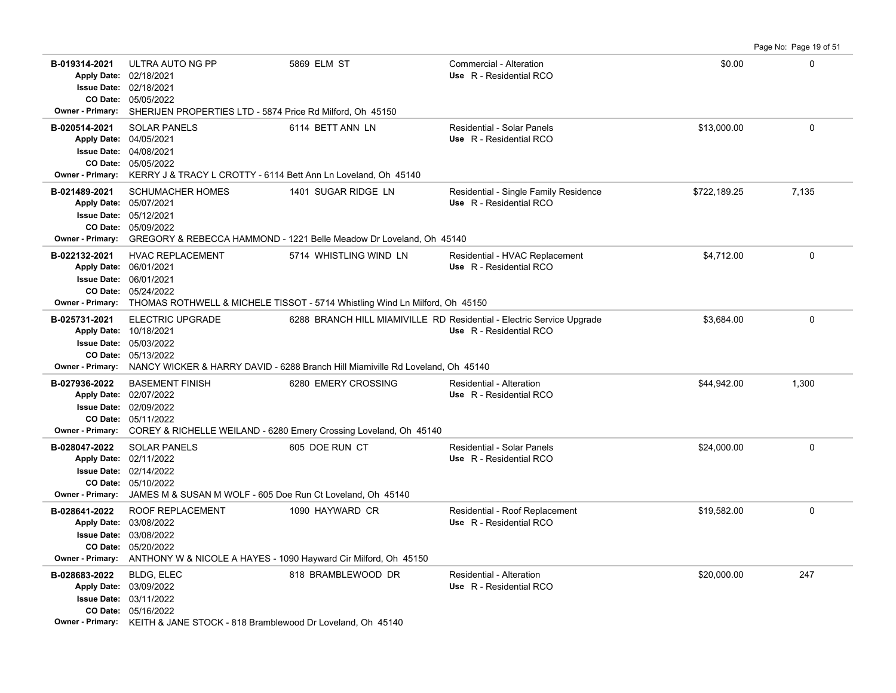**B-019314-2021** \$0.00 0 05/05/2022 **CO Date:** 02/18/2021 **Issue Date:** Apply Date: 02/18/2021 ULTRA AUTO NG PP 5869 ELM ST Commercial - Alteration **Apply Date: Use** R - Residential RCO **Owner - Primary:** SHERIJEN PROPERTIES LTD - 5874 Price Rd Milford, Oh 45150 **B-020514-2021** \$13,000.00 0 SOLAR PANELS 6114 BETT ANN LN Residential - Solar Panels 05/05/2022 **CO Date:** 04/08/2021 **Issue Date:** 04/05/2021 **Apply Date: Use** R - Residential RCO **Owner - Primary:** KERRY J & TRACY L CROTTY - 6114 Bett Ann Ln Loveland, Oh 45140 B-021489-2021 SCHUMACHER HOMES 1401 SUGAR RIDGE LN Residential - Single Family Residence \$722,189.25 7,135 05/09/2022 **CO Date:** 05/12/2021 **Issue Date:** 05/07/2021 **Apply Date: Use** R - Residential RCO **Owner - Primary:** GREGORY & REBECCA HAMMOND - 1221 Belle Meadow Dr Loveland, Oh 45140 **B-022132-2021** \$4,712.00 0 HVAC REPLACEMENT 5714 WHISTLING WIND LN Residential - HVAC Replacement 05/24/2022 **CO Date:** 06/01/2021 **Issue Date:** Apply Date: 06/01/2021 **Apply Date: Use** R - Residential RCO **Owner - Primary:** THOMAS ROTHWELL & MICHELE TISSOT - 5714 Whistling Wind Ln Milford, Oh 45150 B-025731-2021 ELECTRIC UPGRADE 6288 BRANCH HILL MIAMIVILLE RD Residential - Electric Service Upgrade \$3,684.00 \$3,684.00 05/13/2022 **CO Date:** 05/03/2022 **Issue Date:** Apply Date: 10/18/2021 **Apply Date: Use** R - Residential RCO **Owner - Primary:** NANCY WICKER & HARRY DAVID - 6288 Branch Hill Miamiville Rd Loveland, Oh 45140 **B-027936-2022** \$44,942.00 1,300 BASEMENT FINISH 6280 EMERY CROSSING Residential - Alteration 05/11/2022 **CO Date:** 02/09/2022 **Issue Date:** Apply Date: 02/07/2022 **Apply Date: Use** R - Residential RCO **Owner - Primary:** COREY & RICHELLE WEILAND - 6280 Emery Crossing Loveland, Oh 45140 **B-028047-2022** \$24,000.00 0 SOLAR PANELS 605 DOE RUN CT Residential - Solar Panels 05/10/2022 **CO Date:** 02/14/2022 **Issue Date:** Apply Date: 02/11/2022 **Apply Date: Use** R - Residential RCO **Owner - Primary:** JAMES M & SUSAN M WOLF - 605 Doe Run Ct Loveland, Oh 45140 B-028641-2022 ROOF REPLACEMENT 1090 HAYWARD CR Residential - Roof Replacement \$19,582.00 \$19,582.00 05/20/2022 **CO Date:** 03/08/2022 **Issue Date:** 03/08/2022 **Apply Date: Use** R - Residential RCO **Owner - Primary:** ANTHONY W & NICOLE A HAYES - 1090 Hayward Cir Milford, Oh 45150 **B-028683-2022** \$20,000.00 247 BLDG, ELEC 818 BRAMBLEWOOD DR Residential - Alteration 05/16/2022 **CO Date:** 03/11/2022 **Issue Date:** 03/09/2022 **Apply Date: Use** R - Residential RCO **Owner - Primary:** KEITH & JANE STOCK - 818 Bramblewood Dr Loveland, Oh 45140

Page No: Page 19 of 51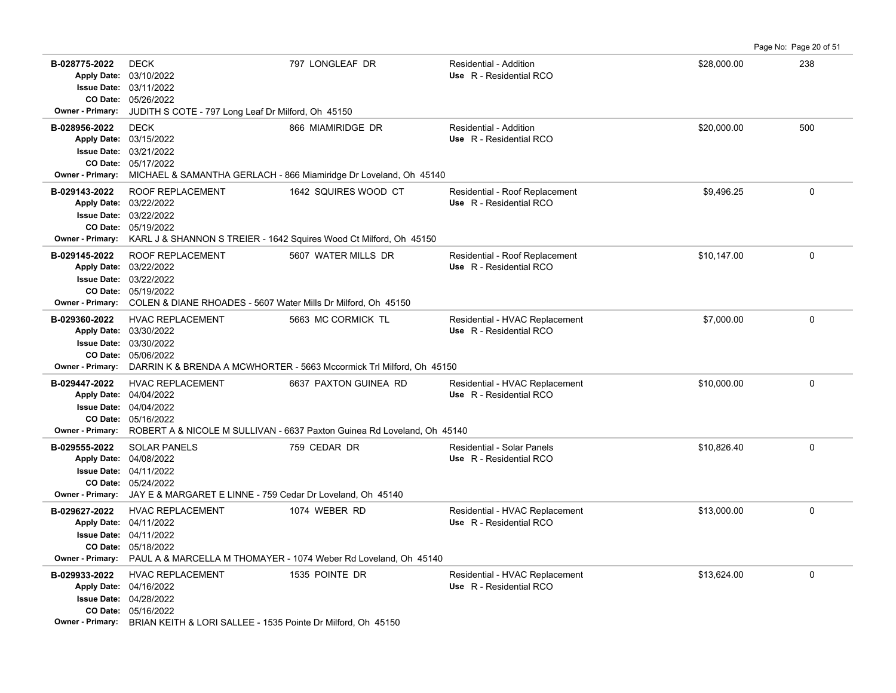**B-028775-2022** \$28,000.00 238 05/26/2022 **CO Date:** 03/11/2022 **Issue Date:** 03/10/2022 **Apply Date: Use** R - Residential RCO DECK 797 LONGLEAF DR Residential - Addition **Owner - Primary:** JUDITH S COTE - 797 Long Leaf Dr Milford, Oh 45150 **B-028956-2022** \$20,000.00 500 DECK 866 MIAMIRIDGE DR Residential - Addition 05/17/2022 **CO Date:** 03/21/2022 **Issue Date:** 03/15/2022 **Apply Date: Use** R - Residential RCO **Owner - Primary:** MICHAEL & SAMANTHA GERLACH - 866 Miamiridge Dr Loveland, Oh 45140 B-029143-2022 ROOF REPLACEMENT 1642 SQUIRES WOOD CT Residential - Roof Replacement \$9,496.25 \$9,496.25 05/19/2022 **CO Date:** 03/22/2022 **Issue Date:** 03/22/2022 **Apply Date: Use** R - Residential RCO **Owner - Primary:** KARL J & SHANNON S TREIER - 1642 Squires Wood Ct Milford, Oh 45150 B-029145-2022 ROOF REPLACEMENT 5607 WATER MILLS DR Residential - Roof Replacement \$10,147.00 \$10,147.00 05/19/2022 **CO Date:** 03/22/2022 **Issue Date:** Apply Date: 03/22/2022 **Apply Date: Use** R - Residential RCO **Owner - Primary:** COLEN & DIANE RHOADES - 5607 Water Mills Dr Milford, Oh 45150 B-029360-2022 HVAC REPLACEMENT 5663 MC CORMICK TL Residential - HVAC Replacement \$7,000.00 \$7,000.00 05/06/2022 **CO Date:** 03/30/2022 **Issue Date:** Apply Date: 03/30/2022 **Apply Date: Use** R - Residential RCO **Owner - Primary:** DARRIN K & BRENDA A MCWHORTER - 5663 Mccormick Trl Milford, Oh 45150 B-029447-2022 HVAC REPLACEMENT 6637 PAXTON GUINEA RD Residential - HVAC Replacement \$10,000.00 \$10,000.00 0 05/16/2022 **CO Date:** 04/04/2022 **Issue Date:** Apply Date: 04/04/2022 **Apply Date: Use** R - Residential RCO **Owner - Primary:** ROBERT A & NICOLE M SULLIVAN - 6637 Paxton Guinea Rd Loveland, Oh 45140 **B-029555-2022** SOLAR PANELS 759 CEDAR DR Residential - Solar Panels \$10,826.40 0 05/24/2022 **CO Date:** 04/11/2022 **Issue Date:** Apply Date: 04/08/2022 **Apply Date: Use** R - Residential RCO **Owner - Primary:** JAY E & MARGARET E LINNE - 759 Cedar Dr Loveland, Oh 45140 **B-029627-2022** HVAC REPLACEMENT 1074 WEBER RD Residential - HVAC Replacement \$13,000.00 \$13,000.00 05/18/2022 **CO Date:** 04/11/2022 **Issue Date:** 04/11/2022 **Apply Date: Use** R - Residential RCO **Owner - Primary:** PAUL A & MARCELLA M THOMAYER - 1074 Weber Rd Loveland, Oh 45140 **B-029933-2022** HVAC REPLACEMENT 1535 POINTE DR Residential - HVAC Replacement \$13,624.00 \$13,624.00 05/16/2022 **CO Date:** 04/28/2022 **Issue Date:** 04/16/2022 **Apply Date: Use** R - Residential RCO

Page No: Page 20 of 51

**Owner - Primary:** BRIAN KEITH & LORI SALLEE - 1535 Pointe Dr Milford, Oh 45150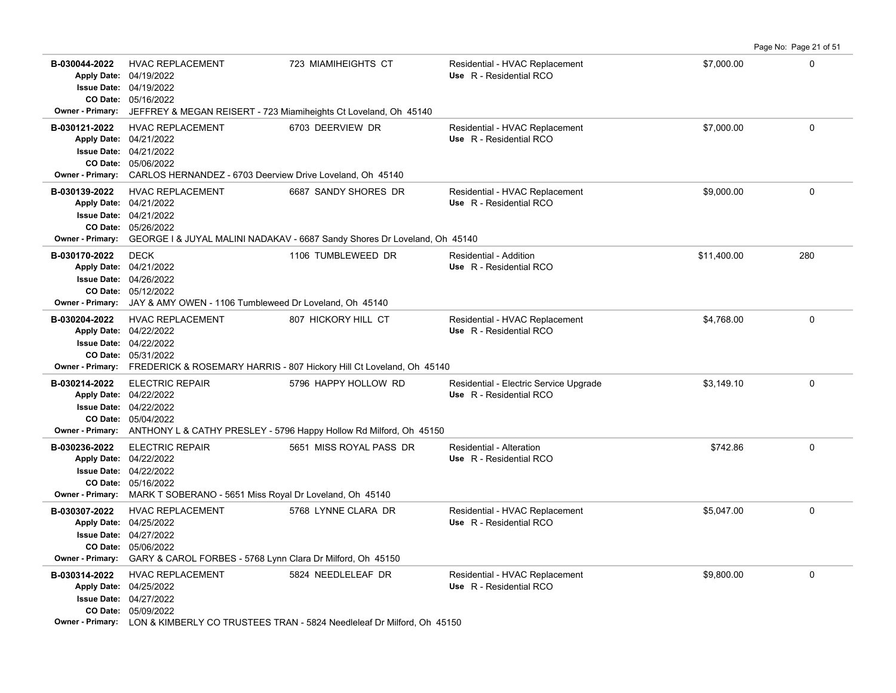| B-030044-2022                            | <b>HVAC REPLACEMENT</b><br>Apply Date: 04/19/2022<br>Issue Date: 04/19/2022<br>CO Date: 05/16/2022<br>Owner - Primary: JEFFREY & MEGAN REISERT - 723 Miamiheights Ct Loveland, Oh 45140  | 723 MIAMIHEIGHTS CT                                                                                                | Residential - HVAC Replacement<br>Use R - Residential RCO         | \$7,000.00  | $\mathbf 0$ |
|------------------------------------------|------------------------------------------------------------------------------------------------------------------------------------------------------------------------------------------|--------------------------------------------------------------------------------------------------------------------|-------------------------------------------------------------------|-------------|-------------|
| B-030121-2022                            | <b>HVAC REPLACEMENT</b><br>Apply Date: 04/21/2022<br><b>Issue Date: 04/21/2022</b><br>CO Date: 05/06/2022<br>Owner - Primary: CARLOS HERNANDEZ - 6703 Deerview Drive Loveland, Oh 45140  | 6703 DEERVIEW DR                                                                                                   | Residential - HVAC Replacement<br>Use R - Residential RCO         | \$7.000.00  | $\Omega$    |
| B-030139-2022                            | <b>HVAC REPLACEMENT</b><br>Apply Date: 04/21/2022<br>Issue Date: 04/21/2022<br>CO Date: 05/26/2022                                                                                       | 6687 SANDY SHORES DR<br>Owner - Primary: GEORGE I & JUYAL MALINI NADAKAV - 6687 Sandy Shores Dr Loveland, Oh 45140 | Residential - HVAC Replacement<br>Use R - Residential RCO         | \$9,000.00  | $\mathbf 0$ |
| B-030170-2022                            | <b>DECK</b><br>Apply Date: 04/21/2022<br><b>Issue Date: 04/26/2022</b><br>CO Date: 05/12/2022<br>Owner - Primary: JAY & AMY OWEN - 1106 Tumbleweed Dr Loveland, Oh 45140                 | 1106 TUMBLEWEED DR                                                                                                 | Residential - Addition<br>Use R - Residential RCO                 | \$11,400.00 | 280         |
| B-030204-2022                            | <b>HVAC REPLACEMENT</b><br>Apply Date: 04/22/2022<br><b>Issue Date: 04/22/2022</b><br>CO Date: 05/31/2022                                                                                | 807 HICKORY HILL CT<br>Owner - Primary: FREDERICK & ROSEMARY HARRIS - 807 Hickory Hill Ct Loveland, Oh 45140       | Residential - HVAC Replacement<br>Use R - Residential RCO         | \$4,768.00  | $\mathbf 0$ |
| B-030214-2022                            | <b>ELECTRIC REPAIR</b><br>Apply Date: 04/22/2022<br><b>Issue Date: 04/22/2022</b><br>CO Date: 05/04/2022                                                                                 | 5796 HAPPY HOLLOW RD<br>Owner - Primary: ANTHONY L & CATHY PRESLEY - 5796 Happy Hollow Rd Milford, Oh 45150        | Residential - Electric Service Upgrade<br>Use R - Residential RCO | \$3,149.10  | 0           |
| B-030236-2022<br><b>Owner - Primary:</b> | <b>ELECTRIC REPAIR</b><br>Apply Date: 04/22/2022<br><b>Issue Date: 04/22/2022</b><br>CO Date: 05/16/2022<br>MARK T SOBERANO - 5651 Miss Royal Dr Loveland, Oh 45140                      | 5651 MISS ROYAL PASS DR                                                                                            | Residential - Alteration<br>Use R - Residential RCO               | \$742.86    | $\mathbf 0$ |
| B-030307-2022                            | <b>HVAC REPLACEMENT</b><br>Apply Date: 04/25/2022<br>Issue Date: 04/27/2022<br>CO Date: 05/06/2022<br><b>Owner - Primary:</b> GARY & CAROL FORBES - 5768 Lynn Clara Dr Milford, Oh 45150 | 5768 LYNNE CLARA DR                                                                                                | Residential - HVAC Replacement<br>Use R - Residential RCO         | \$5,047.00  | 0           |
| B-030314-2022                            | <b>HVAC REPLACEMENT</b><br>Apply Date: 04/25/2022<br><b>Issue Date: 04/27/2022</b><br>CO Date: 05/09/2022                                                                                | 5824 NEEDLELEAF DR<br>Owner - Primary: LON & KIMBERLY CO TRUSTEES TRAN - 5824 Needleleaf Dr Milford, Oh 45150      | Residential - HVAC Replacement<br>Use R - Residential RCO         | \$9,800.00  | $\mathbf 0$ |

Page No: Page 21 of 51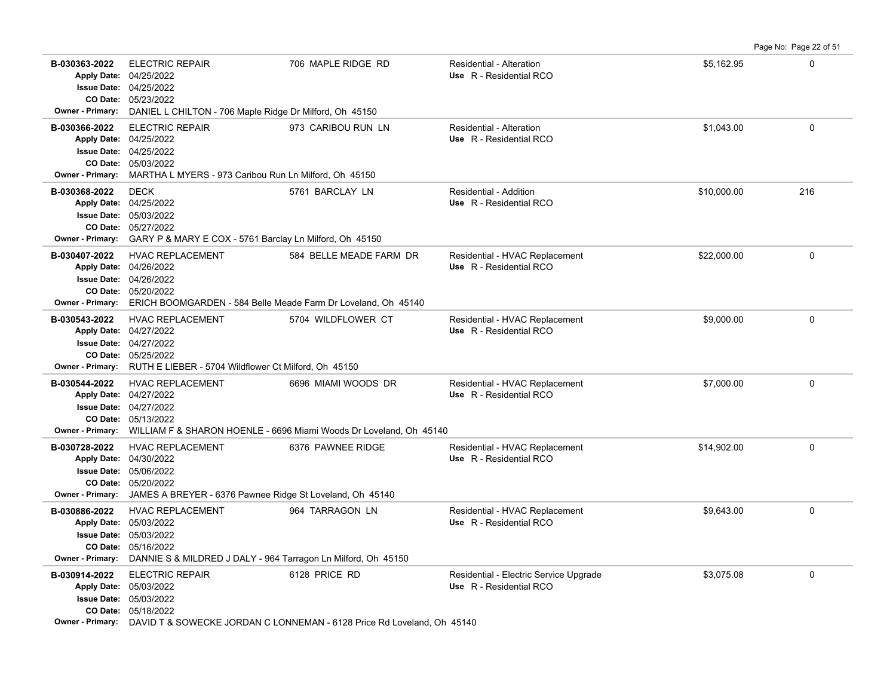**B-030363-2022** \$5,162.95 0 ELECTRIC REPAIR 706 MAPLE RIDGE RD Residential - Alteration 05/23/2022 **CO Date:** 04/25/2022 **Issue Date:** Apply Date: 04/25/2022 **Apply Date: Use** R - Residential RCO **Owner - Primary:** DANIEL L CHILTON - 706 Maple Ridge Dr Milford, Oh 45150 **B-030366-2022** \$1,043.00 0 ELECTRIC REPAIR 973 CARIBOU RUN LN Residential - Alteration 05/03/2022 **CO Date:** 04/25/2022 **Issue Date:** 04/25/2022 **Apply Date: Use** R - Residential RCO **Owner - Primary:** MARTHA L MYERS - 973 Caribou Run Ln Milford, Oh 45150 **B-030368-2022** \$10,000.00 216 05/27/2022 **CO Date:** 05/03/2022 **Issue Date:** 04/25/2022 **Apply Date: Use** R - Residential RCO DECK 5761 BARCLAY LN Residential - Addition **Owner - Primary:** GARY P & MARY E COX - 5761 Barclay Ln Milford, Oh 45150 B-030407-2022 HVAC REPLACEMENT 584 BELLE MEADE FARM DR Residential - HVAC Replacement \$22,000.00 \$22,000.00 0 05/20/2022 **CO Date:** 04/26/2022 **Issue Date:** Apply Date: 04/26/2022 **Apply Date: Use** R - Residential RCO **Owner - Primary:** ERICH BOOMGARDEN - 584 Belle Meade Farm Dr Loveland, Oh 45140 **B-030543-2022** \$9,000.00 0 HVAC REPLACEMENT 5704 WILDFLOWER CT Residential - HVAC Replacement 05/25/2022 **CO Date:** 04/27/2022 **Issue Date:** 04/27/2022 **Apply Date: Use** R - Residential RCO **Owner - Primary:** RUTH E LIEBER - 5704 Wildflower Ct Milford, Oh 45150 B-030544-2022 HVAC REPLACEMENT 6696 MIAMI WOODS DR Residential - HVAC Replacement \$7,000.00 \$7,000.00 05/13/2022 **CO Date:** 04/27/2022 **Issue Date:** Apply Date: 04/27/2022 **Apply Date: Use** R - Residential RCO **Owner - Primary:** WILLIAM F & SHARON HOENLE - 6696 Miami Woods Dr Loveland, Oh 45140 B-030728-2022 HVAC REPLACEMENT 6376 PAWNEE RIDGE Residential - HVAC Replacement \$14,902.00 0 0 05/20/2022 **CO Date:** 05/06/2022 **Issue Date:** Apply Date: 04/30/2022 **Apply Date: Use** R - Residential RCO **Owner - Primary:** JAMES A BREYER - 6376 Pawnee Ridge St Loveland, Oh 45140 **B-030886-2022** \$9,643.00 0 HVAC REPLACEMENT 964 TARRAGON LN Residential - HVAC Replacement 05/16/2022 **CO Date:** 05/03/2022 **Issue Date:** 05/03/2022 **Apply Date: Use** R - Residential RCO **Owner - Primary:** DANNIE S & MILDRED J DALY - 964 Tarragon Ln Milford, Oh 45150 **B-030914-2022** ELECTRIC REPAIR 6128 PRICE RD Residential - Electric Service Upgrade \$3,075.08 63,075.08 6128 PRICE RD 05/18/2022 **CO Date:** 05/03/2022 **Issue Date:** 05/03/2022 **Apply Date: Use** R - Residential RCO

Page No: Page 22 of 51

**Owner - Primary:** DAVID T & SOWECKE JORDAN C LONNEMAN - 6128 Price Rd Loveland, Oh 45140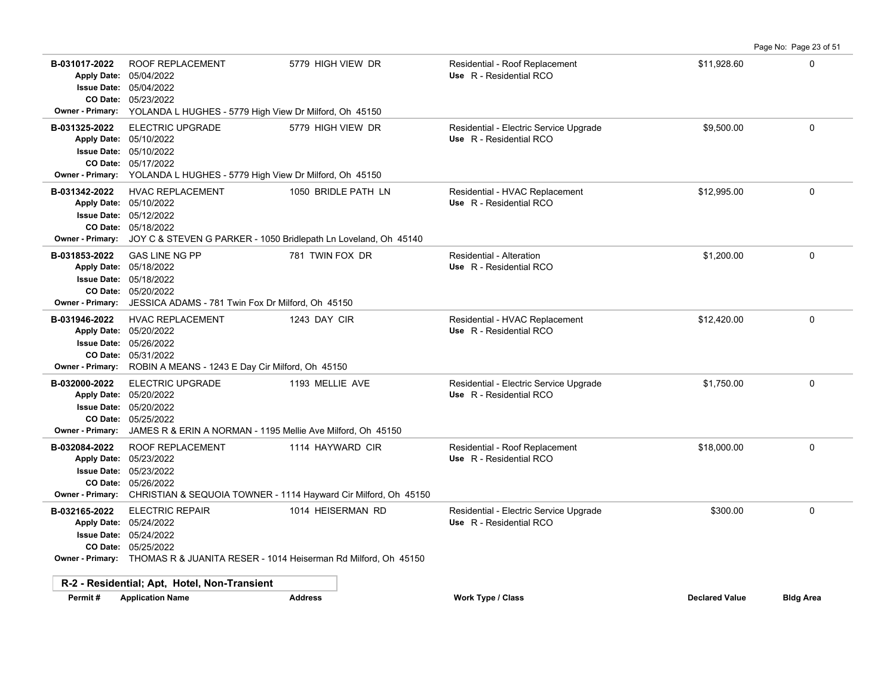|                                                                                                  |                                                                                                                                                                                                    |                     |                                                                   |                       | Page No: Page 23 of 51 |
|--------------------------------------------------------------------------------------------------|----------------------------------------------------------------------------------------------------------------------------------------------------------------------------------------------------|---------------------|-------------------------------------------------------------------|-----------------------|------------------------|
| B-031017-2022<br><b>Apply Date:</b><br><b>Issue Date:</b><br>CO Date:<br>Owner - Primary:        | <b>ROOF REPLACEMENT</b><br>05/04/2022<br>05/04/2022<br>05/23/2022<br>YOLANDA L HUGHES - 5779 High View Dr Milford, Oh 45150                                                                        | 5779 HIGH VIEW DR   | Residential - Roof Replacement<br>Use R - Residential RCO         | \$11,928.60           | $\Omega$               |
| B-031325-2022<br><b>Apply Date:</b><br><b>Issue Date:</b><br>CO Date:<br>Owner - Primary:        | <b>ELECTRIC UPGRADE</b><br>05/10/2022<br>05/10/2022<br>05/17/2022<br>YOLANDA L HUGHES - 5779 High View Dr Milford, Oh 45150                                                                        | 5779 HIGH VIEW DR   | Residential - Electric Service Upgrade<br>Use R - Residential RCO | \$9,500.00            | $\mathbf 0$            |
| B-031342-2022<br><b>Owner - Primary:</b>                                                         | <b>HVAC REPLACEMENT</b><br>Apply Date: 05/10/2022<br><b>Issue Date: 05/12/2022</b><br>CO Date: 05/18/2022<br>JOY C & STEVEN G PARKER - 1050 Bridlepath Ln Loveland, Oh 45140                       | 1050 BRIDLE PATH LN | Residential - HVAC Replacement<br>Use R - Residential RCO         | \$12,995.00           | $\mathbf 0$            |
| B-031853-2022<br><b>Apply Date:</b><br><b>Owner - Primary:</b>                                   | <b>GAS LINE NG PP</b><br>05/18/2022<br><b>Issue Date: 05/18/2022</b><br>CO Date: 05/20/2022<br>JESSICA ADAMS - 781 Twin Fox Dr Milford, Oh 45150                                                   | 781 TWIN FOX DR     | Residential - Alteration<br>Use R - Residential RCO               | \$1,200.00            | $\mathbf 0$            |
| B-031946-2022<br><b>Apply Date:</b><br><b>Issue Date:</b><br>CO Date:<br><b>Owner - Primary:</b> | <b>HVAC REPLACEMENT</b><br>05/20/2022<br>05/26/2022<br>05/31/2022<br>ROBIN A MEANS - 1243 E Day Cir Milford, Oh 45150                                                                              | 1243 DAY CIR        | Residential - HVAC Replacement<br>Use R - Residential RCO         | \$12,420.00           | $\mathbf 0$            |
| B-032000-2022<br><b>Apply Date:</b><br><b>Issue Date:</b><br>CO Date:<br><b>Owner - Primary:</b> | <b>ELECTRIC UPGRADE</b><br>05/20/2022<br>05/20/2022<br>05/25/2022<br>JAMES R & ERIN A NORMAN - 1195 Mellie Ave Milford, Oh 45150                                                                   | 1193 MELLIE AVE     | Residential - Electric Service Upgrade<br>Use R - Residential RCO | \$1.750.00            | $\mathbf{0}$           |
| B-032084-2022<br><b>Apply Date:</b><br><b>Issue Date:</b><br>CO Date:<br><b>Owner - Primary:</b> | ROOF REPLACEMENT<br>05/23/2022<br>05/23/2022<br>05/26/2022<br>CHRISTIAN & SEQUOIA TOWNER - 1114 Hayward Cir Milford, Oh 45150                                                                      | 1114 HAYWARD CIR    | Residential - Roof Replacement<br>Use R - Residential RCO         | \$18,000.00           | $\mathbf 0$            |
| B-032165-2022                                                                                    | <b>ELECTRIC REPAIR</b><br>Apply Date: 05/24/2022<br><b>Issue Date: 05/24/2022</b><br>CO Date: 05/25/2022<br><b>Owner - Primary:</b> THOMAS R & JUANITA RESER - 1014 Heiserman Rd Milford, Oh 45150 | 1014 HEISERMAN RD   | Residential - Electric Service Upgrade<br>Use R - Residential RCO | \$300.00              | $\mathbf{0}$           |
|                                                                                                  | R-2 - Residential; Apt, Hotel, Non-Transient                                                                                                                                                       |                     |                                                                   |                       |                        |
| Permit#                                                                                          | <b>Application Name</b>                                                                                                                                                                            | <b>Address</b>      | <b>Work Type / Class</b>                                          | <b>Declared Value</b> | <b>Bldg Area</b>       |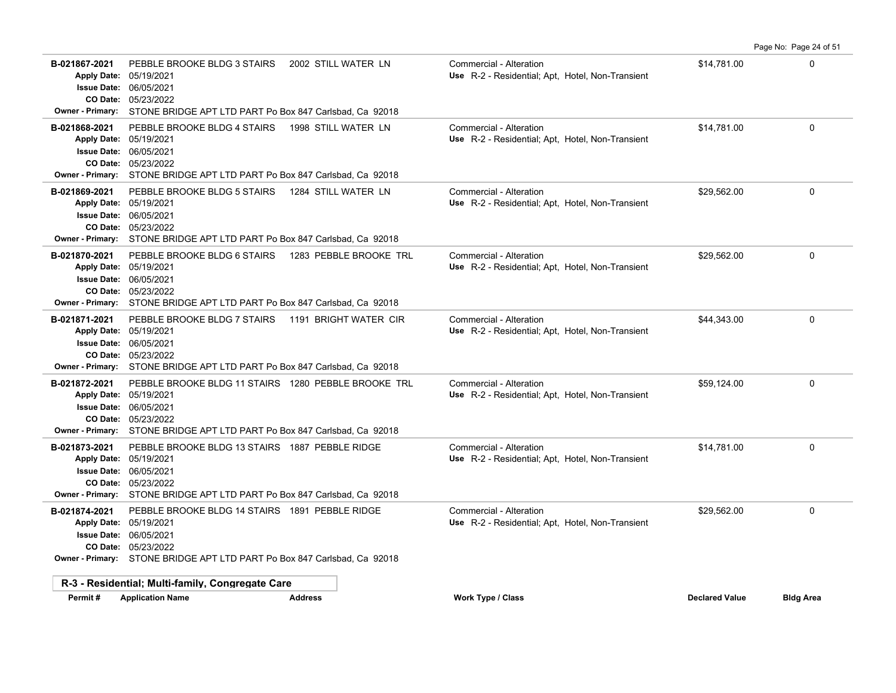**B-021867-2021** PEBBLE BROOKE BLDG 3 STAIRS 2002 STILL WATER LN Commercial - Alteration 6 14,781.00 6 14,781.00 05/23/2022 **CO Date:** 06/05/2021 **Issue Date:** Apply Date: 05/19/2021 **Apply Date: Use** R-2 - Residential; Apt, Hotel, Non-Transient **Owner - Primary:** STONE BRIDGE APT LTD PART Po Box 847 Carlsbad, Ca 92018 **B-021868-2021** PEBBLE BROOKE BLDG 4 STAIRS 1998 STILL WATER LN Commercial - Alteration 6 14,781.00 6 14,781.00 05/23/2022 **CO Date:** 06/05/2021 **Issue Date:** Apply Date: 05/19/2021 Use R-2 - Residential; Apt, Hotel, Non-Transient **Owner - Primary:** STONE BRIDGE APT LTD PART Po Box 847 Carlsbad, Ca 92018 **B-021869-2021** PEBBLE BROOKE BLDG 5 STAIRS 1284 STILL WATER LN Commercial - Alteration 6 1999, 129,562.00 0 0 1 05/23/2022 **CO Date:** 06/05/2021 **Issue Date:** Apply Date: 05/19/2021 **Apply Date: Use** R-2 - Residential; Apt, Hotel, Non-Transient **Owner - Primary:** STONE BRIDGE APT LTD PART Po Box 847 Carlsbad, Ca 92018 **B-021870-2021** PEBBLE BROOKE BLDG 6 STAIRS 1283 PEBBLE BROOKE TRL Commercial - Alteration 6 1999, 1999, 1999, 1999, 1999, 1999, 1999, 1999, 1999, 1999, 1999, 1999, 1999, 1999, 1999, 1999, 1999, 1999, 1999, 1999, 1999, 199 05/23/2022 **CO Date:** 06/05/2021 **Issue Date:** Apply Date: 05/19/2021 Use R-2 - Residential; Apt, Hotel, Non-Transient **Owner - Primary:** STONE BRIDGE APT LTD PART Po Box 847 Carlsbad, Ca 92018 **B-021871-2021** PEBBLE BROOKE BLDG 7 STAIRS 1191 BRIGHT WATER CIR Commercial - Alteration **Commercial - Alteration** 05/23/2022 **CO Date:** 06/05/2021 **Issue Date:** Apply Date: 05/19/2021 Use R-2 - Residential; Apt, Hotel, Non-Transient **Owner - Primary:** STONE BRIDGE APT LTD PART Po Box 847 Carlsbad, Ca 92018 **B-021872-2021** PEBBLE BROOKE BLDG 11 STAIRS 1280 PEBBLE BROOKE TRL Commercial - Alteration 6 69,124.00 659,124.00 05/23/2022 **CO Date:** 06/05/2021 **Issue Date:** Apply Date: 05/19/2021 **Apply Date: Use** R-2 - Residential; Apt, Hotel, Non-Transient **Owner - Primary:** STONE BRIDGE APT LTD PART Po Box 847 Carlsbad, Ca 92018 **B-021873-2021** PEBBLE BROOKE BLDG 13 STAIRS 1887 PEBBLE RIDGE Commercial - Alteration 6 14,781.00 514,781.00 05/23/2022 **CO Date:** 06/05/2021 **Issue Date:** Apply Date: 05/19/2021 **Use** R-2 - Residential; Apt, Hotel, Non-Transient **Owner - Primary:** STONE BRIDGE APT LTD PART Po Box 847 Carlsbad, Ca 92018 B-021874-2021 PEBBLE BROOKE BLDG 14 STAIRS 1891 PEBBLE RIDGE Commercial - Alteration **Commercial - Alteration** \$29,562.00 05/23/2022 **CO Date:** 06/05/2021 **Issue Date:** Apply Date: 05/19/2021 **Apply Date: Use** R-2 - Residential; Apt, Hotel, Non-Transient **Owner - Primary:** STONE BRIDGE APT LTD PART Po Box 847 Carlsbad, Ca 92018 **R-3 - Residential; Multi-family, Congregate Care Permit # Application Name Address Work Type / Class Declared Value Bldg Area**

Page No: Page 24 of 51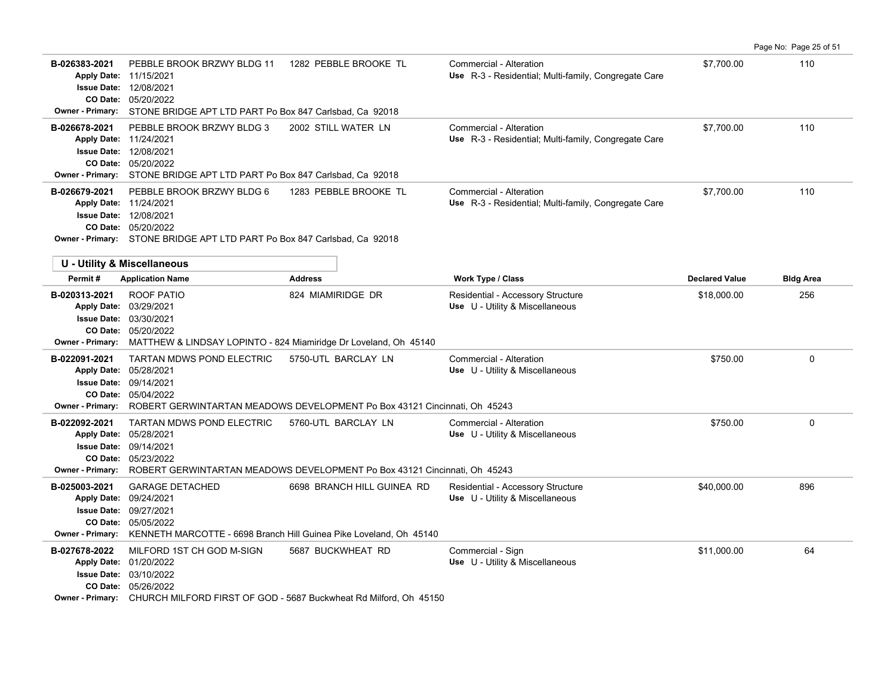|                                                      |                                                                                                                                                                                                                                   |                                                                                                         |                                                                                 |                       | Page No: Page 25 of 51 |
|------------------------------------------------------|-----------------------------------------------------------------------------------------------------------------------------------------------------------------------------------------------------------------------------------|---------------------------------------------------------------------------------------------------------|---------------------------------------------------------------------------------|-----------------------|------------------------|
| B-026383-2021<br><b>Owner - Primary:</b>             | PEBBLE BROOK BRZWY BLDG 11<br>Apply Date: 11/15/2021<br><b>Issue Date: 12/08/2021</b><br>CO Date: 05/20/2022<br>STONE BRIDGE APT LTD PART Po Box 847 Carlsbad, Ca 92018                                                           | 1282 PEBBLE BROOKE TL                                                                                   | Commercial - Alteration<br>Use R-3 - Residential; Multi-family, Congregate Care | \$7,700.00            | 110                    |
| B-026678-2021                                        | PEBBLE BROOK BRZWY BLDG 3<br>Apply Date: 11/24/2021<br><b>Issue Date: 12/08/2021</b><br>CO Date: 05/20/2022<br>Owner - Primary: STONE BRIDGE APT LTD PART Po Box 847 Carlsbad, Ca 92018                                           | 2002 STILL WATER LN                                                                                     | Commercial - Alteration<br>Use R-3 - Residential; Multi-family, Congregate Care | \$7,700.00            | 110                    |
| B-026679-2021                                        | PEBBLE BROOK BRZWY BLDG 6<br>Apply Date: 11/24/2021<br><b>Issue Date: 12/08/2021</b><br>CO Date: 05/20/2022<br>Owner - Primary: STONE BRIDGE APT LTD PART Po Box 847 Carlsbad, Ca 92018<br><b>U - Utility &amp; Miscellaneous</b> | 1283 PEBBLE BROOKE TL                                                                                   | Commercial - Alteration<br>Use R-3 - Residential; Multi-family, Congregate Care | \$7,700.00            | 110                    |
| Permit#                                              | <b>Application Name</b>                                                                                                                                                                                                           | <b>Address</b>                                                                                          | Work Type / Class                                                               | <b>Declared Value</b> | <b>Bldg Area</b>       |
| B-020313-2021<br><b>Owner - Primary:</b>             | ROOF PATIO<br>Apply Date: 03/29/2021<br><b>Issue Date: 03/30/2021</b><br>CO Date: 05/20/2022<br>MATTHEW & LINDSAY LOPINTO - 824 Miamiridge Dr Loveland, Oh 45140                                                                  | 824 MIAMIRIDGE DR                                                                                       | Residential - Accessory Structure<br>Use U - Utility & Miscellaneous            | \$18,000.00           | 256                    |
| B-022091-2021<br>CO Date:<br><b>Owner - Primary:</b> | <b>TARTAN MDWS POND ELECTRIC</b><br>Apply Date: 05/28/2021<br><b>Issue Date: 09/14/2021</b><br>05/04/2022                                                                                                                         | 5750-UTL BARCLAY LN<br>ROBERT GERWINTARTAN MEADOWS DEVELOPMENT Po Box 43121 Cincinnati, Oh 45243        | Commercial - Alteration<br>Use U - Utility & Miscellaneous                      | \$750.00              | $\mathbf 0$            |
| B-022092-2021<br>Owner - Primary:                    | <b>TARTAN MDWS POND ELECTRIC</b><br>Apply Date: 05/28/2021<br><b>Issue Date: 09/14/2021</b><br>CO Date: 05/23/2022                                                                                                                | 5760-UTL BARCLAY LN<br>ROBERT GERWINTARTAN MEADOWS DEVELOPMENT Po Box 43121 Cincinnati, Oh 45243        | Commercial - Alteration<br>Use U - Utility & Miscellaneous                      | \$750.00              | $\mathbf 0$            |
| B-025003-2021<br><b>Owner - Primary:</b>             | <b>GARAGE DETACHED</b><br>Apply Date: 09/24/2021<br><b>Issue Date: 09/27/2021</b><br>CO Date: 05/05/2022<br>KENNETH MARCOTTE - 6698 Branch Hill Guinea Pike Loveland, Oh 45140                                                    | 6698 BRANCH HILL GUINEA RD                                                                              | Residential - Accessory Structure<br>Use U - Utility & Miscellaneous            | \$40,000.00           | 896                    |
| B-027678-2022                                        | MILFORD 1ST CH GOD M-SIGN<br>Apply Date: 01/20/2022<br><b>Issue Date: 03/10/2022</b><br>CO Date: 05/26/2022                                                                                                                       | 5687 BUCKWHEAT RD<br>Owner - Primary: CHURCH MILFORD FIRST OF GOD - 5687 Buckwheat Rd Milford, Oh 45150 | Commercial - Sign<br>Use U - Utility & Miscellaneous                            | \$11.000.00           | 64                     |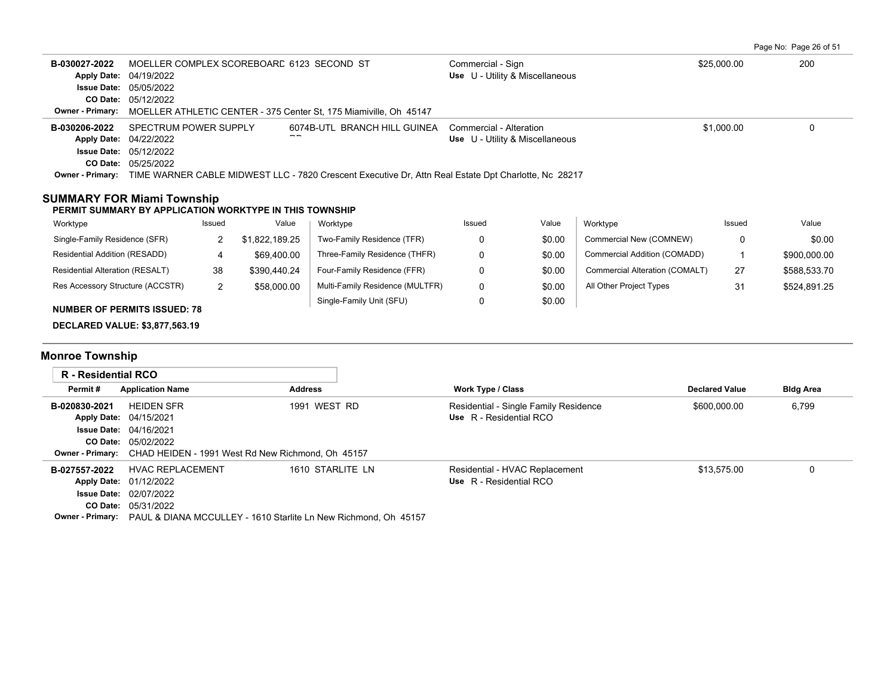Page No: Page 26 of 51

| B-030027-2022<br><b>Apply Date:</b><br>CO Date:<br>Owner - Primary:                              | 04/19/2022<br><b>Issue Date: 05/05/2022</b><br>05/12/2022                                   |        | MOELLER COMPLEX SCOREBOARD 6123 SECOND ST               | MOELLER ATHLETIC CENTER - 375 Center St, 175 Miamiville, Oh 45147                                                                    | Commercial - Sign<br>Use U - Utility & Miscellaneous             |        |                                | \$25,000.00           | 200              |
|--------------------------------------------------------------------------------------------------|---------------------------------------------------------------------------------------------|--------|---------------------------------------------------------|--------------------------------------------------------------------------------------------------------------------------------------|------------------------------------------------------------------|--------|--------------------------------|-----------------------|------------------|
| B-030206-2022<br><b>Apply Date:</b><br><b>Owner - Primary:</b>                                   | SPECTRUM POWER SUPPLY<br>04/22/2022<br><b>Issue Date: 05/12/2022</b><br>CO Date: 05/25/2022 |        |                                                         | 6074B-UTL BRANCH HILL GUINEA<br>TIME WARNER CABLE MIDWEST LLC - 7820 Crescent Executive Dr. Attn Real Estate Dpt Charlotte. Nc 28217 | Commercial - Alteration<br>Use U - Utility & Miscellaneous       |        |                                | \$1,000.00            | $\mathbf 0$      |
| <b>SUMMARY FOR Miami Township</b>                                                                |                                                                                             |        | PERMIT SUMMARY BY APPLICATION WORKTYPE IN THIS TOWNSHIP |                                                                                                                                      |                                                                  |        |                                |                       |                  |
| Worktype                                                                                         |                                                                                             | Issued | Value                                                   | Worktype                                                                                                                             | Issued                                                           | Value  | Worktype                       | Issued                | Value            |
| Single-Family Residence (SFR)                                                                    |                                                                                             | 2      | \$1,822,189.25                                          | Two-Family Residence (TFR)                                                                                                           | 0                                                                | \$0.00 | Commercial New (COMNEW)        | 0                     | \$0.00           |
| Residential Addition (RESADD)                                                                    |                                                                                             | 4      | \$69,400.00                                             | Three-Family Residence (THFR)                                                                                                        | 0                                                                | \$0.00 | Commercial Addition (COMADD)   | 1                     | \$900,000.00     |
| Residential Alteration (RESALT)                                                                  |                                                                                             | 38     | \$390,440.24                                            | Four-Family Residence (FFR)                                                                                                          | 0                                                                | \$0.00 | Commercial Alteration (COMALT) | 27                    | \$588,533.70     |
| Res Accessory Structure (ACCSTR)                                                                 |                                                                                             | 2      | \$58,000.00                                             | Multi-Family Residence (MULTFR)                                                                                                      | 0                                                                | \$0.00 | All Other Project Types        | 31                    | \$524,891.25     |
| <b>NUMBER OF PERMITS ISSUED: 78</b><br><b>DECLARED VALUE: \$3,877,563.19</b>                     |                                                                                             |        |                                                         | Single-Family Unit (SFU)                                                                                                             | 0                                                                | \$0.00 |                                |                       |                  |
| <b>Monroe Township</b>                                                                           |                                                                                             |        |                                                         |                                                                                                                                      |                                                                  |        |                                |                       |                  |
| <b>R</b> - Residential RCO                                                                       |                                                                                             |        |                                                         |                                                                                                                                      |                                                                  |        |                                |                       |                  |
| Permit#                                                                                          | <b>Application Name</b>                                                                     |        | <b>Address</b>                                          |                                                                                                                                      | <b>Work Type / Class</b>                                         |        |                                | <b>Declared Value</b> | <b>Bldg Area</b> |
| B-020830-2021<br><b>Apply Date:</b><br><b>Issue Date:</b><br><b>Owner - Primary:</b>             | <b>HEIDEN SFR</b><br>04/15/2021<br>04/16/2021<br>CO Date: 05/02/2022                        |        | CHAD HEIDEN - 1991 West Rd New Richmond, Oh 45157       | 1991 WEST RD                                                                                                                         | Residential - Single Family Residence<br>Use R - Residential RCO |        |                                | \$600,000.00          | 6,799            |
| B-027557-2022<br><b>Apply Date:</b><br><b>Issue Date:</b><br>CO Date:<br><b>Owner - Primary:</b> | <b>HVAC REPLACEMENT</b><br>01/12/2022<br>02/07/2022<br>05/31/2022                           |        |                                                         | 1610 STARLITE LN<br>PAUL & DIANA MCCULLEY - 1610 Starlite Ln New Richmond, Oh 45157                                                  | Residential - HVAC Replacement<br>Use R - Residential RCO        |        |                                | \$13,575.00           | $\Omega$         |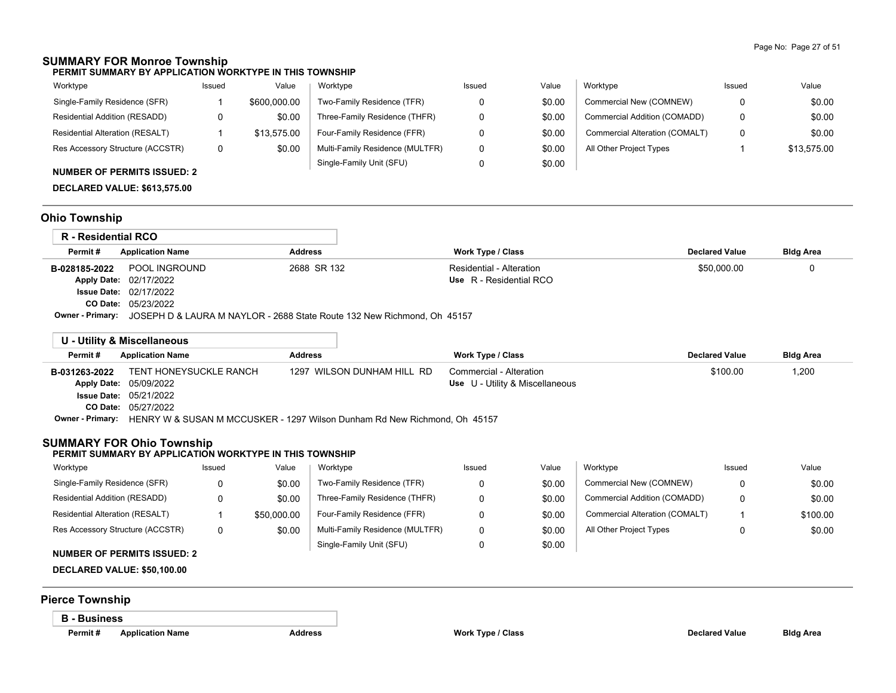### **SUMMARY FOR Monroe Township**

**PERMIT SUMMARY BY APPLICATION WORKTYPE IN THIS TOWNSHIP**

| Worktype                         | Issued | Value        | Worktype                        | Issued | Value  | Worktype                       | Issued | Value       |
|----------------------------------|--------|--------------|---------------------------------|--------|--------|--------------------------------|--------|-------------|
| Single-Family Residence (SFR)    |        | \$600,000.00 | Two-Family Residence (TFR)      |        | \$0.00 | Commercial New (COMNEW)        |        | \$0.00      |
| Residential Addition (RESADD)    |        | \$0.00       | Three-Family Residence (THFR)   |        | \$0.00 | Commercial Addition (COMADD)   |        | \$0.00      |
| Residential Alteration (RESALT)  |        | \$13.575.00  | Four-Family Residence (FFR)     |        | \$0.00 | Commercial Alteration (COMALT) |        | \$0.00      |
| Res Accessory Structure (ACCSTR) |        | \$0.00       | Multi-Family Residence (MULTFR) |        | \$0.00 | All Other Project Types        |        | \$13.575.00 |
|                                  |        |              | Single-Family Unit (SFU)        |        | \$0.00 |                                |        |             |

### **NUMBER OF PERMITS ISSUED: 2**

**DECLARED VALUE: \$613,575.00**

# **Ohio Township**

| R - Residential RCO     |                                                                         |                |                          |                       |                  |
|-------------------------|-------------------------------------------------------------------------|----------------|--------------------------|-----------------------|------------------|
| Permit#                 | <b>Application Name</b>                                                 | <b>Address</b> | <b>Work Type / Class</b> | <b>Declared Value</b> | <b>Bldg Area</b> |
| B-028185-2022           | POOL INGROUND                                                           | 2688 SR 132    | Residential - Alteration | \$50,000.00           |                  |
|                         | Apply Date: 02/17/2022                                                  |                | Use R - Residential RCO  |                       |                  |
|                         | <b>Issue Date: 02/17/2022</b>                                           |                |                          |                       |                  |
|                         | <b>CO Date: 05/23/2022</b>                                              |                |                          |                       |                  |
| <b>Owner - Primary:</b> | JOSEPH D & LAURA M NAYLOR - 2688 State Route 132 New Richmond, Oh 45157 |                |                          |                       |                  |

|               | U - Utility & Miscellaneous                                                                       |                            |                                        |                       |                  |
|---------------|---------------------------------------------------------------------------------------------------|----------------------------|----------------------------------------|-----------------------|------------------|
| Permit#       | <b>Application Name</b>                                                                           | Address                    | Work Type / Class                      | <b>Declared Value</b> | <b>Bldg Area</b> |
| B-031263-2022 | TENT HONEYSUCKLE RANCH                                                                            | 1297 WILSON DUNHAM HILL RD | Commercial - Alteration                | \$100.00              | 1,200            |
|               | Apply Date: 05/09/2022                                                                            |                            | <b>Use</b> U - Utility & Miscellaneous |                       |                  |
|               | <b>Issue Date: 05/21/2022</b>                                                                     |                            |                                        |                       |                  |
|               | <b>CO Date: 05/27/2022</b>                                                                        |                            |                                        |                       |                  |
|               | <b>Owner - Primary:</b> HENRY W & SUSAN M MCCUSKER - 1297 Wilson Dunham Rd New Richmond, Oh 45157 |                            |                                        |                       |                  |

### **SUMMARY FOR Ohio Township**

#### **PERMIT SUMMARY BY APPLICATION WORKTYPE IN THIS TOWNSHIP**

| Worktype                         | Issued | Value       | Worktype                        | Issued | Value  | Worktype                       | Issued | Value    |
|----------------------------------|--------|-------------|---------------------------------|--------|--------|--------------------------------|--------|----------|
| Single-Family Residence (SFR)    |        | \$0.00      | Two-Family Residence (TFR)      |        | \$0.00 | Commercial New (COMNEW)        |        | \$0.00   |
| Residential Addition (RESADD)    |        | \$0.00      | Three-Family Residence (THFR)   |        | \$0.00 | Commercial Addition (COMADD)   |        | \$0.00   |
| Residential Alteration (RESALT)  |        | \$50,000.00 | Four-Family Residence (FFR)     |        | \$0.00 | Commercial Alteration (COMALT) |        | \$100.00 |
| Res Accessory Structure (ACCSTR) | 0      | \$0.00      | Multi-Family Residence (MULTFR) |        | \$0.00 | All Other Project Types        |        | \$0.00   |
| NUMBER OF BERMITO ICCUER. O      |        |             | Single-Family Unit (SFU)        |        | \$0.00 |                                |        |          |

# **NUMBER OF PERMITS ISSUED: 2**

### **DECLARED VALUE: \$50,100.00**

### **Pierce Township**

#### **B - Business**

**Permit # Application Name Address Work Type / Class Declared Value Bldg Area**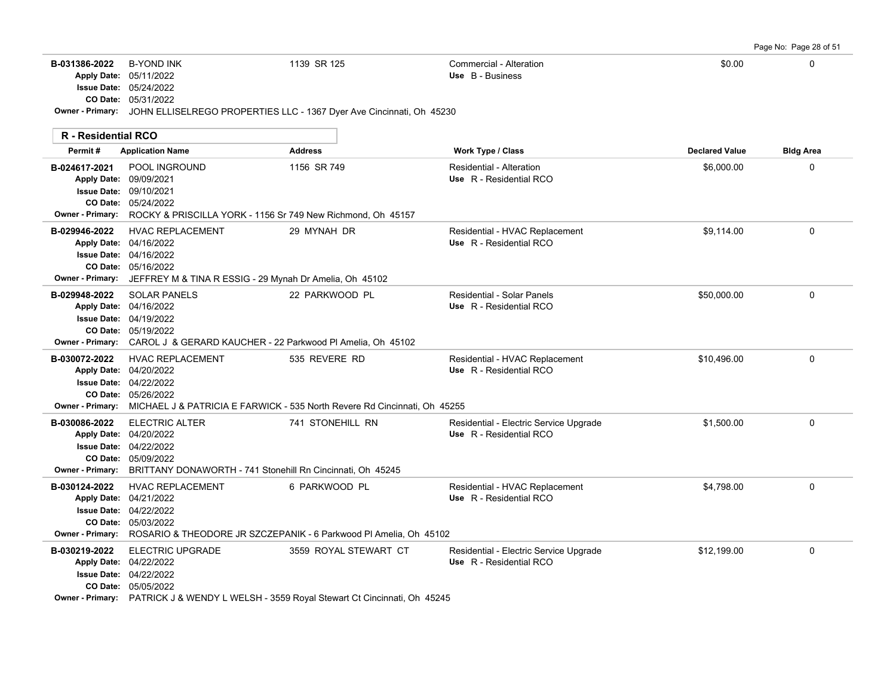|--|

| B-031386-2022              | <b>B-YOND INK</b><br>Apply Date: 05/11/2022<br><b>Issue Date: 05/24/2022</b><br>CO Date: 05/31/2022<br>Owner - Primary: JOHN ELLISELREGO PROPERTIES LLC - 1367 Dyer Ave Cincinnati, Oh 45230            | 1139 SR 125           | Commercial - Alteration<br>Use B - Business                       | \$0.00                | 0                |
|----------------------------|---------------------------------------------------------------------------------------------------------------------------------------------------------------------------------------------------------|-----------------------|-------------------------------------------------------------------|-----------------------|------------------|
| <b>R</b> - Residential RCO |                                                                                                                                                                                                         |                       |                                                                   |                       |                  |
| Permit#                    | <b>Application Name</b>                                                                                                                                                                                 | <b>Address</b>        | Work Type / Class                                                 | <b>Declared Value</b> | <b>Bldg Area</b> |
| B-024617-2021              | POOL INGROUND<br>Apply Date: 09/09/2021<br><b>Issue Date: 09/10/2021</b><br>CO Date: 05/24/2022<br>Owner - Primary: ROCKY & PRISCILLA YORK - 1156 Sr 749 New Richmond, Oh 45157                         | 1156 SR 749           | Residential - Alteration<br>Use R - Residential RCO               | \$6,000.00            | 0                |
| B-029946-2022              | <b>HVAC REPLACEMENT</b><br>Apply Date: 04/16/2022<br>Issue Date: 04/16/2022<br>CO Date: 05/16/2022<br>Owner - Primary: JEFFREY M & TINA R ESSIG - 29 Mynah Dr Amelia, Oh 45102                          | 29 MYNAH DR           | Residential - HVAC Replacement<br>Use R - Residential RCO         | \$9,114.00            | 0                |
| B-029948-2022              | <b>SOLAR PANELS</b><br>Apply Date: 04/16/2022<br><b>Issue Date: 04/19/2022</b><br>CO Date: 05/19/2022<br><b>Owner - Primary:</b> CAROL J & GERARD KAUCHER - 22 Parkwood PI Amelia. Oh 45102             | 22 PARKWOOD PL        | <b>Residential - Solar Panels</b><br>Use R - Residential RCO      | \$50,000.00           | $\mathbf 0$      |
| B-030072-2022              | <b>HVAC REPLACEMENT</b><br>Apply Date: 04/20/2022<br>Issue Date: 04/22/2022<br>CO Date: 05/26/2022<br><b>Owner - Primary:</b> MICHAEL J & PATRICIA E FARWICK - 535 North Revere Rd Cincinnati, Oh 45255 | 535 REVERE RD         | Residential - HVAC Replacement<br>Use R - Residential RCO         | \$10,496.00           | 0                |
| B-030086-2022              | <b>ELECTRIC ALTER</b><br>Apply Date: 04/20/2022<br><b>Issue Date: 04/22/2022</b><br>CO Date: 05/09/2022<br>Owner - Primary: BRITTANY DONAWORTH - 741 Stonehill Rn Cincinnati, Oh 45245                  | 741 STONEHILL RN      | Residential - Electric Service Upgrade<br>Use R - Residential RCO | \$1,500.00            | 0                |
| B-030124-2022              | <b>HVAC REPLACEMENT</b><br>Apply Date: 04/21/2022<br><b>Issue Date: 04/22/2022</b><br>CO Date: 05/03/2022<br>Owner - Primary: ROSARIO & THEODORE JR SZCZEPANIK - 6 Parkwood Pl Amelia, Oh 45102         | 6 PARKWOOD PL         | Residential - HVAC Replacement<br>Use R - Residential RCO         | \$4,798.00            | 0                |
| B-030219-2022              | <b>ELECTRIC UPGRADE</b><br>Apply Date: 04/22/2022<br><b>Issue Date: 04/22/2022</b><br>CO Date: 05/05/2022<br>Owner - Primary: PATRICK J & WENDY L WELSH - 3559 Royal Stewart Ct Cincinnati, Oh 45245    | 3559 ROYAL STEWART CT | Residential - Electric Service Upgrade<br>Use R - Residential RCO | \$12,199.00           | $\mathbf 0$      |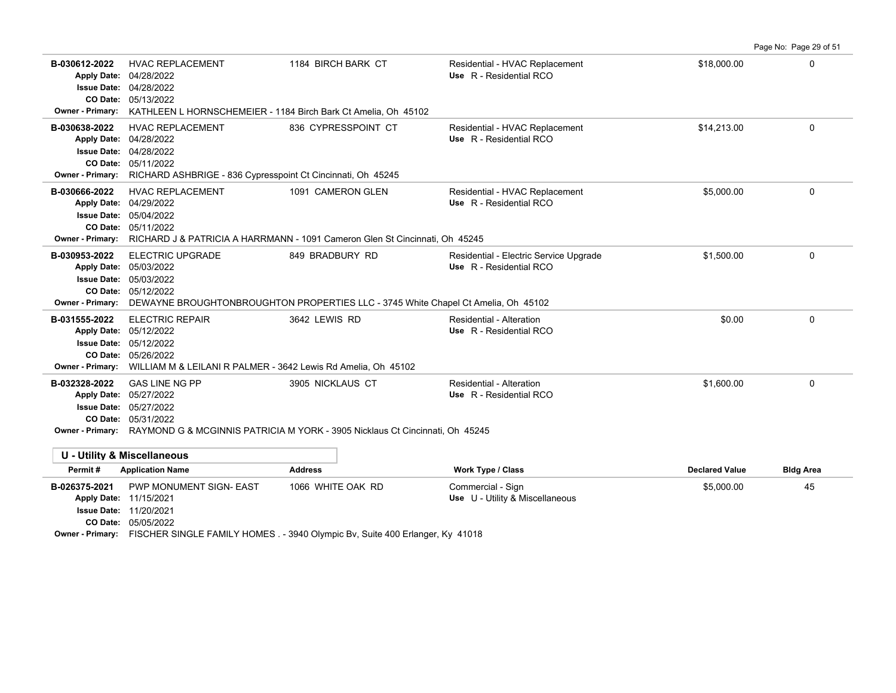**B-030612-2022** \$18,000.00 0 HVAC REPLACEMENT 1184 BIRCH BARK CT Residential - HVAC Replacement 05/13/2022 **CO Date:** 04/28/2022 **Issue Date:** Apply Date: 04/28/2022 **Apply Date: Use** R - Residential RCO **Owner - Primary:** KATHLEEN L HORNSCHEMEIER - 1184 Birch Bark Ct Amelia, Oh 45102 **B-030638-2022** \$14,213.00 0 HVAC REPLACEMENT 836 CYPRESSPOINT CT Residential - HVAC Replacement 05/11/2022 **CO Date:** 04/28/2022 **Issue Date:** 04/28/2022 **Apply Date: Use** R - Residential RCO **Owner - Primary:** RICHARD ASHBRIGE - 836 Cypresspoint Ct Cincinnati, Oh 45245 **B-030666-2022** HVAC REPLACEMENT 1091 CAMERON GLEN Residential - HVAC Replacement \$5,000.00 \$5,000.00 0 05/11/2022 **CO Date:** 05/04/2022 **Issue Date:** 04/29/2022 **Apply Date: Use** R - Residential RCO **Owner - Primary:** RICHARD J & PATRICIA A HARRMANN - 1091 Cameron Glen St Cincinnati, Oh 45245 B-030953-2022 ELECTRIC UPGRADE 849 BRADBURY RD Residential - Electric Service Upgrade \$1,500.00 \$1,500.00 05/12/2022 **CO Date:** 05/03/2022 **Issue Date:** Apply Date: 05/03/2022 **Apply Date: Use** R - Residential RCO **Owner - Primary:** DEWAYNE BROUGHTONBROUGHTON PROPERTIES LLC - 3745 White Chapel Ct Amelia, Oh 45102 **B-031555-2022** \$0.00 0 05/26/2022 **CO Date:** 05/12/2022 **Issue Date:** Apply Date: 05/12/2022 ELECTRIC REPAIR 3642 LEWIS RD Residential - Alteration **Apply Date: Use** R - Residential RCO **Owner - Primary:** WILLIAM M & LEILANI R PALMER - 3642 Lewis Rd Amelia, Oh 45102 **B-032328-2022** \$1,600.00 0 GAS LINE NG PP 3905 NICKLAUS CT Residential - Alteration 05/31/2022 **CO Date:** 05/27/2022 **Issue Date:** Apply Date: 05/27/2022 **Apply Date: Use** R - Residential RCO **Owner - Primary:** RAYMOND G & MCGINNIS PATRICIA M YORK - 3905 Nicklaus Ct Cincinnati, Oh 45245 **U - Utility & Miscellaneous Permit # Application Name Address Work Type / Class Declared Value Bldg Area B-026375-2021** \$5,000.00 45 PWP MONUMENT SIGN- EAST 1066 WHITE OAK RD Commercial - Sign **Issue Date: 11/20/2021** Apply Date: 11/15/2021 **Apply Date: Use** U - Utility & Miscellaneous

Page No: Page 29 of 51

05/05/2022 **CO Date: Owner - Primary:** FISCHER SINGLE FAMILY HOMES . - 3940 Olympic Bv, Suite 400 Erlanger, Ky 41018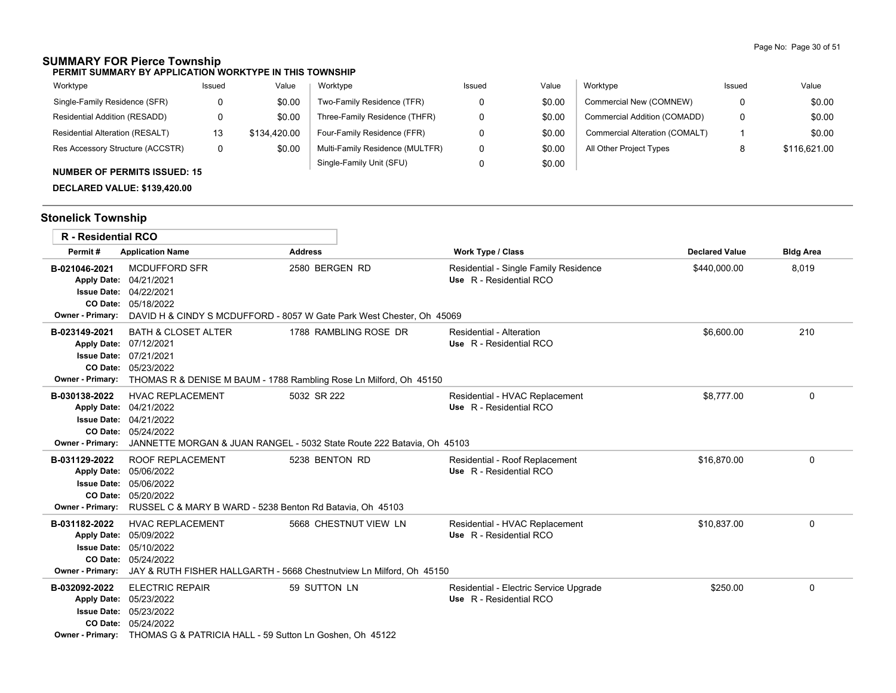### **SUMMARY FOR Pierce Township**

**PERMIT SUMMARY BY APPLICATION WORKTYPE IN THIS TOWNSHIP**

| Worktype                         | Issued | Value        | Worktype                        | Issued | Value  | Worktype                       | Issued | Value        |
|----------------------------------|--------|--------------|---------------------------------|--------|--------|--------------------------------|--------|--------------|
| Single-Family Residence (SFR)    |        | \$0.00       | Two-Family Residence (TFR)      |        | \$0.00 | Commercial New (COMNEW)        | 0      | \$0.00       |
| Residential Addition (RESADD)    |        | \$0.00       | Three-Family Residence (THFR)   |        | \$0.00 | Commercial Addition (COMADD)   | 0      | \$0.00       |
| Residential Alteration (RESALT)  | 13     | \$134,420.00 | Four-Family Residence (FFR)     |        | \$0.00 | Commercial Alteration (COMALT) |        | \$0.00       |
| Res Accessory Structure (ACCSTR) | 0      | \$0.00       | Multi-Family Residence (MULTFR) |        | \$0.00 | All Other Project Types        |        | \$116.621.00 |
|                                  |        |              | Single-Family Unit (SFU)        |        | \$0.00 |                                |        |              |

### **NUMBER OF PERMITS ISSUED: 15**

**DECLARED VALUE: \$139,420.00**

# **Stonelick Township**

|                                                                               | <b>R</b> - Residential RCO                                                                                                                                                             |                       |                                                                   |                       |                  |
|-------------------------------------------------------------------------------|----------------------------------------------------------------------------------------------------------------------------------------------------------------------------------------|-----------------------|-------------------------------------------------------------------|-----------------------|------------------|
| Permit#                                                                       | <b>Application Name</b>                                                                                                                                                                | <b>Address</b>        | <b>Work Type / Class</b>                                          | <b>Declared Value</b> | <b>Bldg Area</b> |
| B-021046-2021<br><b>Owner - Primary:</b>                                      | <b>MCDUFFORD SFR</b><br>Apply Date: 04/21/2021<br><b>Issue Date: 04/22/2021</b><br>CO Date: 05/18/2022<br>DAVID H & CINDY S MCDUFFORD - 8057 W Gate Park West Chester, Oh 45069        | 2580 BERGEN RD        | Residential - Single Family Residence<br>Use R - Residential RCO  | \$440,000.00          | 8,019            |
| B-023149-2021<br><b>Owner - Primary:</b>                                      | <b>BATH &amp; CLOSET ALTER</b><br>Apply Date: 07/12/2021<br><b>Issue Date: 07/21/2021</b><br>CO Date: 05/23/2022<br>THOMAS R & DENISE M BAUM - 1788 Rambling Rose Ln Milford, Oh 45150 | 1788 RAMBLING ROSE DR | Residential - Alteration<br>Use R - Residential RCO               | \$6,600.00            | 210              |
| B-030138-2022<br>Owner - Primary:                                             | <b>HVAC REPLACEMENT</b><br>Apply Date: 04/21/2022<br><b>Issue Date: 04/21/2022</b><br>CO Date: 05/24/2022<br>JANNETTE MORGAN & JUAN RANGEL - 5032 State Route 222 Batavia, Oh 45103    | 5032 SR 222           | Residential - HVAC Replacement<br>Use R - Residential RCO         | \$8,777.00            | $\mathbf 0$      |
| B-031129-2022<br><b>Apply Date:</b><br><b>Issue Date:</b><br>Owner - Primary: | <b>ROOF REPLACEMENT</b><br>05/06/2022<br>05/06/2022<br>CO Date: 05/20/2022<br>RUSSEL C & MARY B WARD - 5238 Benton Rd Batavia, Oh 45103                                                | 5238 BENTON RD        | Residential - Roof Replacement<br>Use R - Residential RCO         | \$16,870.00           | 0                |
| B-031182-2022<br><b>Apply Date:</b><br><b>Owner - Primary:</b>                | <b>HVAC REPLACEMENT</b><br>05/09/2022<br><b>Issue Date: 05/10/2022</b><br>CO Date: 05/24/2022<br>JAY & RUTH FISHER HALLGARTH - 5668 Chestnutview Ln Milford, Oh 45150                  | 5668 CHESTNUT VIEW LN | Residential - HVAC Replacement<br>Use R - Residential RCO         | \$10,837.00           | 0                |
| B-032092-2022<br><b>Issue Date:</b>                                           | <b>ELECTRIC REPAIR</b><br>Apply Date: 05/23/2022<br>05/23/2022<br>CO Date: 05/24/2022<br>Owner - Primary: THOMAS G & PATRICIA HALL - 59 Sutton Ln Goshen, Oh 45122                     | 59 SUTTON LN          | Residential - Electric Service Upgrade<br>Use R - Residential RCO | \$250.00              | 0                |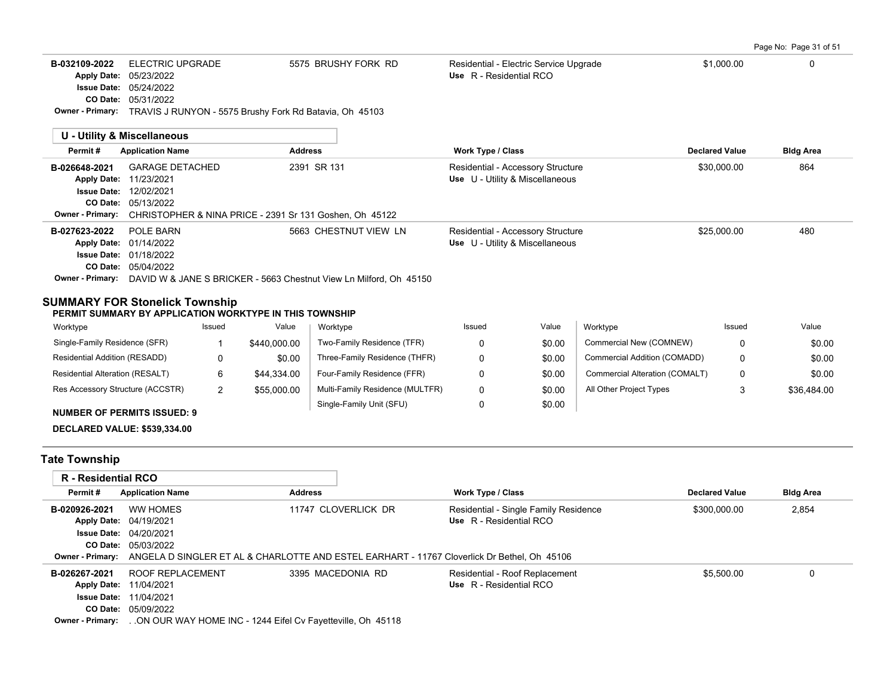Page No: Page 31 of 51

| <b>ELECTRIC UPGRADE</b><br>5575 BRUSHY FORK RD<br>\$1,000.00<br>0<br>B-032109-2022<br>Residential - Electric Service Upgrade<br>Use R - Residential RCO<br>05/23/2022<br><b>Apply Date:</b><br><b>Issue Date: 05/24/2022</b><br>CO Date:<br>05/31/2022<br><b>Owner - Primary:</b><br>TRAVIS J RUNYON - 5575 Brushy Fork Rd Batavia, Oh 45103<br>U - Utility & Miscellaneous<br><b>Work Type / Class</b><br><b>Application Name</b><br><b>Bldg Area</b><br>Permit#<br><b>Address</b><br><b>Declared Value</b><br><b>GARAGE DETACHED</b><br>2391 SR 131<br>864<br>\$30,000.00<br>Residential - Accessory Structure<br>B-026648-2021<br>Use U - Utility & Miscellaneous<br><b>Apply Date:</b><br>11/23/2021<br>12/02/2021<br><b>Issue Date:</b><br>CO Date: 05/13/2022<br>CHRISTOPHER & NINA PRICE - 2391 Sr 131 Goshen, Oh 45122<br><b>Owner - Primary:</b><br>B-027623-2022<br>POLE BARN<br>5663 CHESTNUT VIEW LN<br>\$25,000.00<br>Residential - Accessory Structure<br>480<br>Use U - Utility & Miscellaneous<br>Apply Date: 01/14/2022<br><b>Issue Date: 01/18/2022</b><br>CO Date: 05/04/2022<br>Owner - Primary: DAVID W & JANE S BRICKER - 5663 Chestnut View Ln Milford, Oh 45150<br><b>SUMMARY FOR Stonelick Township</b><br>PERMIT SUMMARY BY APPLICATION WORKTYPE IN THIS TOWNSHIP |  |  |  |
|---------------------------------------------------------------------------------------------------------------------------------------------------------------------------------------------------------------------------------------------------------------------------------------------------------------------------------------------------------------------------------------------------------------------------------------------------------------------------------------------------------------------------------------------------------------------------------------------------------------------------------------------------------------------------------------------------------------------------------------------------------------------------------------------------------------------------------------------------------------------------------------------------------------------------------------------------------------------------------------------------------------------------------------------------------------------------------------------------------------------------------------------------------------------------------------------------------------------------------------------------------------------------------------------|--|--|--|
|                                                                                                                                                                                                                                                                                                                                                                                                                                                                                                                                                                                                                                                                                                                                                                                                                                                                                                                                                                                                                                                                                                                                                                                                                                                                                             |  |  |  |
|                                                                                                                                                                                                                                                                                                                                                                                                                                                                                                                                                                                                                                                                                                                                                                                                                                                                                                                                                                                                                                                                                                                                                                                                                                                                                             |  |  |  |
|                                                                                                                                                                                                                                                                                                                                                                                                                                                                                                                                                                                                                                                                                                                                                                                                                                                                                                                                                                                                                                                                                                                                                                                                                                                                                             |  |  |  |
|                                                                                                                                                                                                                                                                                                                                                                                                                                                                                                                                                                                                                                                                                                                                                                                                                                                                                                                                                                                                                                                                                                                                                                                                                                                                                             |  |  |  |
|                                                                                                                                                                                                                                                                                                                                                                                                                                                                                                                                                                                                                                                                                                                                                                                                                                                                                                                                                                                                                                                                                                                                                                                                                                                                                             |  |  |  |
|                                                                                                                                                                                                                                                                                                                                                                                                                                                                                                                                                                                                                                                                                                                                                                                                                                                                                                                                                                                                                                                                                                                                                                                                                                                                                             |  |  |  |

| Worktype                           | Issued | Value            | Worktype                        | Issued | Value  | Worktype                       | Issued | Value       |
|------------------------------------|--------|------------------|---------------------------------|--------|--------|--------------------------------|--------|-------------|
| Single-Family Residence (SFR)      |        | \$440,000.00     | Two-Family Residence (TFR)      |        | \$0.00 | Commercial New (COMNEW)        |        | \$0.00      |
| Residential Addition (RESADD)      |        | \$0.00           | Three-Family Residence (THFR)   |        | \$0.00 | Commercial Addition (COMADD)   |        | \$0.00      |
| Residential Alteration (RESALT)    |        | \$44.334.00      | Four-Family Residence (FFR)     |        | \$0.00 | Commercial Alteration (COMALT) |        | \$0.00      |
| Res Accessory Structure (ACCSTR)   |        | \$55,000.00<br>- | Multi-Family Residence (MULTFR) |        | \$0.00 | All Other Project Types        |        | \$36,484.00 |
| <b>NUMBER OF PERMITS ISSUED: 9</b> |        |                  | Single-Family Unit (SFU)        |        | \$0.00 |                                |        |             |

# **DECLARED VALUE: \$539,334.00**

# **Tate Township**

| R - Residential RCO |                                                                                                              |                     |                                       |                       |                  |
|---------------------|--------------------------------------------------------------------------------------------------------------|---------------------|---------------------------------------|-----------------------|------------------|
| Permit#             | <b>Application Name</b>                                                                                      | <b>Address</b>      | <b>Work Type / Class</b>              | <b>Declared Value</b> | <b>Bldg Area</b> |
| B-020926-2021       | WW HOMES                                                                                                     | 11747 CLOVERLICK DR | Residential - Single Family Residence | \$300,000.00          | 2,854            |
|                     | Apply Date: 04/19/2021                                                                                       |                     | Use R - Residential RCO               |                       |                  |
|                     | <b>Issue Date: 04/20/2021</b>                                                                                |                     |                                       |                       |                  |
|                     | <b>CO Date: 05/03/2022</b>                                                                                   |                     |                                       |                       |                  |
|                     | Owner - Primary: ANGELA D SINGLER ET AL & CHARLOTTE AND ESTEL EARHART - 11767 Cloverlick Dr Bethel. Oh 45106 |                     |                                       |                       |                  |
| B-026267-2021       | ROOF REPLACEMENT                                                                                             | 3395 MACEDONIA RD   | Residential - Roof Replacement        | \$5.500.00            |                  |
|                     | <b>Apply Date: 11/04/2021</b>                                                                                |                     | Use R - Residential RCO               |                       |                  |
|                     | <b>Issue Date: 11/04/2021</b>                                                                                |                     |                                       |                       |                  |
|                     | <b>CO Date: 05/09/2022</b>                                                                                   |                     |                                       |                       |                  |
|                     | <b>Owner - Primary:</b> ON OUR WAY HOME INC - 1244 Eifel Cv Fayetteville, Oh 45118                           |                     |                                       |                       |                  |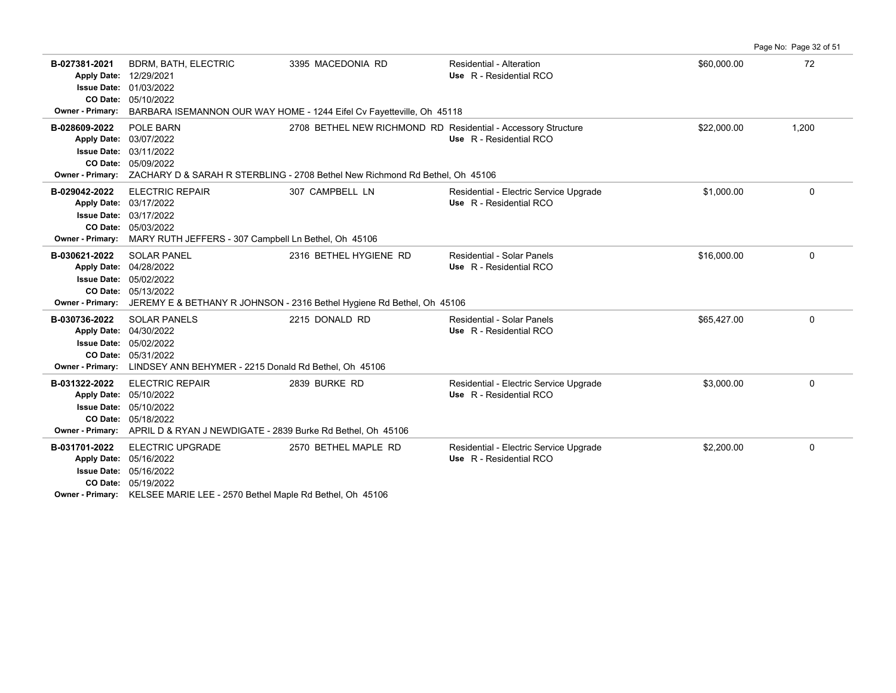**B-027381-2021** \$60,000.00 72 BDRM, BATH, ELECTRIC 3395 MACEDONIA RD Residential - Alteration 05/10/2022 **CO Date:** 01/03/2022 **Issue Date:** Apply Date: 12/29/2021 **Apply Date: Use** R - Residential RCO **Owner - Primary:** BARBARA ISEMANNON OUR WAY HOME - 1244 Eifel Cv Fayetteville, Oh 45118 B-028609-2022 POLE BARN 2708 BETHEL NEW RICHMOND RD Residential - Accessory Structure \$22,000.00 \$22,000.00 1,200 05/09/2022 **CO Date:** 03/11/2022 **Issue Date:** 03/07/2022 **Apply Date: Use** R - Residential RCO **Owner - Primary:** ZACHARY D & SARAH R STERBLING - 2708 Bethel New Richmond Rd Bethel, Oh 45106 **B-029042-2022** ELECTRIC REPAIR 307 CAMPBELL LN Residential - Electric Service Upgrade \$1,000.00 \$1,000.00 0 05/03/2022 **CO Date:** 03/17/2022 **Issue Date:** 03/17/2022 **Apply Date: Use** R - Residential RCO **Owner - Primary:** MARY RUTH JEFFERS - 307 Campbell Ln Bethel, Oh 45106 **B-030621-2022** \$16,000.00 0 SOLAR PANEL 2316 BETHEL HYGIENE RD Residential - Solar Panels 05/13/2022 **CO Date:** 05/02/2022 **Issue Date:** Apply Date: 04/28/2022 **Apply Date: Use** R - Residential RCO **Owner - Primary:** JEREMY E & BETHANY R JOHNSON - 2316 Bethel Hygiene Rd Bethel, Oh 45106 **B-030736-2022** \$65,427.00 0 SOLAR PANELS 2215 DONALD RD Residential - Solar Panels 05/31/2022 **CO Date:** 05/02/2022 **Issue Date:** Apply Date: 04/30/2022 **Apply Date: Use** R - Residential RCO **Owner - Primary:** LINDSEY ANN BEHYMER - 2215 Donald Rd Bethel, Oh 45106 **B-031322-2022** ELECTRIC REPAIR 2839 BURKE RD Residential - Electric Service Upgrade \$3,000.00 \$3,000.00 0 05/18/2022 **CO Date:** 05/10/2022 **Issue Date:** 05/10/2022 **Apply Date: Use** R - Residential RCO **Owner - Primary:** APRIL D & RYAN J NEWDIGATE - 2839 Burke Rd Bethel, Oh 45106 **B-031701-2022** \$2,200.00 0 ELECTRIC UPGRADE 2570 BETHEL MAPLE RD Residential - Electric Service Upgrade 05/19/2022 **CO Date:** 05/16/2022 **Issue Date:** Apply Date: 05/16/2022 **Apply Date: Use** R - Residential RCO

Page No: Page 32 of 51

**Owner - Primary:** KELSEE MARIE LEE - 2570 Bethel Maple Rd Bethel, Oh 45106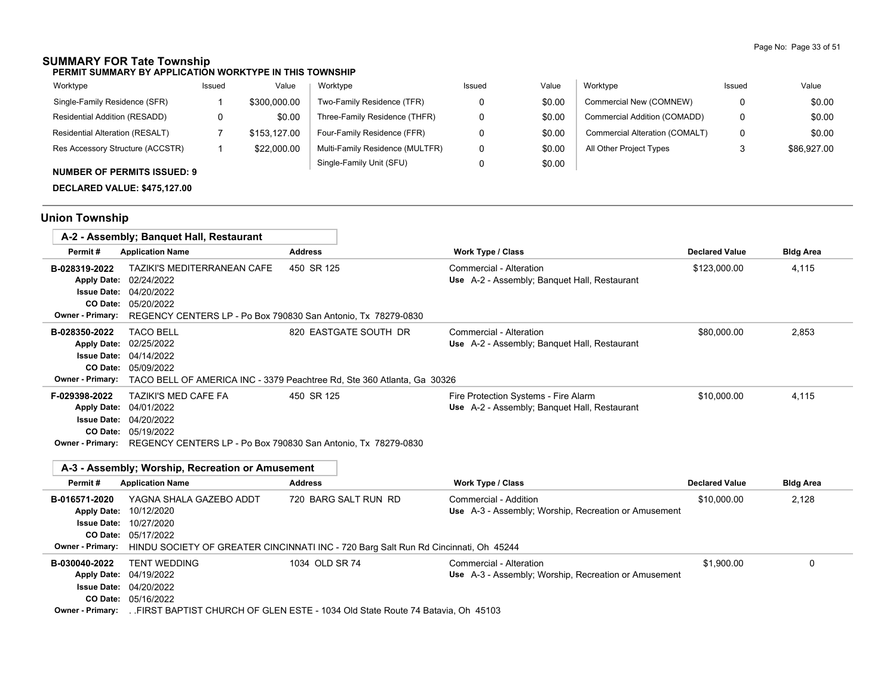# **SUMMARY FOR Tate Township**

**PERMIT SUMMARY BY APPLICATION WORKTYPE IN THIS TOWNSHIP**

| Worktype                           | Issued | Value        | Worktype                        | Issued | Value  | Worktype                       | Issued | Value       |
|------------------------------------|--------|--------------|---------------------------------|--------|--------|--------------------------------|--------|-------------|
| Single-Family Residence (SFR)      |        | \$300,000.00 | Two-Family Residence (TFR)      |        | \$0.00 | Commercial New (COMNEW)        | 0      | \$0.00      |
| Residential Addition (RESADD)      |        | \$0.00       | Three-Family Residence (THFR)   |        | \$0.00 | Commercial Addition (COMADD)   | 0      | \$0.00      |
| Residential Alteration (RESALT)    |        | \$153.127.00 | Four-Family Residence (FFR)     |        | \$0.00 | Commercial Alteration (COMALT) | 0      | \$0.00      |
| Res Accessory Structure (ACCSTR)   |        | \$22,000.00  | Multi-Family Residence (MULTFR) |        | \$0.00 | All Other Project Types        |        | \$86,927.00 |
| <b>NUMBER OF PERMITS ISSUED: 9</b> |        |              | Single-Family Unit (SFU)        |        | \$0.00 |                                |        |             |

**DECLARED VALUE: \$475,127.00**

# **Union Township**

|                                                                                                         | A-2 - Assembly; Banquet Hall, Restaurant                                                                                                                                                   |                                                                                                             |                                                                                      |                       |                  |
|---------------------------------------------------------------------------------------------------------|--------------------------------------------------------------------------------------------------------------------------------------------------------------------------------------------|-------------------------------------------------------------------------------------------------------------|--------------------------------------------------------------------------------------|-----------------------|------------------|
| Permit#                                                                                                 | <b>Application Name</b>                                                                                                                                                                    | <b>Address</b>                                                                                              | <b>Work Type / Class</b>                                                             | <b>Declared Value</b> | <b>Bldg Area</b> |
| B-028319-2022<br><b>Apply Date:</b><br><b>Issue Date:</b><br><b>CO Date:</b><br><b>Owner - Primary:</b> | TAZIKI'S MEDITERRANEAN CAFE<br>02/24/2022<br>04/20/2022<br>05/20/2022<br>REGENCY CENTERS LP - Po Box 790830 San Antonio, Tx 78279-0830                                                     | 450 SR 125                                                                                                  | Commercial - Alteration<br>Use A-2 - Assembly; Banquet Hall, Restaurant              | \$123,000.00          | 4,115            |
| B-028350-2022<br><b>Apply Date:</b><br><b>Owner - Primary:</b>                                          | <b>TACO BELL</b><br>02/25/2022<br><b>Issue Date: 04/14/2022</b><br>CO Date: 05/09/2022                                                                                                     | 820 EASTGATE SOUTH DR<br>TACO BELL OF AMERICA INC - 3379 Peachtree Rd, Ste 360 Atlanta, Ga 30326            | Commercial - Alteration<br>Use A-2 - Assembly; Banquet Hall, Restaurant              | \$80,000.00           | 2,853            |
| F-029398-2022<br><b>Apply Date:</b><br><b>Issue Date:</b><br><b>CO Date:</b><br><b>Owner - Primary:</b> | <b>TAZIKI'S MED CAFE FA</b><br>04/01/2022<br>04/20/2022<br>05/19/2022<br>REGENCY CENTERS LP - Po Box 790830 San Antonio, Tx 78279-0830<br>A-3 - Assembly: Worship. Recreation or Amusement | 450 SR 125                                                                                                  | Fire Protection Systems - Fire Alarm<br>Use A-2 - Assembly; Banquet Hall, Restaurant | \$10,000.00           | 4,115            |
| Permit#                                                                                                 | <b>Application Name</b>                                                                                                                                                                    | <b>Address</b>                                                                                              | <b>Work Type / Class</b>                                                             | <b>Declared Value</b> | <b>Bldg Area</b> |
| B-016571-2020<br><b>Apply Date:</b><br><b>Issue Date:</b><br>CO Date:<br><b>Owner - Primary:</b>        | YAGNA SHALA GAZEBO ADDT<br>10/12/2020<br>10/27/2020<br>05/17/2022                                                                                                                          | 720 BARG SALT RUN RD<br>HINDU SOCIETY OF GREATER CINCINNATI INC - 720 Barg Salt Run Rd Cincinnati, Oh 45244 | Commercial - Addition<br>Use A-3 - Assembly; Worship, Recreation or Amusement        | \$10,000.00           | 2,128            |
| B-030040-2022<br>Apply Date: 04/19/2022<br><b>Issue Date:</b><br>CO Date:<br><b>Owner - Primary:</b>    | <b>TENT WEDDING</b><br>04/20/2022<br>05/16/2022                                                                                                                                            | 1034 OLD SR 74<br>FIRST BAPTIST CHURCH OF GLEN ESTE - 1034 Old State Route 74 Batavia. Oh 45103             | Commercial - Alteration<br>Use A-3 - Assembly: Worship, Recreation or Amusement      | \$1,900.00            | 0                |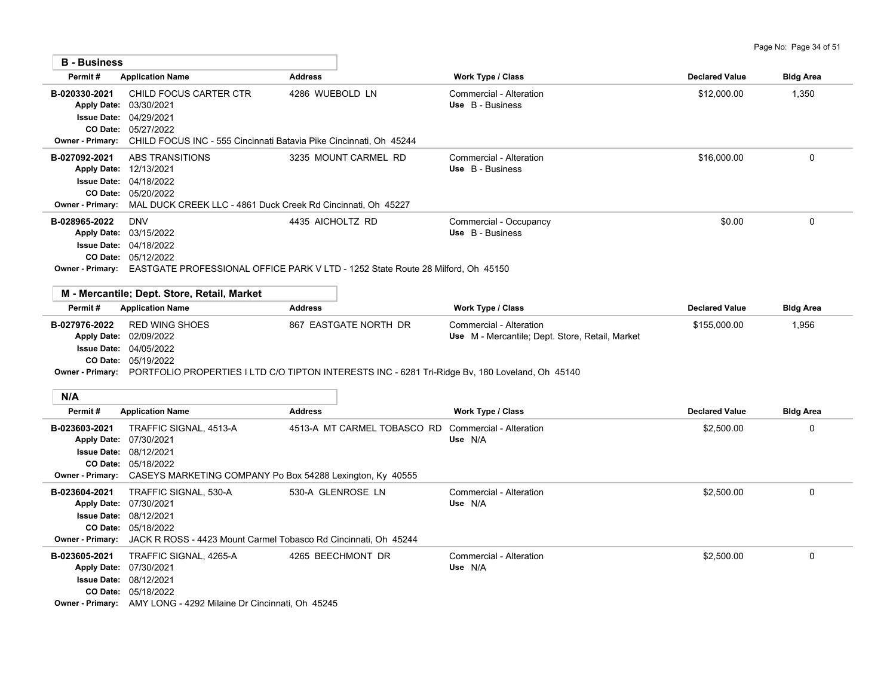| <b>B</b> - Business                                                                   |                                                                                                                                                                              |                                                                                                                                           |                                                                            |                       |                  |
|---------------------------------------------------------------------------------------|------------------------------------------------------------------------------------------------------------------------------------------------------------------------------|-------------------------------------------------------------------------------------------------------------------------------------------|----------------------------------------------------------------------------|-----------------------|------------------|
| Permit#                                                                               | <b>Application Name</b>                                                                                                                                                      | <b>Address</b>                                                                                                                            | Work Type / Class                                                          | <b>Declared Value</b> | <b>Bldg Area</b> |
| B-020330-2021<br>Apply Date: 03/30/2021<br><b>CO Date:</b><br><b>Owner - Primary:</b> | CHILD FOCUS CARTER CTR<br><b>Issue Date: 04/29/2021</b><br>05/27/2022<br>CHILD FOCUS INC - 555 Cincinnati Batavia Pike Cincinnati, Oh 45244                                  | 4286 WUEBOLD LN                                                                                                                           | Commercial - Alteration<br>Use B - Business                                | \$12,000.00           | 1,350            |
| B-027092-2021<br><b>Owner - Primary:</b>                                              | ABS TRANSITIONS<br>Apply Date: 12/13/2021<br>Issue Date: 04/18/2022<br>CO Date: 05/20/2022<br>MAL DUCK CREEK LLC - 4861 Duck Creek Rd Cincinnati, Oh 45227                   | 3235 MOUNT CARMEL RD                                                                                                                      | Commercial - Alteration<br>Use B - Business                                | \$16,000.00           | $\mathbf 0$      |
| B-028965-2022                                                                         | <b>DNV</b><br>Apply Date: 03/15/2022<br><b>Issue Date: 04/18/2022</b><br>CO Date: 05/12/2022                                                                                 | 4435 AICHOLTZ RD<br>Owner - Primary: EASTGATE PROFESSIONAL OFFICE PARK V LTD - 1252 State Route 28 Milford, Oh 45150                      | Commercial - Occupancy<br>Use B - Business                                 | \$0.00                | $\mathbf 0$      |
| Permit#                                                                               | M - Mercantile; Dept. Store, Retail, Market<br><b>Application Name</b>                                                                                                       | <b>Address</b>                                                                                                                            | Work Type / Class                                                          | <b>Declared Value</b> | <b>Bldg Area</b> |
| B-027976-2022                                                                         | <b>RED WING SHOES</b><br>Apply Date: 02/09/2022<br><b>Issue Date: 04/05/2022</b><br>CO Date: 05/19/2022                                                                      | 867 EASTGATE NORTH DR<br>Owner - Primary: PORTFOLIO PROPERTIES I LTD C/O TIPTON INTERESTS INC - 6281 Tri-Ridge Bv, 180 Loveland, Oh 45140 | Commercial - Alteration<br>Use M - Mercantile; Dept. Store, Retail, Market | \$155,000.00          | 1,956            |
| N/A                                                                                   |                                                                                                                                                                              |                                                                                                                                           |                                                                            |                       |                  |
| Permit#                                                                               | <b>Application Name</b>                                                                                                                                                      | <b>Address</b>                                                                                                                            | <b>Work Type / Class</b>                                                   | <b>Declared Value</b> | <b>Bidg Area</b> |
| B-023603-2021<br><b>Issue Date:</b><br><b>Owner - Primary:</b>                        | TRAFFIC SIGNAL, 4513-A<br>Apply Date: 07/30/2021<br>08/12/2021<br>CO Date: 05/18/2022<br>CASEYS MARKETING COMPANY Po Box 54288 Lexington, Ky 40555                           | 4513-A MT CARMEL TOBASCO RD Commercial - Alteration                                                                                       | Use N/A                                                                    | \$2,500.00            | $\mathbf{0}$     |
| B-023604-2021<br>Apply Date: 07/30/2021<br><b>Owner - Primary:</b>                    | TRAFFIC SIGNAL, 530-A<br><b>Issue Date: 08/12/2021</b><br>CO Date: 05/18/2022<br>JACK R ROSS - 4423 Mount Carmel Tobasco Rd Cincinnati, Oh 45244                             | 530-A GLENROSE LN                                                                                                                         | Commercial - Alteration<br>Use N/A                                         | \$2,500.00            | $\mathbf 0$      |
| B-023605-2021                                                                         | TRAFFIC SIGNAL, 4265-A<br>Apply Date: 07/30/2021<br>Issue Date: 08/12/2021<br>CO Date: 05/18/2022<br><b>Owner - Primary:</b> AMY LONG - 4292 Milaine Dr Cincinnati, Oh 45245 | 4265 BEECHMONT DR                                                                                                                         | Commercial - Alteration<br>Use N/A                                         | \$2,500.00            | $\mathbf 0$      |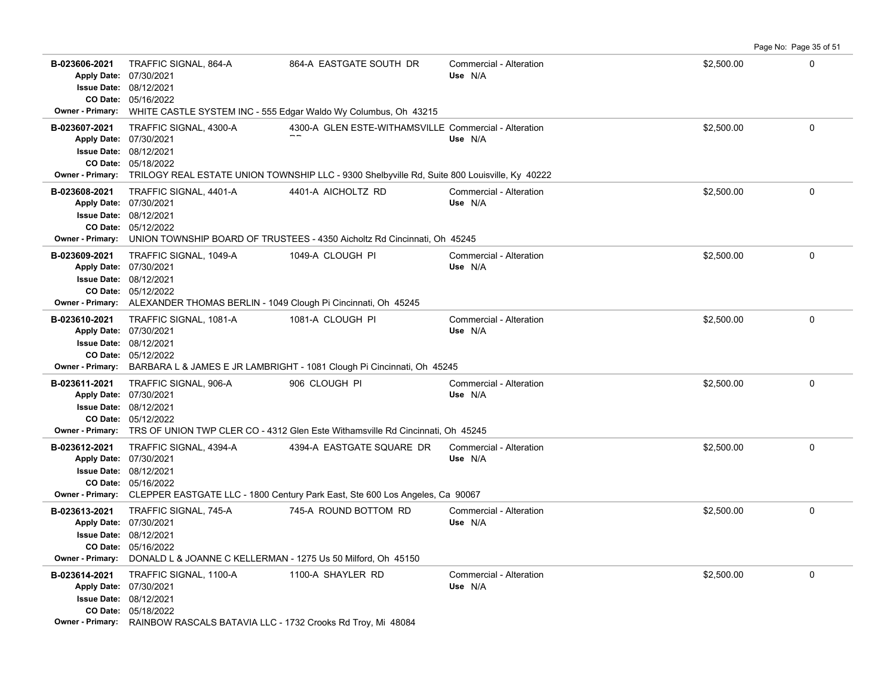|                                                                          |                                                                                                                                                                                                 |                                                       |                                    |            | Page No: Page 35 of 51 |
|--------------------------------------------------------------------------|-------------------------------------------------------------------------------------------------------------------------------------------------------------------------------------------------|-------------------------------------------------------|------------------------------------|------------|------------------------|
| B-023606-2021<br>Apply Date: 07/30/2021<br><b>Issue Date: 08/12/2021</b> | TRAFFIC SIGNAL, 864-A<br>CO Date: 05/16/2022                                                                                                                                                    | 864-A EASTGATE SOUTH DR                               | Commercial - Alteration<br>Use N/A | \$2,500.00 | $\mathbf 0$            |
| <b>Owner - Primary:</b>                                                  | WHITE CASTLE SYSTEM INC - 555 Edgar Waldo Wy Columbus, Oh 43215                                                                                                                                 |                                                       |                                    |            |                        |
| B-023607-2021<br>Apply Date: 07/30/2021                                  | TRAFFIC SIGNAL, 4300-A<br><b>Issue Date: 08/12/2021</b><br>CO Date: 05/18/2022<br>Owner - Primary: TRILOGY REAL ESTATE UNION TOWNSHIP LLC - 9300 Shelbyville Rd, Suite 800 Louisville, Ky 40222 | 4300-A GLEN ESTE-WITHAMSVILLE Commercial - Alteration | Use N/A                            | \$2,500.00 | $\Omega$               |
| B-023608-2021<br>Apply Date: 07/30/2021<br><b>Owner - Primary:</b>       | TRAFFIC SIGNAL, 4401-A<br><b>Issue Date: 08/12/2021</b><br>CO Date: 05/12/2022<br>UNION TOWNSHIP BOARD OF TRUSTEES - 4350 Aicholtz Rd Cincinnati, Oh 45245                                      | 4401-A AICHOLTZ RD                                    | Commercial - Alteration<br>Use N/A | \$2,500.00 | 0                      |
| B-023609-2021<br>Apply Date: 07/30/2021<br><b>Issue Date: 08/12/2021</b> | TRAFFIC SIGNAL, 1049-A<br>CO Date: 05/12/2022<br>Owner - Primary: ALEXANDER THOMAS BERLIN - 1049 Clough Pi Cincinnati, Oh 45245                                                                 | 1049-A CLOUGH PI                                      | Commercial - Alteration<br>Use N/A | \$2,500.00 | $\Omega$               |
| B-023610-2021<br>Apply Date: 07/30/2021<br><b>Issue Date: 08/12/2021</b> | TRAFFIC SIGNAL, 1081-A<br>CO Date: 05/12/2022<br><b>Owner - Primary:</b> BARBARA L & JAMES E JR LAMBRIGHT - 1081 Clough Pi Cincinnati, Oh 45245                                                 | 1081-A CLOUGH PI                                      | Commercial - Alteration<br>Use N/A | \$2,500.00 | $\mathbf 0$            |
| B-023611-2021<br>Apply Date: 07/30/2021                                  | TRAFFIC SIGNAL, 906-A<br><b>Issue Date: 08/12/2021</b><br>CO Date: 05/12/2022<br>Owner - Primary: TRS OF UNION TWP CLER CO - 4312 Glen Este Withamsville Rd Cincinnati, Oh 45245                | 906 CLOUGH PI                                         | Commercial - Alteration<br>Use N/A | \$2,500.00 | 0                      |
| B-023612-2021<br>Apply Date: 07/30/2021<br><b>Issue Date: 08/12/2021</b> | TRAFFIC SIGNAL, 4394-A<br>CO Date: 05/16/2022<br>Owner - Primary: CLEPPER EASTGATE LLC - 1800 Century Park East, Ste 600 Los Angeles, Ca 90067                                                  | 4394-A EASTGATE SQUARE DR                             | Commercial - Alteration<br>Use N/A | \$2,500.00 | $\mathbf 0$            |
| B-023613-2021<br>Apply Date: 07/30/2021<br><b>Issue Date: 08/12/2021</b> | TRAFFIC SIGNAL, 745-A<br>CO Date: 05/16/2022<br>Owner - Primary: DONALD L & JOANNE C KELLERMAN - 1275 Us 50 Milford, Oh 45150                                                                   | 745-A ROUND BOTTOM RD                                 | Commercial - Alteration<br>Use N/A | \$2,500.00 | 0                      |
| B-023614-2021<br>Apply Date: 07/30/2021                                  | TRAFFIC SIGNAL, 1100-A<br>Issue Date: 08/12/2021<br>CO Date: 05/18/2022<br>Owner - Primary: RAINBOW RASCALS BATAVIA LLC - 1732 Crooks Rd Troy, Mi 48084                                         | 1100-A SHAYLER RD                                     | Commercial - Alteration<br>Use N/A | \$2,500.00 | $\Omega$               |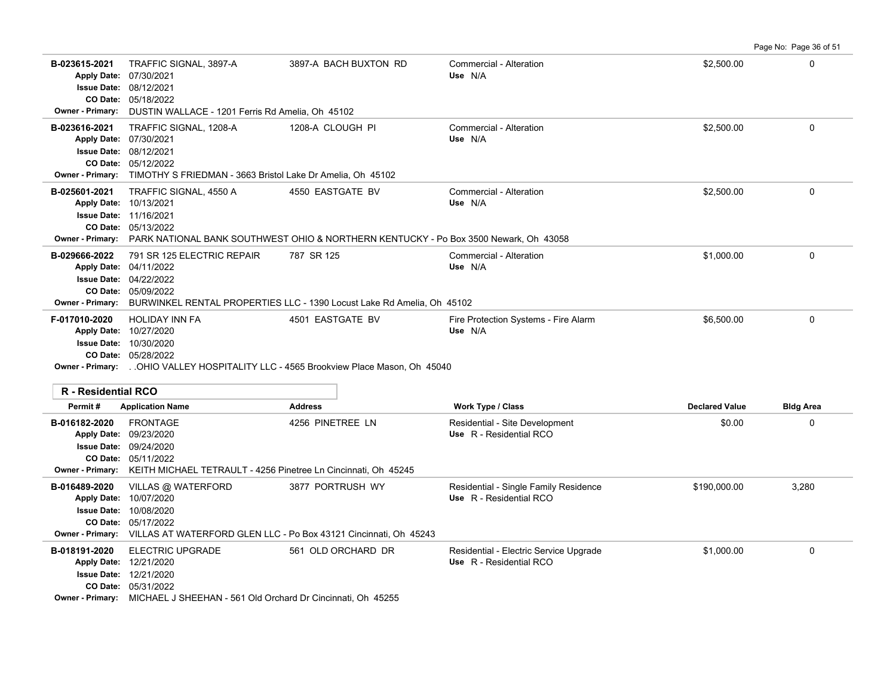**B-023615-2021** \$2,500.00 0 TRAFFIC SIGNAL, 3897-A 3897-A BACH BUXTON RD Commercial - Alteration 05/18/2022 **CO Date:** 08/12/2021 **Issue Date:** 07/30/2021 **Apply Date: Use** N/A **Owner - Primary:** DUSTIN WALLACE - 1201 Ferris Rd Amelia, Oh 45102 **B-023616-2021** \$2,500.00 0 TRAFFIC SIGNAL, 1208-A 1208-A CLOUGH PI Commercial - Alteration 05/12/2022 **CO Date:** 08/12/2021 **Issue Date:** 07/30/2021 **Apply Date: Use** N/A **Owner - Primary:** TIMOTHY S FRIEDMAN - 3663 Bristol Lake Dr Amelia, Oh 45102 **B-025601-2021** \$2,500.00 0 TRAFFIC SIGNAL, 4550 A 4550 EASTGATE BV Commercial - Alteration 05/13/2022 **CO Date:** 11/16/2021 **Issue Date:** 10/13/2021 **Apply Date: Use** N/A **Owner - Primary:** PARK NATIONAL BANK SOUTHWEST OHIO & NORTHERN KENTUCKY - Po Box 3500 Newark, Oh 43058 **B-029666-2022** 791 SR 125 ELECTRIC REPAIR 787 SR 125 Commercial - Alteration 61 Commercial - Alteration 51,000.00 05/09/2022 **CO Date:** 04/22/2022 **Issue Date:** 04/11/2022 **Apply Date: Use** N/A **Owner - Primary:** BURWINKEL RENTAL PROPERTIES LLC - 1390 Locust Lake Rd Amelia, Oh 45102 **F-017010-2020** HOLIDAY INN FA 4501 EASTGATE BV Fire Protection Systems - Fire Alarm \$6,500.00 \$6,500.00 0 05/28/2022 **CO Date:** 10/30/2020 **Issue Date:** 10/27/2020 **Apply Date: Use** N/A **Owner - Primary:** . .OHIO VALLEY HOSPITALITY LLC - 4565 Brookview Place Mason, Oh 45040 **R - Residential RCO Permit # Application Name Address Work Type / Class Declared Value Bldg Area B-016182-2020** \$0.00 0 FRONTAGE 4256 PINETREE LN Residential - Site Development 05/11/2022 **CO Date:** 09/24/2020 **Issue Date:** 09/23/2020 **Apply Date: Use** R - Residential RCO **Owner - Primary:** KEITH MICHAEL TETRAULT - 4256 Pinetree Ln Cincinnati, Oh 45245 B-016489-2020 VILLAS @ WATERFORD 3877 PORTRUSH WY Residential - Single Family Residence \$190,000.00 3,280 05/17/2022 **CO Date:** 10/08/2020 **Issue Date:** Apply Date: 10/07/2020 **Apply Date: Use** R - Residential RCO **Owner - Primary:** VILLAS AT WATERFORD GLEN LLC - Po Box 43121 Cincinnati, Oh 45243 **B-018191-2020** ELECTRIC UPGRADE 561 OLD ORCHARD DR Residential - Electric Service Upgrade \$1,000.00 \$1,000.00 12/21/2020 **Apply Date: Use** R - Residential RCO

Page No: Page 36 of 51

05/31/2022 **CO Date: Owner - Primary:** MICHAEL J SHEEHAN - 561 Old Orchard Dr Cincinnati, Oh 45255

12/21/2020 **Issue Date:**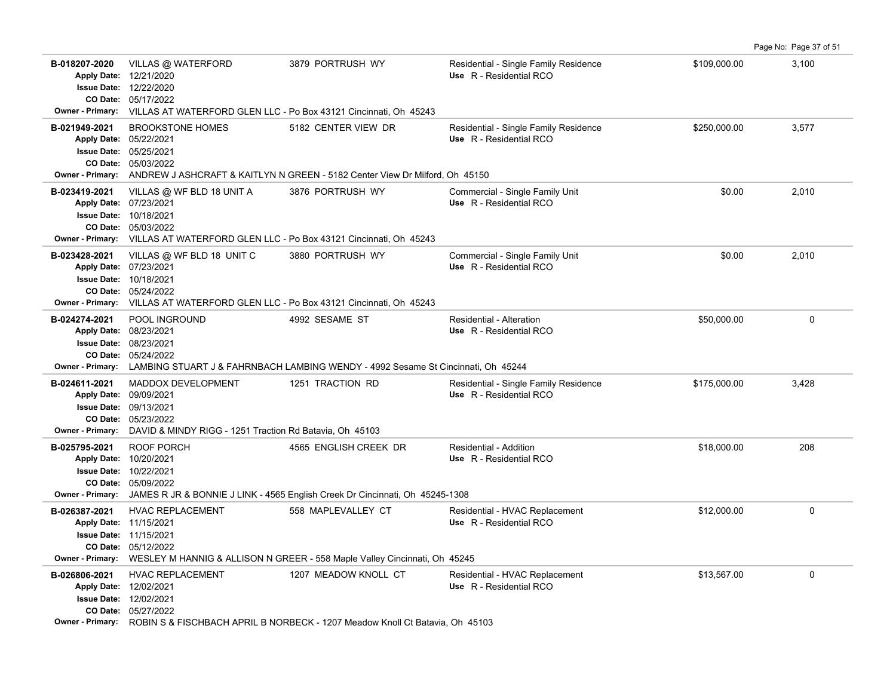|                                                                                                      |                                                                                                                                                                                                  |                                                                                                                        |                                                                  |              | Page No: Page 37 of 51 |
|------------------------------------------------------------------------------------------------------|--------------------------------------------------------------------------------------------------------------------------------------------------------------------------------------------------|------------------------------------------------------------------------------------------------------------------------|------------------------------------------------------------------|--------------|------------------------|
| B-018207-2020                                                                                        | VILLAS @ WATERFORD<br>Apply Date: 12/21/2020<br><b>Issue Date: 12/22/2020</b><br>CO Date: 05/17/2022<br><b>Owner - Primary:</b> VILLAS AT WATERFORD GLEN LLC - Po Box 43121 Cincinnati, Oh 45243 | 3879 PORTRUSH WY                                                                                                       | Residential - Single Family Residence<br>Use R - Residential RCO | \$109,000.00 | 3,100                  |
| B-021949-2021                                                                                        | <b>BROOKSTONE HOMES</b><br>Apply Date: 05/22/2021<br><b>Issue Date: 05/25/2021</b><br>CO Date: 05/03/2022                                                                                        | 5182 CENTER VIEW DR<br>Owner - Primary: ANDREW J ASHCRAFT & KAITLYN N GREEN - 5182 Center View Dr Milford, Oh 45150    | Residential - Single Family Residence<br>Use R - Residential RCO | \$250,000.00 | 3,577                  |
| B-023419-2021<br>Apply Date: 07/23/2021<br><b>Issue Date:</b><br>CO Date:<br><b>Owner - Primary:</b> | VILLAS @ WF BLD 18 UNIT A<br>10/18/2021<br>05/03/2022<br>VILLAS AT WATERFORD GLEN LLC - Po Box 43121 Cincinnati, Oh 45243                                                                        | 3876 PORTRUSH WY                                                                                                       | Commercial - Single Family Unit<br>Use R - Residential RCO       | \$0.00       | 2,010                  |
| B-023428-2021<br>Apply Date: 07/23/2021                                                              | VILLAS @ WF BLD 18 UNIT C<br><b>Issue Date: 10/18/2021</b><br>CO Date: 05/24/2022<br>Owner - Primary: VILLAS AT WATERFORD GLEN LLC - Po Box 43121 Cincinnati, Oh 45243                           | 3880 PORTRUSH WY                                                                                                       | Commercial - Single Family Unit<br>Use R - Residential RCO       | \$0.00       | 2,010                  |
| B-024274-2021<br><b>Apply Date:</b>                                                                  | POOL INGROUND<br>08/23/2021<br><b>Issue Date: 08/23/2021</b><br>CO Date: 05/24/2022                                                                                                              | 4992 SESAME ST<br>Owner - Primary: LAMBING STUART J & FAHRNBACH LAMBING WENDY - 4992 Sesame St Cincinnati, Oh 45244    | Residential - Alteration<br>Use R - Residential RCO              | \$50,000.00  | $\mathbf 0$            |
| B-024611-2021                                                                                        | MADDOX DEVELOPMENT<br>Apply Date: 09/09/2021<br><b>Issue Date: 09/13/2021</b><br>CO Date: 05/23/2022<br>Owner - Primary: DAVID & MINDY RIGG - 1251 Traction Rd Batavia, Oh 45103                 | 1251 TRACTION RD                                                                                                       | Residential - Single Family Residence<br>Use R - Residential RCO | \$175,000.00 | 3,428                  |
| B-025795-2021<br>Apply Date: 10/20/2021                                                              | ROOF PORCH<br><b>Issue Date: 10/22/2021</b><br>CO Date: 05/09/2022                                                                                                                               | 4565 ENGLISH CREEK DR<br>Owner - Primary: JAMES R JR & BONNIE J LINK - 4565 English Creek Dr Cincinnati, Oh 45245-1308 | Residential - Addition<br>Use R - Residential RCO                | \$18,000.00  | 208                    |
| B-026387-2021<br>Apply Date: 11/15/2021                                                              | <b>HVAC REPLACEMENT</b><br><b>Issue Date: 11/15/2021</b><br>CO Date: 05/12/2022                                                                                                                  | 558 MAPLEVALLEY CT<br>Owner - Primary: WESLEY M HANNIG & ALLISON N GREER - 558 Maple Valley Cincinnati, Oh 45245       | Residential - HVAC Replacement<br>Use R - Residential RCO        | \$12,000.00  | $\mathbf 0$            |
| B-026806-2021<br>Apply Date: 12/02/2021                                                              | <b>HVAC REPLACEMENT</b><br><b>Issue Date: 12/02/2021</b><br>CO Date: 05/27/2022                                                                                                                  | 1207 MEADOW KNOLL CT<br>Owner - Primary: ROBIN S & FISCHBACH APRIL B NORBECK - 1207 Meadow Knoll Ct Batavia, Oh 45103  | Residential - HVAC Replacement<br>Use R - Residential RCO        | \$13,567.00  | $\mathbf 0$            |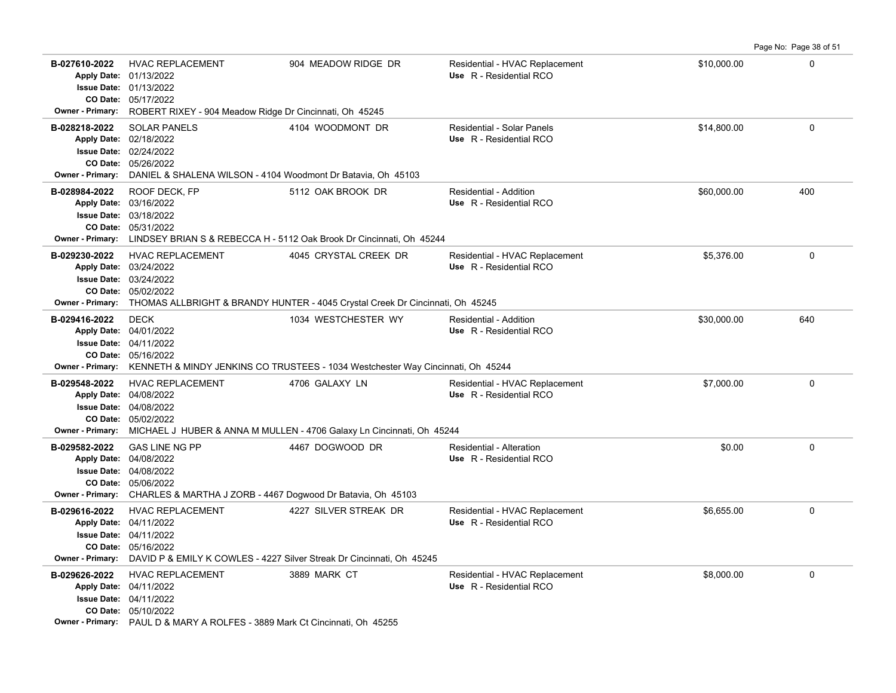**B-027610-2022** HVAC REPLACEMENT 904 MEADOW RIDGE DR Residential - HVAC Replacement \$10,000.00 \$10,000.00 0 05/17/2022 **CO Date:** 01/13/2022 **Issue Date:** Apply Date: 01/13/2022 **Apply Date: Use** R - Residential RCO **Owner - Primary:** ROBERT RIXEY - 904 Meadow Ridge Dr Cincinnati, Oh 45245 **B-028218-2022** \$14,800.00 0 SOLAR PANELS 4104 WOODMONT DR Residential - Solar Panels 05/26/2022 **CO Date:** 02/24/2022 **Issue Date:** 02/18/2022 **Apply Date: Use** R - Residential RCO **Owner - Primary:** DANIEL & SHALENA WILSON - 4104 Woodmont Dr Batavia, Oh 45103 **B-028984-2022** \$60,000.00 400 ROOF DECK, FP 5112 OAK BROOK DR Residential - Addition 05/31/2022 **CO Date:** 03/18/2022 **Issue Date:** 03/16/2022 **Apply Date: Use** R - Residential RCO **Owner - Primary:** LINDSEY BRIAN S & REBECCA H - 5112 Oak Brook Dr Cincinnati, Oh 45244 B-029230-2022 HVAC REPLACEMENT 4045 CRYSTAL CREEK DR Residential - HVAC Replacement \$5,376.00 \$5,376.00 05/02/2022 **CO Date:** 03/24/2022 **Issue Date:** 03/24/2022 **Apply Date: Use** R - Residential RCO **Owner - Primary:** THOMAS ALLBRIGHT & BRANDY HUNTER - 4045 Crystal Creek Dr Cincinnati, Oh 45245 **B-029416-2022** \$30,000.00 640 DECK 1034 WESTCHESTER WY Residential - Addition 05/16/2022 **CO Date:** 04/11/2022 **Issue Date:** Apply Date: 04/01/2022 **Apply Date: Use** R - Residential RCO **Owner - Primary:** KENNETH & MINDY JENKINS CO TRUSTEES - 1034 Westchester Way Cincinnati, Oh 45244 **B-029548-2022** \$7,000.00 0 HVAC REPLACEMENT 4706 GALAXY LN Residential - HVAC Replacement 05/02/2022 **CO Date:** 04/08/2022 **Issue Date:** Apply Date: 04/08/2022 **Apply Date: Use** R - Residential RCO **Owner - Primary:** MICHAEL J HUBER & ANNA M MULLEN - 4706 Galaxy Ln Cincinnati, Oh 45244 **B-029582-2022** \$0.00 0 GAS LINE NG PP 4467 DOGWOOD DR Residential - Alteration 05/06/2022 **CO Date:** 04/08/2022 **Issue Date:** Apply Date: 04/08/2022 **Apply Date: Use** R - Residential RCO **Owner - Primary:** CHARLES & MARTHA J ZORB - 4467 Dogwood Dr Batavia, Oh 45103 B-029616-2022 HVAC REPLACEMENT 4227 SILVER STREAK DR Residential - HVAC Replacement \$6,655.00 \$6,655.00 05/16/2022 **CO Date:** 04/11/2022 **Issue Date:** 04/11/2022 **Apply Date: Use** R - Residential RCO **Owner - Primary:** DAVID P & EMILY K COWLES - 4227 Silver Streak Dr Cincinnati, Oh 45245 **B-029626-2022** HVAC REPLACEMENT 3889 MARK CT Residential - HVAC Replacement \$8,000.00 \$8,000.00 0 05/10/2022 **CO Date:** 04/11/2022 **Issue Date:** Apply Date: 04/11/2022 **Apply Date: Use** R - Residential RCO

Page No: Page 38 of 51

**Owner - Primary:** PAUL D & MARY A ROLFES - 3889 Mark Ct Cincinnati, Oh 45255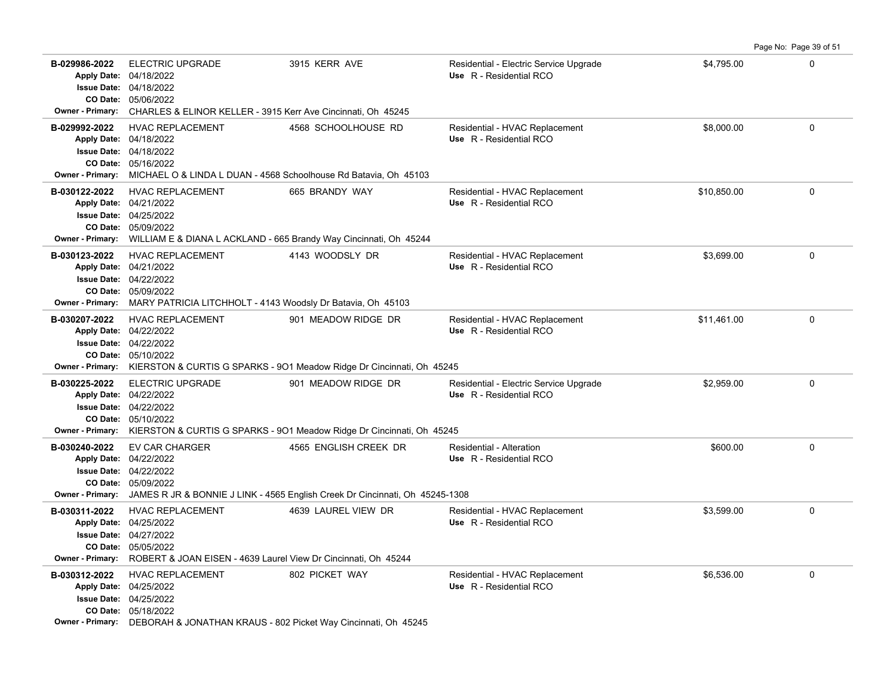|                                          |                                                                                                                                                                                              |                                                                                                       |                                                                   |             | Page No: Page 39 of 51 |
|------------------------------------------|----------------------------------------------------------------------------------------------------------------------------------------------------------------------------------------------|-------------------------------------------------------------------------------------------------------|-------------------------------------------------------------------|-------------|------------------------|
| B-029986-2022<br><b>Owner - Primary:</b> | <b>ELECTRIC UPGRADE</b><br>Apply Date: 04/18/2022<br>Issue Date: 04/18/2022<br>CO Date: 05/06/2022<br>CHARLES & ELINOR KELLER - 3915 Kerr Ave Cincinnati, Oh 45245                           | 3915 KERR AVE                                                                                         | Residential - Electric Service Upgrade<br>Use R - Residential RCO | \$4,795.00  | $\mathbf 0$            |
| B-029992-2022<br><b>Owner - Primary:</b> | HVAC REPLACEMENT<br>Apply Date: 04/18/2022<br><b>Issue Date: 04/18/2022</b><br>CO Date: 05/16/2022<br>MICHAEL O & LINDA L DUAN - 4568 Schoolhouse Rd Batavia, Oh 45103                       | 4568 SCHOOLHOUSE RD                                                                                   | Residential - HVAC Replacement<br>Use R - Residential RCO         | \$8,000.00  | $\Omega$               |
| B-030122-2022<br><b>Owner - Primary:</b> | <b>HVAC REPLACEMENT</b><br>Apply Date: 04/21/2022<br>Issue Date: 04/25/2022<br>CO Date: 05/09/2022<br>WILLIAM E & DIANA L ACKLAND - 665 Brandy Way Cincinnati, Oh 45244                      | 665 BRANDY WAY                                                                                        | Residential - HVAC Replacement<br>Use R - Residential RCO         | \$10,850.00 | 0                      |
| B-030123-2022<br><b>Owner - Primary:</b> | <b>HVAC REPLACEMENT</b><br>Apply Date: 04/21/2022<br>Issue Date: 04/22/2022<br>CO Date: 05/09/2022<br>MARY PATRICIA LITCHHOLT - 4143 Woodsly Dr Batavia, Oh 45103                            | 4143 WOODSLY DR                                                                                       | Residential - HVAC Replacement<br>Use R - Residential RCO         | \$3,699.00  | 0                      |
| B-030207-2022<br><b>Owner - Primary:</b> | <b>HVAC REPLACEMENT</b><br>Apply Date: 04/22/2022<br><b>Issue Date: 04/22/2022</b><br>CO Date: 05/10/2022<br>KIERSTON & CURTIS G SPARKS - 901 Meadow Ridge Dr Cincinnati, Oh 45245           | 901 MEADOW RIDGE DR                                                                                   | Residential - HVAC Replacement<br>Use R - Residential RCO         | \$11.461.00 | $\Omega$               |
| B-030225-2022<br><b>Owner - Primary:</b> | <b>ELECTRIC UPGRADE</b><br>Apply Date: 04/22/2022<br><b>Issue Date: 04/22/2022</b><br>CO Date: 05/10/2022                                                                                    | 901 MEADOW RIDGE DR<br>KIERSTON & CURTIS G SPARKS - 901 Meadow Ridge Dr Cincinnati, Oh 45245          | Residential - Electric Service Upgrade<br>Use R - Residential RCO | \$2,959.00  | 0                      |
| B-030240-2022<br><b>Owner - Primary:</b> | <b>EV CAR CHARGER</b><br>Apply Date: 04/22/2022<br>Issue Date: 04/22/2022<br>CO Date: 05/09/2022                                                                                             | 4565 ENGLISH CREEK DR<br>JAMES R JR & BONNIE J LINK - 4565 English Creek Dr Cincinnati, Oh 45245-1308 | Residential - Alteration<br>Use R - Residential RCO               | \$600.00    | $\Omega$               |
| B-030311-2022<br><b>Owner - Primary:</b> | HVAC REPLACEMENT<br>Apply Date: 04/25/2022<br><b>Issue Date: 04/27/2022</b><br>CO Date: 05/05/2022<br>ROBERT & JOAN EISEN - 4639 Laurel View Dr Cincinnati, Oh 45244                         | 4639 LAUREL VIEW DR                                                                                   | Residential - HVAC Replacement<br>Use R - Residential RCO         | \$3.599.00  | $\Omega$               |
| B-030312-2022                            | <b>HVAC REPLACEMENT</b><br>Apply Date: 04/25/2022<br><b>Issue Date: 04/25/2022</b><br>CO Date: 05/18/2022<br>Owner - Primary: DEBORAH & JONATHAN KRAUS - 802 Picket Way Cincinnati, Oh 45245 | 802 PICKET WAY                                                                                        | Residential - HVAC Replacement<br>Use R - Residential RCO         | \$6,536.00  | 0                      |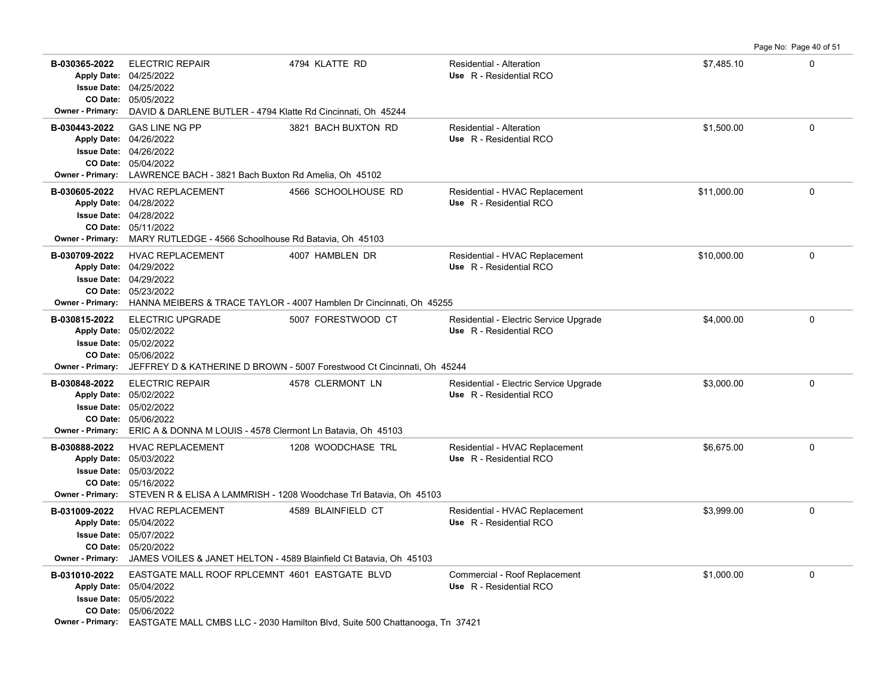**B-030365-2022** \$7,485.10 0 05/05/2022 **CO Date:** 04/25/2022 **Issue Date:** Apply Date: 04/25/2022 ELECTRIC REPAIR 4794 KLATTE RD Residential - Alteration **Apply Date: Use** R - Residential RCO **Owner - Primary:** DAVID & DARLENE BUTLER - 4794 Klatte Rd Cincinnati, Oh 45244 **B-030443-2022** GAS LINE NG PP 3821 BACH BUXTON RD Residential - Alteration \$1,500.00 \$1,500.00 0 05/04/2022 **CO Date:** 04/26/2022 **Issue Date:** 04/26/2022 **Apply Date: Use** R - Residential RCO **Owner - Primary:** LAWRENCE BACH - 3821 Bach Buxton Rd Amelia, Oh 45102 **B-030605-2022** \$11,000.00 0 HVAC REPLACEMENT 4566 SCHOOLHOUSE RD Residential - HVAC Replacement 05/11/2022 **CO Date:** 04/28/2022 **Issue Date:** 04/28/2022 **Apply Date: Use** R - Residential RCO **Owner - Primary:** MARY RUTLEDGE - 4566 Schoolhouse Rd Batavia, Oh 45103 B-030709-2022 HVAC REPLACEMENT 4007 HAMBLEN DR Residential - HVAC Replacement \$10,000.00 \$10,000.00 0 05/23/2022 **CO Date:** 04/29/2022 **Issue Date:** Apply Date: 04/29/2022 **Apply Date: Use** R - Residential RCO **Owner - Primary:** HANNA MEIBERS & TRACE TAYLOR - 4007 Hamblen Dr Cincinnati, Oh 45255 **B-030815-2022** ELECTRIC UPGRADE 5007 FORESTWOOD CT Residential - Electric Service Upgrade \$4,000.00 \$4,000.00 0 05/06/2022 **CO Date:** 05/02/2022 **Issue Date:** Apply Date: 05/02/2022 **Apply Date: Use** R - Residential RCO **Owner - Primary:** JEFFREY D & KATHERINE D BROWN - 5007 Forestwood Ct Cincinnati, Oh 45244 **B-030848-2022** ELECTRIC REPAIR 4578 CLERMONT LN Residential - Electric Service Upgrade \$3,000.00 \$3,000.00 0 05/06/2022 **CO Date:** 05/02/2022 **Issue Date:** Apply Date: 05/02/2022 **Apply Date: Use** R - Residential RCO **Owner - Primary:** ERIC A & DONNA M LOUIS - 4578 Clermont Ln Batavia, Oh 45103 B-030888-2022 HVAC REPLACEMENT 1208 WOODCHASE TRL Residential - HVAC Replacement \$6,675.00 \$6,675.00 05/16/2022 **CO Date:** 05/03/2022 **Issue Date:** Apply Date: 05/03/2022 **Apply Date: Use** R - Residential RCO **Owner - Primary:** STEVEN R & ELISA A LAMMRISH - 1208 Woodchase Trl Batavia, Oh 45103 **B-031009-2022** HVAC REPLACEMENT 4589 BLAINFIELD CT Residential - HVAC Replacement \$3,999.00 \$3,999.00 05/20/2022 **CO Date:** 05/07/2022 **Issue Date:** 05/04/2022 **Apply Date: Use** R - Residential RCO **Owner - Primary:** JAMES VOILES & JANET HELTON - 4589 Blainfield Ct Batavia, Oh 45103 **B-031010-2022** \$1,000.00 0 EASTGATE MALL ROOF RPLCEMNT 4601 EASTGATE BLVD Commercial - Roof Replacement 05/06/2022 **CO Date:** 05/05/2022 **Issue Date:** Apply Date: 05/04/2022 **Apply Date: Use** R - Residential RCO

Page No: Page 40 of 51

**Owner - Primary:** EASTGATE MALL CMBS LLC - 2030 Hamilton Blvd, Suite 500 Chattanooga, Tn 37421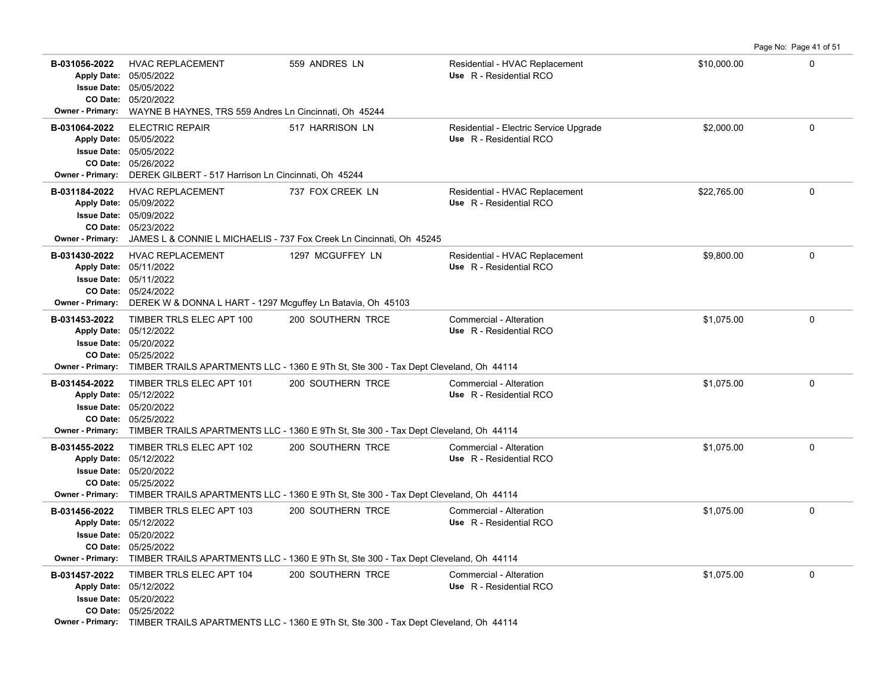| B-031056-2022<br><b>Owner - Primary:</b> | <b>HVAC REPLACEMENT</b><br>Apply Date: 05/05/2022<br><b>Issue Date: 05/05/2022</b><br>CO Date: 05/20/2022<br>WAYNE B HAYNES, TRS 559 Andres Ln Cincinnati, Oh 45244      | 559 ANDRES LN                                                                                                              | Residential - HVAC Replacement<br>Use R - Residential RCO         | \$10,000.00 | $\Omega$    |
|------------------------------------------|--------------------------------------------------------------------------------------------------------------------------------------------------------------------------|----------------------------------------------------------------------------------------------------------------------------|-------------------------------------------------------------------|-------------|-------------|
| B-031064-2022<br><b>Owner - Primary:</b> | <b>ELECTRIC REPAIR</b><br>Apply Date: 05/05/2022<br>Issue Date: 05/05/2022<br>CO Date: 05/26/2022<br>DEREK GILBERT - 517 Harrison Ln Cincinnati, Oh 45244                | 517 HARRISON LN                                                                                                            | Residential - Electric Service Upgrade<br>Use R - Residential RCO | \$2,000.00  | $\Omega$    |
| B-031184-2022                            | <b>HVAC REPLACEMENT</b><br>Apply Date: 05/09/2022<br><b>Issue Date: 05/09/2022</b><br>CO Date: 05/23/2022                                                                | 737 FOX CREEK LN<br>Owner - Primary: JAMES L & CONNIE L MICHAELIS - 737 Fox Creek Ln Cincinnati, Oh 45245                  | Residential - HVAC Replacement<br>Use R - Residential RCO         | \$22.765.00 | $\mathbf 0$ |
| B-031430-2022<br><b>Owner - Primary:</b> | <b>HVAC REPLACEMENT</b><br>Apply Date: 05/11/2022<br><b>Issue Date: 05/11/2022</b><br>CO Date: 05/24/2022<br>DEREK W & DONNA L HART - 1297 Mcguffey Ln Batavia, Oh 45103 | 1297 MCGUFFEY LN                                                                                                           | Residential - HVAC Replacement<br>Use R - Residential RCO         | \$9,800.00  | $\Omega$    |
| B-031453-2022                            | TIMBER TRLS ELEC APT 100<br>Apply Date: 05/12/2022<br><b>Issue Date: 05/20/2022</b><br>CO Date: 05/25/2022                                                               | 200 SOUTHERN TRCE<br>Owner - Primary: TIMBER TRAILS APARTMENTS LLC - 1360 E 9Th St, Ste 300 - Tax Dept Cleveland, Oh 44114 | Commercial - Alteration<br>Use R - Residential RCO                | \$1,075.00  | $\Omega$    |
| B-031454-2022                            | TIMBER TRLS ELEC APT 101<br>Apply Date: 05/12/2022<br><b>Issue Date: 05/20/2022</b><br>CO Date: 05/25/2022                                                               | 200 SOUTHERN TRCE<br>Owner - Primary: TIMBER TRAILS APARTMENTS LLC - 1360 E 9Th St, Ste 300 - Tax Dept Cleveland, Oh 44114 | Commercial - Alteration<br>Use R - Residential RCO                | \$1.075.00  | $\mathbf 0$ |
| B-031455-2022                            | TIMBER TRLS ELEC APT 102<br>Apply Date: 05/12/2022<br><b>Issue Date: 05/20/2022</b><br>CO Date: 05/25/2022                                                               | 200 SOUTHERN TRCE<br>Owner - Primary: TIMBER TRAILS APARTMENTS LLC - 1360 E 9Th St, Ste 300 - Tax Dept Cleveland, Oh 44114 | Commercial - Alteration<br>Use R - Residential RCO                | \$1,075.00  | 0           |
| B-031456-2022                            | TIMBER TRLS ELEC APT 103<br>Apply Date: 05/12/2022<br><b>Issue Date: 05/20/2022</b><br>CO Date: 05/25/2022                                                               | 200 SOUTHERN TRCE<br>Owner - Primary: TIMBER TRAILS APARTMENTS LLC - 1360 E 9Th St, Ste 300 - Tax Dept Cleveland, Oh 44114 | Commercial - Alteration<br>Use R - Residential RCO                | \$1,075.00  | $\mathbf 0$ |
| B-031457-2022                            | TIMBER TRLS ELEC APT 104<br>Apply Date: 05/12/2022<br><b>Issue Date: 05/20/2022</b><br>CO Date: 05/25/2022                                                               | 200 SOUTHERN TRCE<br>Owner - Primary: TIMBER TRAILS APARTMENTS LLC - 1360 E 9Th St, Ste 300 - Tax Dept Cleveland, Oh 44114 | Commercial - Alteration<br>Use R - Residential RCO                | \$1,075.00  | $\Omega$    |

Page No: Page 41 of 51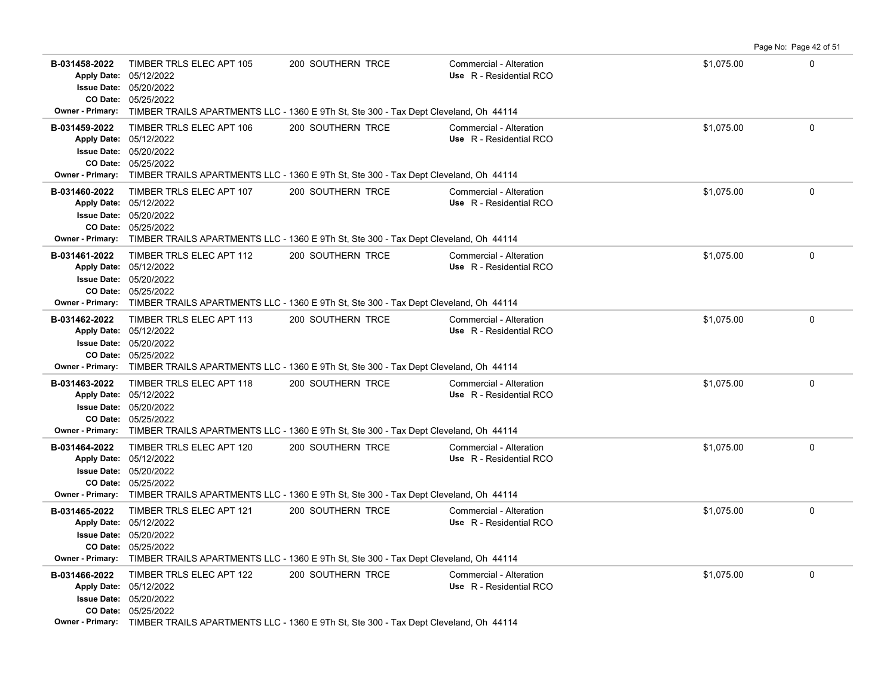|               |                                                                                                                                                                                                                            |                   |                                                    |            | Page No: Page 42 of 51 |
|---------------|----------------------------------------------------------------------------------------------------------------------------------------------------------------------------------------------------------------------------|-------------------|----------------------------------------------------|------------|------------------------|
| B-031458-2022 | TIMBER TRLS ELEC APT 105<br>Apply Date: 05/12/2022<br><b>Issue Date: 05/20/2022</b><br>CO Date: 05/25/2022                                                                                                                 | 200 SOUTHERN TRCE | Commercial - Alteration<br>Use R - Residential RCO | \$1,075.00 | $\Omega$               |
|               | <b>Owner - Primary:</b> TIMBER TRAILS APARTMENTS LLC - 1360 E 9Th St, Ste 300 - Tax Dept Cleveland, Oh 44114                                                                                                               |                   |                                                    |            |                        |
| B-031459-2022 | TIMBER TRLS ELEC APT 106<br>Apply Date: 05/12/2022<br><b>Issue Date: 05/20/2022</b><br>CO Date: 05/25/2022<br>Owner - Primary: TIMBER TRAILS APARTMENTS LLC - 1360 E 9Th St, Ste 300 - Tax Dept Cleveland, Oh 44114        | 200 SOUTHERN TRCE | Commercial - Alteration<br>Use R - Residential RCO | \$1.075.00 | $\Omega$               |
| B-031460-2022 | TIMBER TRLS ELEC APT 107<br>Apply Date: 05/12/2022<br>Issue Date: 05/20/2022<br>CO Date: 05/25/2022<br>Owner - Primary: TIMBER TRAILS APARTMENTS LLC - 1360 E 9Th St, Ste 300 - Tax Dept Cleveland, Oh 44114               | 200 SOUTHERN TRCE | Commercial - Alteration<br>Use R - Residential RCO | \$1,075.00 | 0                      |
| B-031461-2022 | TIMBER TRLS ELEC APT 112<br>Apply Date: 05/12/2022<br><b>Issue Date: 05/20/2022</b><br>CO Date: 05/25/2022<br>Owner - Primary: TIMBER TRAILS APARTMENTS LLC - 1360 E 9Th St, Ste 300 - Tax Dept Cleveland, Oh 44114        | 200 SOUTHERN TRCE | Commercial - Alteration<br>Use R - Residential RCO | \$1,075.00 | 0                      |
| B-031462-2022 | TIMBER TRLS ELEC APT 113<br>Apply Date: 05/12/2022<br><b>Issue Date: 05/20/2022</b><br>CO Date: 05/25/2022<br><b>Owner - Primary:</b> TIMBER TRAILS APARTMENTS LLC - 1360 E 9Th St, Ste 300 - Tax Dept Cleveland, Oh 44114 | 200 SOUTHERN TRCE | Commercial - Alteration<br>Use R - Residential RCO | \$1,075.00 | $\mathbf 0$            |
| B-031463-2022 | TIMBER TRLS ELEC APT 118<br>Apply Date: 05/12/2022<br>Issue Date: 05/20/2022<br>CO Date: 05/25/2022<br>Owner - Primary: TIMBER TRAILS APARTMENTS LLC - 1360 E 9Th St, Ste 300 - Tax Dept Cleveland, Oh 44114               | 200 SOUTHERN TRCE | Commercial - Alteration<br>Use R - Residential RCO | \$1,075.00 | 0                      |
| B-031464-2022 | TIMBER TRLS ELEC APT 120<br>Apply Date: 05/12/2022<br><b>Issue Date: 05/20/2022</b><br>CO Date: 05/25/2022<br>Owner - Primary: TIMBER TRAILS APARTMENTS LLC - 1360 E 9Th St, Ste 300 - Tax Dept Cleveland, Oh 44114        | 200 SOUTHERN TRCE | Commercial - Alteration<br>Use R - Residential RCO | \$1,075.00 | 0                      |
| B-031465-2022 | TIMBER TRLS ELEC APT 121<br>Apply Date: 05/12/2022<br>Issue Date: 05/20/2022<br>CO Date: 05/25/2022<br>Owner - Primary: TIMBER TRAILS APARTMENTS LLC - 1360 E 9Th St, Ste 300 - Tax Dept Cleveland, Oh 44114               | 200 SOUTHERN TRCE | Commercial - Alteration<br>Use R - Residential RCO | \$1,075.00 | 0                      |
| B-031466-2022 | TIMBER TRLS ELEC APT 122<br>Apply Date: 05/12/2022<br>Issue Date: 05/20/2022<br>CO Date: 05/25/2022<br>Owner - Primary: TIMBER TRAILS APARTMENTS LLC - 1360 E 9Th St, Ste 300 - Tax Dept Cleveland, Oh 44114               | 200 SOUTHERN TRCE | Commercial - Alteration<br>Use R - Residential RCO | \$1,075.00 | 0                      |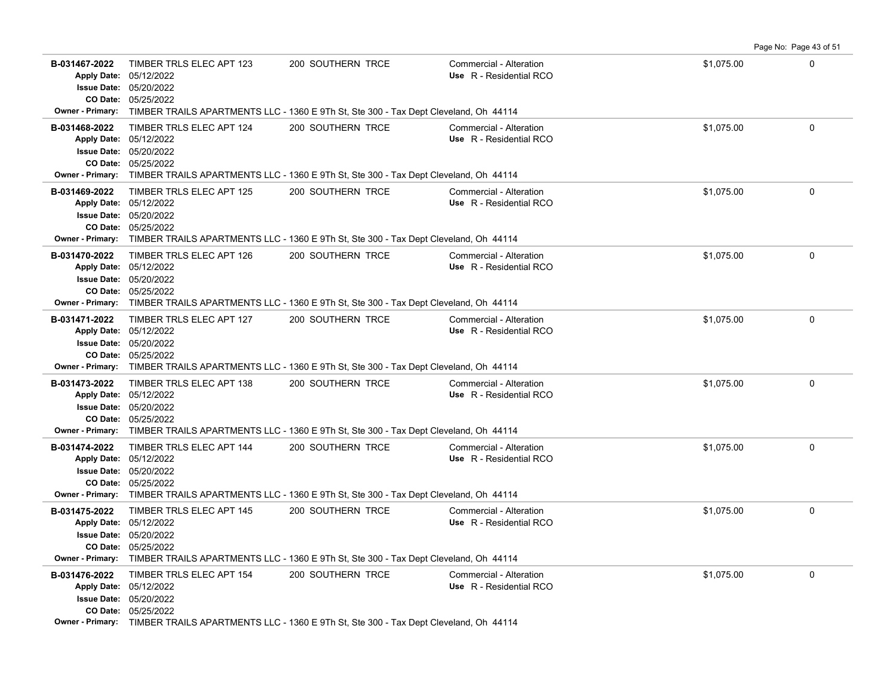|                                                      |                                                                                                                                                                                                                            |                                                                                      |                                                    |            | Page No: Page 43 of 51 |
|------------------------------------------------------|----------------------------------------------------------------------------------------------------------------------------------------------------------------------------------------------------------------------------|--------------------------------------------------------------------------------------|----------------------------------------------------|------------|------------------------|
| B-031467-2022<br><b>Owner - Primary:</b>             | TIMBER TRLS ELEC APT 123<br>Apply Date: 05/12/2022<br><b>Issue Date: 05/20/2022</b><br>CO Date: 05/25/2022                                                                                                                 | 200 SOUTHERN TRCE                                                                    | Commercial - Alteration<br>Use R - Residential RCO | \$1,075.00 | $\Omega$               |
|                                                      |                                                                                                                                                                                                                            | TIMBER TRAILS APARTMENTS LLC - 1360 E 9Th St, Ste 300 - Tax Dept Cleveland, Oh 44114 |                                                    |            |                        |
| B-031468-2022                                        | TIMBER TRLS ELEC APT 124<br>Apply Date: 05/12/2022<br><b>Issue Date: 05/20/2022</b><br>CO Date: 05/25/2022<br>Owner - Primary: TIMBER TRAILS APARTMENTS LLC - 1360 E 9Th St, Ste 300 - Tax Dept Cleveland, Oh 44114        | 200 SOUTHERN TRCE                                                                    | Commercial - Alteration<br>Use R - Residential RCO | \$1,075.00 | $\Omega$               |
| B-031469-2022<br>CO Date:<br><b>Owner - Primary:</b> | TIMBER TRLS ELEC APT 125<br>Apply Date: 05/12/2022<br><b>Issue Date: 05/20/2022</b><br>05/25/2022<br>TIMBER TRAILS APARTMENTS LLC - 1360 E 9Th St, Ste 300 - Tax Dept Cleveland, Oh 44114                                  | 200 SOUTHERN TRCE                                                                    | Commercial - Alteration<br>Use R - Residential RCO | \$1,075.00 | $\Omega$               |
| B-031470-2022<br>Owner - Primary:                    | TIMBER TRLS ELEC APT 126<br>Apply Date: 05/12/2022<br><b>Issue Date: 05/20/2022</b><br>CO Date: 05/25/2022<br>TIMBER TRAILS APARTMENTS LLC - 1360 E 9Th St, Ste 300 - Tax Dept Cleveland, Oh 44114                         | 200 SOUTHERN TRCE                                                                    | Commercial - Alteration<br>Use R - Residential RCO | \$1,075.00 | 0                      |
| B-031471-2022                                        | TIMBER TRLS ELEC APT 127<br>Apply Date: 05/12/2022<br><b>Issue Date: 05/20/2022</b><br>CO Date: 05/25/2022<br><b>Owner - Primary:</b> TIMBER TRAILS APARTMENTS LLC - 1360 E 9Th St, Ste 300 - Tax Dept Cleveland, Oh 44114 | 200 SOUTHERN TRCE                                                                    | Commercial - Alteration<br>Use R - Residential RCO | \$1,075.00 | $\mathbf 0$            |
| B-031473-2022                                        | TIMBER TRLS ELEC APT 138<br>Apply Date: 05/12/2022<br><b>Issue Date: 05/20/2022</b><br>CO Date: 05/25/2022<br>Owner - Primary: TIMBER TRAILS APARTMENTS LLC - 1360 E 9Th St, Ste 300 - Tax Dept Cleveland, Oh 44114        | 200 SOUTHERN TRCE                                                                    | Commercial - Alteration<br>Use R - Residential RCO | \$1,075.00 | $\mathbf 0$            |
| B-031474-2022<br><b>Owner - Primary:</b>             | TIMBER TRLS ELEC APT 144<br>Apply Date: 05/12/2022<br><b>Issue Date: 05/20/2022</b><br>CO Date: 05/25/2022<br>TIMBER TRAILS APARTMENTS LLC - 1360 E 9Th St, Ste 300 - Tax Dept Cleveland, Oh 44114                         | 200 SOUTHERN TRCE                                                                    | Commercial - Alteration<br>Use R - Residential RCO | \$1,075.00 | $\mathbf 0$            |
| B-031475-2022                                        | TIMBER TRLS ELEC APT 145<br>Apply Date: 05/12/2022<br><b>Issue Date: 05/20/2022</b><br>CO Date: 05/25/2022<br>Owner - Primary: TIMBER TRAILS APARTMENTS LLC - 1360 E 9Th St, Ste 300 - Tax Dept Cleveland, Oh 44114        | 200 SOUTHERN TRCE                                                                    | Commercial - Alteration<br>Use R - Residential RCO | \$1,075.00 | 0                      |
| B-031476-2022                                        | TIMBER TRLS ELEC APT 154<br>Apply Date: 05/12/2022<br>Issue Date: 05/20/2022<br>CO Date: 05/25/2022<br>Owner - Primary: TIMBER TRAILS APARTMENTS LLC - 1360 E 9Th St, Ste 300 - Tax Dept Cleveland, Oh 44114               | 200 SOUTHERN TRCE                                                                    | Commercial - Alteration<br>Use R - Residential RCO | \$1,075.00 | 0                      |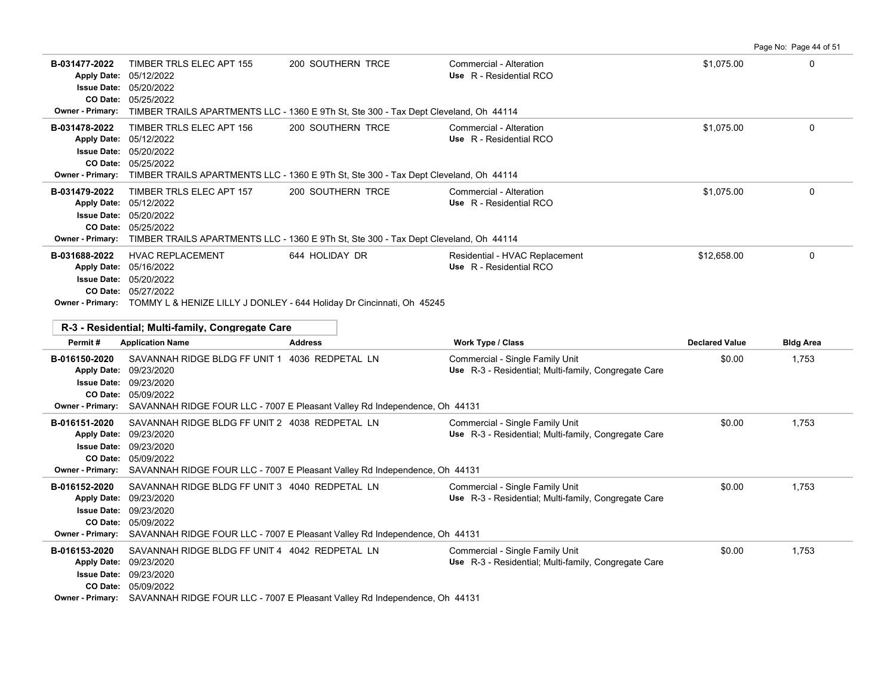|                                         |                                                                                                                                                                                                                                 |                   |                                                                                         |                       | Page No: Page 44 of 51 |
|-----------------------------------------|---------------------------------------------------------------------------------------------------------------------------------------------------------------------------------------------------------------------------------|-------------------|-----------------------------------------------------------------------------------------|-----------------------|------------------------|
| B-031477-2022<br>Owner - Primary:       | TIMBER TRLS ELEC APT 155<br>Apply Date: 05/12/2022<br>Issue Date: 05/20/2022<br>CO Date: 05/25/2022<br>TIMBER TRAILS APARTMENTS LLC - 1360 E 9Th St, Ste 300 - Tax Dept Cleveland, Oh 44114                                     | 200 SOUTHERN TRCE | Commercial - Alteration<br>Use R - Residential RCO                                      | \$1,075.00            | $\mathbf 0$            |
| B-031478-2022                           | TIMBER TRLS ELEC APT 156<br>Apply Date: 05/12/2022<br><b>Issue Date: 05/20/2022</b><br>CO Date: 05/25/2022<br>Owner - Primary: TIMBER TRAILS APARTMENTS LLC - 1360 E 9Th St, Ste 300 - Tax Dept Cleveland, Oh 44114             | 200 SOUTHERN TRCE | Commercial - Alteration<br>Use R - Residential RCO                                      | \$1,075.00            | $\mathbf 0$            |
| B-031479-2022                           | TIMBER TRLS ELEC APT 157<br>Apply Date: 05/12/2022<br>Issue Date: 05/20/2022<br>CO Date: 05/25/2022<br>Owner - Primary: TIMBER TRAILS APARTMENTS LLC - 1360 E 9Th St, Ste 300 - Tax Dept Cleveland, Oh 44114                    | 200 SOUTHERN TRCE | Commercial - Alteration<br>Use R - Residential RCO                                      | \$1,075.00            | 0                      |
| B-031688-2022                           | <b>HVAC REPLACEMENT</b><br>Apply Date: 05/16/2022<br><b>Issue Date: 05/20/2022</b><br>CO Date: 05/27/2022<br>Owner - Primary: TOMMY L & HENIZE LILLY J DONLEY - 644 Holiday Dr Cincinnati, Oh 45245                             | 644 HOLIDAY DR    | Residential - HVAC Replacement<br>Use R - Residential RCO                               | \$12,658.00           | $\mathbf 0$            |
|                                         |                                                                                                                                                                                                                                 |                   |                                                                                         |                       |                        |
| Permit#                                 | R-3 - Residential: Multi-family, Congregate Care<br><b>Application Name</b>                                                                                                                                                     | <b>Address</b>    | Work Type / Class                                                                       | <b>Declared Value</b> | <b>Bldg Area</b>       |
| B-016150-2020                           | SAVANNAH RIDGE BLDG FF UNIT 1 4036 REDPETAL LN<br>Apply Date: 09/23/2020<br>Issue Date: 09/23/2020<br>CO Date: 05/09/2022<br>Owner - Primary: SAVANNAH RIDGE FOUR LLC - 7007 E Pleasant Valley Rd Independence, Oh 44131        |                   | Commercial - Single Family Unit<br>Use R-3 - Residential; Multi-family, Congregate Care | \$0.00                | 1,753                  |
| B-016151-2020<br>Apply Date: 09/23/2020 | SAVANNAH RIDGE BLDG FF UNIT 2 4038 REDPETAL LN<br><b>Issue Date: 09/23/2020</b><br>CO Date: 05/09/2022<br>Owner - Primary: SAVANNAH RIDGE FOUR LLC - 7007 E Pleasant Valley Rd Independence, Oh 44131                           |                   | Commercial - Single Family Unit<br>Use R-3 - Residential; Multi-family, Congregate Care | \$0.00                | 1,753                  |
| B-016152-2020                           | SAVANNAH RIDGE BLDG FF UNIT 3 4040 REDPETAL LN<br>Apply Date: 09/23/2020<br><b>Issue Date: 09/23/2020</b><br>CO Date: 05/09/2022<br>Owner - Primary: SAVANNAH RIDGE FOUR LLC - 7007 E Pleasant Valley Rd Independence, Oh 44131 |                   | Commercial - Single Family Unit<br>Use R-3 - Residential; Multi-family, Congregate Care | \$0.00                | 1,753                  |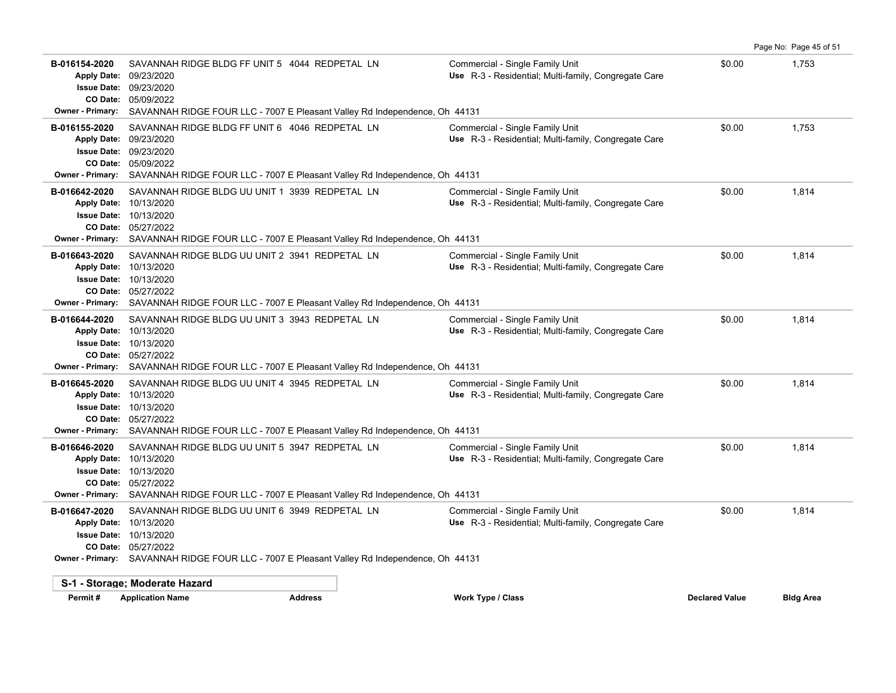|                                                                                                  |                                                                                                                                                                                                         |                                                                                         |                       | Page No: Page 45 of 51 |
|--------------------------------------------------------------------------------------------------|---------------------------------------------------------------------------------------------------------------------------------------------------------------------------------------------------------|-----------------------------------------------------------------------------------------|-----------------------|------------------------|
| B-016154-2020<br><b>Apply Date:</b><br><b>Issue Date:</b><br><b>Owner - Primary:</b>             | SAVANNAH RIDGE BLDG FF UNIT 5 4044 REDPETAL LN<br>09/23/2020<br>09/23/2020<br>CO Date: 05/09/2022<br>SAVANNAH RIDGE FOUR LLC - 7007 E Pleasant Valley Rd Independence, Oh 44131                         | Commercial - Single Family Unit<br>Use R-3 - Residential; Multi-family, Congregate Care | \$0.00                | 1,753                  |
| B-016155-2020<br><b>Apply Date:</b><br><b>Issue Date:</b><br>CO Date:<br>Owner - Primary:        | SAVANNAH RIDGE BLDG FF UNIT 6 4046 REDPETAL LN<br>09/23/2020<br>09/23/2020<br>05/09/2022<br>SAVANNAH RIDGE FOUR LLC - 7007 E Pleasant Valley Rd Independence, Oh 44131                                  | Commercial - Single Family Unit<br>Use R-3 - Residential; Multi-family, Congregate Care | \$0.00                | 1,753                  |
| B-016642-2020<br><b>Apply Date:</b><br><b>Issue Date:</b>                                        | SAVANNAH RIDGE BLDG UU UNIT 1 3939 REDPETAL LN<br>10/13/2020<br>10/13/2020<br>CO Date: 05/27/2022<br><b>Owner - Primary:</b> SAVANNAH RIDGE FOUR LLC - 7007 E Pleasant Valley Rd Independence, Oh 44131 | Commercial - Single Family Unit<br>Use R-3 - Residential; Multi-family, Congregate Care | \$0.00                | 1,814                  |
| B-016643-2020<br><b>Apply Date:</b><br><b>Issue Date:</b><br><b>Owner - Primary:</b>             | SAVANNAH RIDGE BLDG UU UNIT 2 3941 REDPETAL LN<br>10/13/2020<br>10/13/2020<br>CO Date: 05/27/2022<br>SAVANNAH RIDGE FOUR LLC - 7007 E Pleasant Valley Rd Independence, Oh 44131                         | Commercial - Single Family Unit<br>Use R-3 - Residential; Multi-family, Congregate Care | \$0.00                | 1,814                  |
| B-016644-2020<br><b>Apply Date:</b><br><b>Issue Date:</b><br>CO Date:<br><b>Owner - Primary:</b> | SAVANNAH RIDGE BLDG UU UNIT 3 3943 REDPETAL LN<br>10/13/2020<br>10/13/2020<br>05/27/2022<br>SAVANNAH RIDGE FOUR LLC - 7007 E Pleasant Valley Rd Independence, Oh 44131                                  | Commercial - Single Family Unit<br>Use R-3 - Residential; Multi-family, Congregate Care | \$0.00                | 1,814                  |
| B-016645-2020<br>Apply Date: 10/13/2020<br><b>Owner - Primary:</b>                               | SAVANNAH RIDGE BLDG UU UNIT 4 3945 REDPETAL LN<br><b>Issue Date: 10/13/2020</b><br>CO Date: 05/27/2022<br>SAVANNAH RIDGE FOUR LLC - 7007 E Pleasant Valley Rd Independence, Oh 44131                    | Commercial - Single Family Unit<br>Use R-3 - Residential; Multi-family, Congregate Care | \$0.00                | 1,814                  |
| B-016646-2020<br><b>Apply Date:</b><br><b>Owner - Primary:</b>                                   | SAVANNAH RIDGE BLDG UU UNIT 5 3947 REDPETAL LN<br>10/13/2020<br><b>Issue Date: 10/13/2020</b><br>CO Date: 05/27/2022<br>SAVANNAH RIDGE FOUR LLC - 7007 E Pleasant Valley Rd Independence, Oh 44131      | Commercial - Single Family Unit<br>Use R-3 - Residential; Multi-family, Congregate Care | \$0.00                | 1,814                  |
| B-016647-2020<br><b>Apply Date:</b><br><b>Issue Date:</b>                                        | SAVANNAH RIDGE BLDG UU UNIT 6 3949 REDPETAL LN<br>10/13/2020<br>10/13/2020<br>CO Date: 05/27/2022<br><b>Owner - Primary:</b> SAVANNAH RIDGE FOUR LLC - 7007 E Pleasant Valley Rd Independence, Oh 44131 | Commercial - Single Family Unit<br>Use R-3 - Residential; Multi-family, Congregate Care | \$0.00                | 1,814                  |
|                                                                                                  | S-1 - Storage; Moderate Hazard                                                                                                                                                                          |                                                                                         |                       |                        |
| Permit#                                                                                          | <b>Application Name</b><br><b>Address</b>                                                                                                                                                               | <b>Work Type / Class</b>                                                                | <b>Declared Value</b> | <b>Bldg Area</b>       |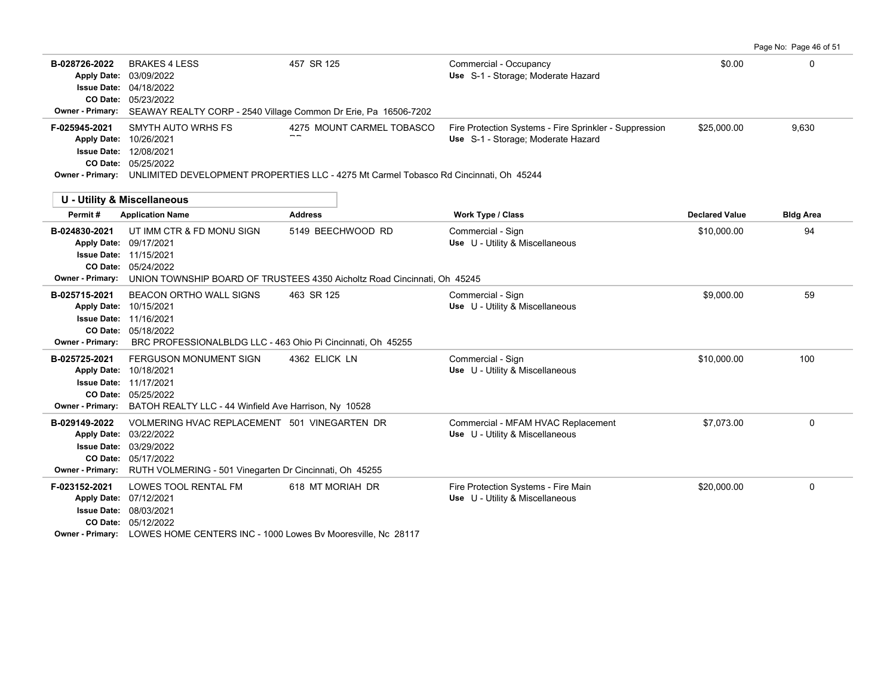|                                                                |                                                                                                                                                                                                                                     |                                     |                                                                                              |                                      | Page No: Page 46 of 51 |
|----------------------------------------------------------------|-------------------------------------------------------------------------------------------------------------------------------------------------------------------------------------------------------------------------------------|-------------------------------------|----------------------------------------------------------------------------------------------|--------------------------------------|------------------------|
| B-028726-2022<br><b>Apply Date:</b><br><b>Owner - Primary:</b> | <b>BRAKES 4 LESS</b><br>03/09/2022<br>Issue Date: 04/18/2022<br>CO Date: 05/23/2022<br>SEAWAY REALTY CORP - 2540 Village Common Dr Erie, Pa 16506-7202                                                                              | 457 SR 125                          | Commercial - Occupancy<br>Use S-1 - Storage; Moderate Hazard                                 | \$0.00                               | 0                      |
| F-025945-2021                                                  | SMYTH AUTO WRHS FS<br>Apply Date: 10/26/2021<br><b>Issue Date: 12/08/2021</b><br>CO Date: 05/25/2022<br>Owner - Primary: UNLIMITED DEVELOPMENT PROPERTIES LLC - 4275 Mt Carmel Tobasco Rd Cincinnati, Oh 45244                      | 4275 MOUNT CARMEL TOBASCO           | Fire Protection Systems - Fire Sprinkler - Suppression<br>Use S-1 - Storage; Moderate Hazard | \$25,000.00                          | 9.630                  |
|                                                                | <b>U - Utility &amp; Miscellaneous</b>                                                                                                                                                                                              |                                     |                                                                                              |                                      |                        |
| Permit#<br>B-024830-2021                                       | <b>Application Name</b><br>UT IMM CTR & FD MONU SIGN<br>Apply Date: 09/17/2021<br><b>Issue Date: 11/15/2021</b><br>CO Date: 05/24/2022<br>Owner - Primary: UNION TOWNSHIP BOARD OF TRUSTEES 4350 Aicholtz Road Cincinnati, Oh 45245 | <b>Address</b><br>5149 BEECHWOOD RD | Work Type / Class<br>Commercial - Sign<br>Use U - Utility & Miscellaneous                    | <b>Declared Value</b><br>\$10,000.00 | <b>Bldg Area</b><br>94 |
| B-025715-2021<br><b>Owner - Primary:</b>                       | <b>BEACON ORTHO WALL SIGNS</b><br>Apply Date: 10/15/2021<br><b>Issue Date: 11/16/2021</b><br>CO Date: 05/18/2022<br>BRC PROFESSIONALBLDG LLC - 463 Ohio Pi Cincinnati, Oh 45255                                                     | 463 SR 125                          | Commercial - Sign<br>Use U - Utility & Miscellaneous                                         | \$9,000.00                           | 59                     |
| B-025725-2021<br>Apply Date: 10/18/2021                        | FERGUSON MONUMENT SIGN<br><b>Issue Date: 11/17/2021</b><br>CO Date: 05/25/2022<br>Owner - Primary: BATOH REALTY LLC - 44 Winfield Ave Harrison, Ny 10528                                                                            | 4362 ELICK LN                       | Commercial - Sign<br>Use U - Utility & Miscellaneous                                         | \$10,000.00                          | 100                    |
| B-029149-2022                                                  | VOLMERING HVAC REPLACEMENT 501 VINEGARTEN DR<br>Apply Date: 03/22/2022<br><b>Issue Date: 03/29/2022</b><br>CO Date: 05/17/2022<br>Owner - Primary: RUTH VOLMERING - 501 Vinegarten Dr Cincinnati, Oh 45255                          |                                     | Commercial - MFAM HVAC Replacement<br>Use U - Utility & Miscellaneous                        | \$7,073.00                           | $\mathbf 0$            |
| F-023152-2021                                                  | LOWES TOOL RENTAL FM<br>Apply Date: 07/12/2021<br>Issue Date: 08/03/2021<br>CO Date: 05/12/2022<br>Owner - Primary: LOWES HOME CENTERS INC - 1000 Lowes Bv Mooresville, Nc 28117                                                    | 618 MT MORIAH DR                    | Fire Protection Systems - Fire Main<br>Use U - Utility & Miscellaneous                       | \$20,000.00                          | 0                      |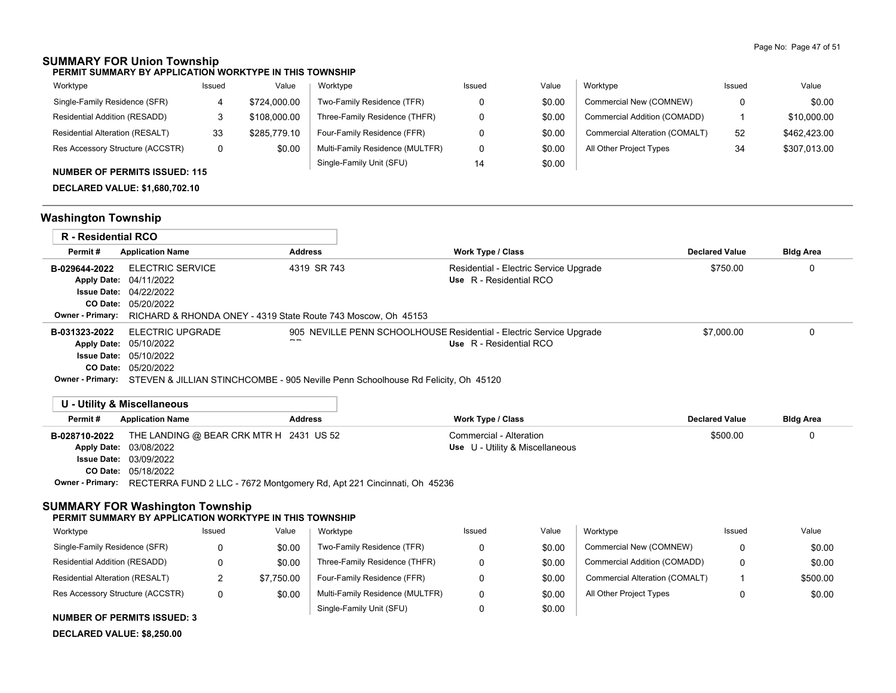## **SUMMARY FOR Union Township**

**PERMIT SUMMARY BY APPLICATION WORKTYPE IN THIS TOWNSHIP**

| Worktype                               | Issued | Value        | Worktype                        | Issued | Value  | Worktype                       | Issued | Value        |
|----------------------------------------|--------|--------------|---------------------------------|--------|--------|--------------------------------|--------|--------------|
| Single-Family Residence (SFR)          |        | \$724,000.00 | Two-Family Residence (TFR)      |        | \$0.00 | Commercial New (COMNEW)        | 0      | \$0.00       |
| Residential Addition (RESADD)          |        | \$108,000.00 | Three-Family Residence (THFR)   |        | \$0.00 | Commercial Addition (COMADD)   |        | \$10,000.00  |
| <b>Residential Alteration (RESALT)</b> | 33     | \$285,779.10 | Four-Family Residence (FFR)     |        | \$0.00 | Commercial Alteration (COMALT) | 52     | \$462,423.00 |
| Res Accessory Structure (ACCSTR)       |        | \$0.00       | Multi-Family Residence (MULTFR) |        | \$0.00 | All Other Project Types        | 34     | \$307.013.00 |
| NUBARED OF BEBRIER IOOUED, 44F         |        |              | Single-Family Unit (SFU)        | 14     | \$0.00 |                                |        |              |

### **NUMBER OF PERMITS ISSUED: 115**

**DECLARED VALUE: \$1,680,702.10**

# **Washington Township**

| R - Residential RCO |                                                                                                                                                                                                                        |                |                                                                                                |                       |                  |
|---------------------|------------------------------------------------------------------------------------------------------------------------------------------------------------------------------------------------------------------------|----------------|------------------------------------------------------------------------------------------------|-----------------------|------------------|
| Permit#             | <b>Application Name</b>                                                                                                                                                                                                | <b>Address</b> | <b>Work Type / Class</b>                                                                       | <b>Declared Value</b> | <b>Bldg Area</b> |
| B-029644-2022       | ELECTRIC SERVICE<br><b>Apply Date: 04/11/2022</b><br><b>Issue Date: 04/22/2022</b><br><b>CO Date: 05/20/2022</b><br><b>Owner - Primary:</b> RICHARD & RHONDA ONEY - 4319 State Route 743 Moscow, Oh 45153              | 4319 SR 743    | Residential - Electric Service Upgrade<br>Use R - Residential RCO                              | \$750.00              |                  |
| B-031323-2022       | ELECTRIC UPGRADE<br>Apply Date: 05/10/2022<br><b>Issue Date: 05/10/2022</b><br><b>CO Date: 05/20/2022</b><br><b>Owner - Primary:</b> STEVEN & JILLIAN STINCHCOMBE - 905 Neville Penn Schoolhouse Rd Felicity, Oh 45120 | --             | 905 NEVILLE PENN SCHOOLHOUSE Residential - Electric Service Upgrade<br>Use R - Residential RCO | \$7,000.00            |                  |

### **U - Utility & Miscellaneous**

| Permit#       | <b>Application Name</b>                                                                 | <b>Address</b> | Work Type / Class               | <b>Declared Value</b> | <b>Bldg Area</b> |
|---------------|-----------------------------------------------------------------------------------------|----------------|---------------------------------|-----------------------|------------------|
| B-028710-2022 | THE LANDING @ BEAR CRK MTR H 2431 US 52                                                 |                | Commercial - Alteration         | \$500.00              |                  |
|               | <b>Apply Date: 03/08/2022</b>                                                           |                | Use U - Utility & Miscellaneous |                       |                  |
|               | <b>Issue Date: 03/09/2022</b>                                                           |                |                                 |                       |                  |
|               | <b>CO Date: 05/18/2022</b>                                                              |                |                                 |                       |                  |
|               | Owner - Primary: RECTERRA FUND 2 LLC - 7672 Montgomery Rd, Apt 221 Cincinnati, Oh 45236 |                |                                 |                       |                  |

### **SUMMARY FOR Washington Township**

#### **PERMIT SUMMARY BY APPLICATION WORKTYPE IN THIS TOWNSHIP**

| Worktype                         | Issued | Value      | Worktype                        | Issued | Value  | Worktype                       | Issued   | Value    |
|----------------------------------|--------|------------|---------------------------------|--------|--------|--------------------------------|----------|----------|
| Single-Family Residence (SFR)    | n      | \$0.00     | Two-Family Residence (TFR)      |        | \$0.00 | Commercial New (COMNEW)        | $\Omega$ | \$0.00   |
| Residential Addition (RESADD)    |        | \$0.00     | Three-Family Residence (THFR)   |        | \$0.00 | Commercial Addition (COMADD)   | $\Omega$ | \$0.00   |
| Residential Alteration (RESALT)  |        | \$7.750.00 | Four-Family Residence (FFR)     |        | \$0.00 | Commercial Alteration (COMALT) |          | \$500.00 |
| Res Accessory Structure (ACCSTR) | 0      | \$0.00     | Multi-Family Residence (MULTFR) |        | \$0.00 | All Other Project Types        | 0        | \$0.00   |
|                                  |        |            | Single-Family Unit (SFU)        |        | \$0.00 |                                |          |          |

#### **NUMBER OF PERMITS ISSUED: 3**

**DECLARED VALUE: \$8,250.00**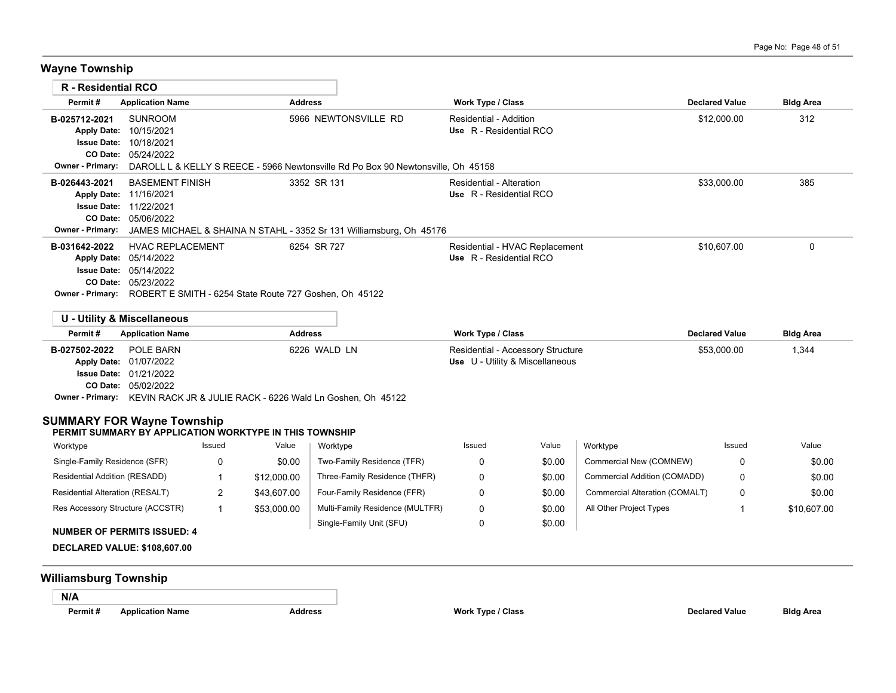**Wayne Township**

| R - Residential RCO              |                                                                                                                                                                                                                                                                                                                                                                                                                                                                                                                                                                          |                                                                                        |                                                             |                                                                                                                                                                                                                                                                                                                             |                                                                                                                                                         |                                                                                                                                                                                                    |                                                                                                        |                                                                                                            |
|----------------------------------|--------------------------------------------------------------------------------------------------------------------------------------------------------------------------------------------------------------------------------------------------------------------------------------------------------------------------------------------------------------------------------------------------------------------------------------------------------------------------------------------------------------------------------------------------------------------------|----------------------------------------------------------------------------------------|-------------------------------------------------------------|-----------------------------------------------------------------------------------------------------------------------------------------------------------------------------------------------------------------------------------------------------------------------------------------------------------------------------|---------------------------------------------------------------------------------------------------------------------------------------------------------|----------------------------------------------------------------------------------------------------------------------------------------------------------------------------------------------------|--------------------------------------------------------------------------------------------------------|------------------------------------------------------------------------------------------------------------|
|                                  |                                                                                                                                                                                                                                                                                                                                                                                                                                                                                                                                                                          |                                                                                        |                                                             |                                                                                                                                                                                                                                                                                                                             |                                                                                                                                                         |                                                                                                                                                                                                    |                                                                                                        | <b>Bldg Area</b>                                                                                           |
|                                  |                                                                                                                                                                                                                                                                                                                                                                                                                                                                                                                                                                          |                                                                                        |                                                             |                                                                                                                                                                                                                                                                                                                             |                                                                                                                                                         |                                                                                                                                                                                                    |                                                                                                        | 312                                                                                                        |
|                                  |                                                                                                                                                                                                                                                                                                                                                                                                                                                                                                                                                                          |                                                                                        |                                                             |                                                                                                                                                                                                                                                                                                                             |                                                                                                                                                         |                                                                                                                                                                                                    |                                                                                                        | 385                                                                                                        |
|                                  |                                                                                                                                                                                                                                                                                                                                                                                                                                                                                                                                                                          |                                                                                        |                                                             |                                                                                                                                                                                                                                                                                                                             |                                                                                                                                                         |                                                                                                                                                                                                    |                                                                                                        | $\mathbf 0$                                                                                                |
|                                  |                                                                                                                                                                                                                                                                                                                                                                                                                                                                                                                                                                          |                                                                                        |                                                             |                                                                                                                                                                                                                                                                                                                             |                                                                                                                                                         |                                                                                                                                                                                                    |                                                                                                        | <b>Bldg Area</b>                                                                                           |
|                                  |                                                                                                                                                                                                                                                                                                                                                                                                                                                                                                                                                                          |                                                                                        |                                                             |                                                                                                                                                                                                                                                                                                                             |                                                                                                                                                         |                                                                                                                                                                                                    |                                                                                                        | 1,344                                                                                                      |
|                                  | Issued                                                                                                                                                                                                                                                                                                                                                                                                                                                                                                                                                                   | Value                                                                                  | Worktype                                                    | Issued                                                                                                                                                                                                                                                                                                                      | Value                                                                                                                                                   | Worktype                                                                                                                                                                                           | Issued                                                                                                 | Value                                                                                                      |
|                                  | 0                                                                                                                                                                                                                                                                                                                                                                                                                                                                                                                                                                        | \$0.00                                                                                 | Two-Family Residence (TFR)                                  | 0                                                                                                                                                                                                                                                                                                                           | \$0.00                                                                                                                                                  | Commercial New (COMNEW)                                                                                                                                                                            | 0                                                                                                      | \$0.00                                                                                                     |
|                                  | $\mathbf{1}$                                                                                                                                                                                                                                                                                                                                                                                                                                                                                                                                                             | \$12,000.00                                                                            | Three-Family Residence (THFR)                               | 0                                                                                                                                                                                                                                                                                                                           | \$0.00                                                                                                                                                  | Commercial Addition (COMADD)                                                                                                                                                                       | 0                                                                                                      | \$0.00                                                                                                     |
|                                  | $\overline{2}$                                                                                                                                                                                                                                                                                                                                                                                                                                                                                                                                                           | \$43,607.00                                                                            | Four-Family Residence (FFR)                                 | 0                                                                                                                                                                                                                                                                                                                           | \$0.00                                                                                                                                                  | Commercial Alteration (COMALT)                                                                                                                                                                     | $\Omega$                                                                                               | \$0.00                                                                                                     |
| Res Accessory Structure (ACCSTR) | $\mathbf{1}$                                                                                                                                                                                                                                                                                                                                                                                                                                                                                                                                                             | \$53,000.00                                                                            | Multi-Family Residence (MULTFR)<br>Single-Family Unit (SFU) | 0<br>0                                                                                                                                                                                                                                                                                                                      | \$0.00<br>\$0.00                                                                                                                                        | All Other Project Types                                                                                                                                                                            | $\mathbf{1}$                                                                                           | \$10,607.00                                                                                                |
|                                  | <b>Application Name</b><br><b>SUNROOM</b><br>Apply Date: 10/15/2021<br><b>Issue Date: 10/18/2021</b><br>CO Date: 05/24/2022<br>Apply Date: 11/16/2021<br><b>Issue Date: 11/22/2021</b><br>CO Date: 05/06/2022<br>Apply Date: 05/14/2022<br><b>Issue Date: 05/14/2022</b><br>CO Date: 05/23/2022<br><b>U - Utility &amp; Miscellaneous</b><br><b>Application Name</b><br>POLE BARN<br>Apply Date: 01/07/2022<br><b>Issue Date: 01/21/2022</b><br>CO Date: 05/02/2022<br>Single-Family Residence (SFR)<br>Residential Addition (RESADD)<br>Residential Alteration (RESALT) | <b>BASEMENT FINISH</b><br><b>HVAC REPLACEMENT</b><br><b>SUMMARY FOR Wayne Township</b> |                                                             | <b>Address</b><br>5966 NEWTONSVILLE RD<br>3352 SR 131<br>6254 SR 727<br>Owner - Primary: ROBERT E SMITH - 6254 State Route 727 Goshen, Oh 45122<br><b>Address</b><br>6226 WALD LN<br>Owner - Primary: KEVIN RACK JR & JULIE RACK - 6226 Wald Ln Goshen, Oh 45122<br>PERMIT SUMMARY BY APPLICATION WORKTYPE IN THIS TOWNSHIP | DAROLL L & KELLY S REECE - 5966 Newtonsville Rd Po Box 90 Newtonsville, Oh 45158<br>JAMES MICHAEL & SHAINA N STAHL - 3352 Sr 131 Williamsburg, Oh 45176 | <b>Work Type / Class</b><br>Residential - Addition<br>Use R - Residential RCO<br><b>Residential - Alteration</b><br>Use R - Residential RCO<br>Use R - Residential RCO<br><b>Work Type / Class</b> | Residential - HVAC Replacement<br>Residential - Accessory Structure<br>Use U - Utility & Miscellaneous | <b>Declared Value</b><br>\$12,000.00<br>\$33,000.00<br>\$10,607.00<br><b>Declared Value</b><br>\$53,000.00 |

**N/A**

**Permit # Application Name Address Work Type / Class Declared Value Bldg Area**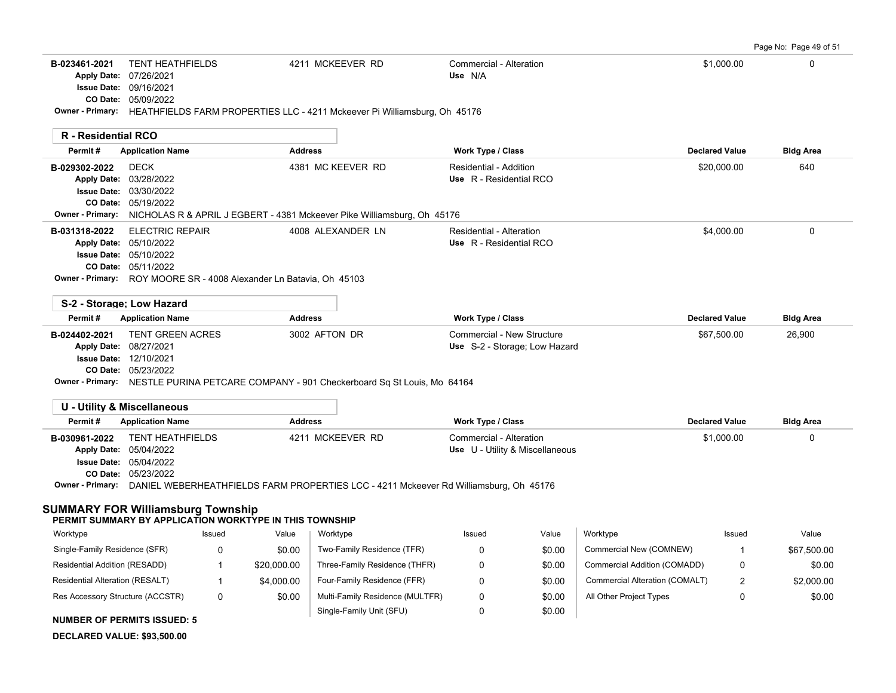Page No: Page 49 of 51

|                                                                                      |                                                                                                                                                                                                                     |                   |                            |                                                             |       |                         |                         | i uyu ivu. Tuyu Tu Ui Ui |
|--------------------------------------------------------------------------------------|---------------------------------------------------------------------------------------------------------------------------------------------------------------------------------------------------------------------|-------------------|----------------------------|-------------------------------------------------------------|-------|-------------------------|-------------------------|--------------------------|
| B-023461-2021                                                                        | <b>TENT HEATHFIELDS</b><br>Apply Date: 07/26/2021<br><b>Issue Date: 09/16/2021</b><br>CO Date: 05/09/2022<br>Owner - Primary: HEATHFIELDS FARM PROPERTIES LLC - 4211 Mckeever Pi Williamsburg, Oh 45176             | 4211 MCKEEVER RD  |                            | Commercial - Alteration<br>Use N/A                          |       |                         | \$1,000.00              | 0                        |
| R - Residential RCO                                                                  |                                                                                                                                                                                                                     |                   |                            |                                                             |       |                         |                         |                          |
| Permit#                                                                              | <b>Application Name</b>                                                                                                                                                                                             | <b>Address</b>    |                            | Work Type / Class                                           |       |                         | <b>Declared Value</b>   | <b>Bldg Area</b>         |
| B-029302-2022<br><b>Apply Date:</b><br><b>Issue Date:</b><br><b>Owner - Primary:</b> | <b>DECK</b><br>03/28/2022<br>03/30/2022<br>CO Date: 05/19/2022<br>NICHOLAS R & APRIL J EGBERT - 4381 Mckeever Pike Williamsburg, Oh 45176                                                                           | 4381 MC KEEVER RD |                            | Residential - Addition<br>Use R - Residential RCO           |       |                         | \$20,000.00             | 640                      |
| B-031318-2022<br><b>Owner - Primary:</b>                                             | <b>ELECTRIC REPAIR</b><br>Apply Date: 05/10/2022<br><b>Issue Date: 05/10/2022</b><br>CO Date: 05/11/2022<br>ROY MOORE SR - 4008 Alexander Ln Batavia, Oh 45103                                                      | 4008 ALEXANDER LN |                            | Residential - Alteration<br>Use R - Residential RCO         |       |                         | \$4,000.00              | 0                        |
|                                                                                      | S-2 - Storage; Low Hazard                                                                                                                                                                                           |                   |                            |                                                             |       |                         |                         |                          |
| Permit#                                                                              | <b>Application Name</b>                                                                                                                                                                                             | <b>Address</b>    |                            | Work Type / Class                                           |       |                         | <b>Declared Value</b>   | <b>Bldg Area</b>         |
| B-024402-2021<br><b>Issue Date:</b>                                                  | <b>TENT GREEN ACRES</b><br>Apply Date: 08/27/2021<br>12/10/2021<br>CO Date: 05/23/2022<br>Owner - Primary: NESTLE PURINA PETCARE COMPANY - 901 Checkerboard Sq St Louis, Mo 64164                                   | 3002 AFTON DR     |                            | Commercial - New Structure<br>Use S-2 - Storage; Low Hazard |       |                         | \$67,500.00             | 26,900                   |
|                                                                                      | <b>U - Utility &amp; Miscellaneous</b>                                                                                                                                                                              |                   |                            |                                                             |       |                         |                         |                          |
| Permit#                                                                              | <b>Application Name</b>                                                                                                                                                                                             | <b>Address</b>    |                            | <b>Work Type / Class</b>                                    |       |                         | <b>Declared Value</b>   | <b>Bldg Area</b>         |
| B-030961-2022                                                                        | <b>TENT HEATHFIELDS</b><br>Apply Date: 05/04/2022<br><b>Issue Date: 05/04/2022</b><br>CO Date: 05/23/2022<br>Owner - Primary: DANIEL WEBERHEATHFIELDS FARM PROPERTIES LCC - 4211 Mckeever Rd Williamsburg, Oh 45176 | 4211 MCKEEVER RD  |                            | Commercial - Alteration<br>Use U - Utility & Miscellaneous  |       |                         | \$1,000.00              | 0                        |
|                                                                                      | <b>SUMMARY FOR Williamsburg Township</b><br>PERMIT SUMMARY BY APPLICATION WORKTYPE IN THIS TOWNSHIP                                                                                                                 |                   |                            |                                                             |       |                         |                         |                          |
| Worktype                                                                             | Issued                                                                                                                                                                                                              | Value<br>Worktype |                            | Issued                                                      | Value | Worktype                | Issued                  | Value                    |
| Single-Family Residence (SER)                                                        | $\sqrt{ }$                                                                                                                                                                                                          | <b>ደሰ ሰሰ</b>      | Two-Family Residence (TER) | $\cap$                                                      | ደስ ሰሰ | Commercial New (COMNEW) | $\overline{\mathbf{1}}$ | <b>CG7 500.00</b>        |

| NUMBER OF PERMITS ISSUED: 5      |             |                                 |        |                                |             |
|----------------------------------|-------------|---------------------------------|--------|--------------------------------|-------------|
|                                  |             | Single-Family Unit (SFU)        | \$0.00 |                                |             |
| Res Accessory Structure (ACCSTR) | \$0.00      | Multi-Family Residence (MULTFR) | \$0.00 | All Other Project Types        | \$0.00      |
| Residential Alteration (RESALT)  | \$4,000.00  | Four-Family Residence (FFR)     | \$0.00 | Commercial Alteration (COMALT) | \$2,000.00  |
| Residential Addition (RESADD)    | \$20,000.00 | Three-Family Residence (THFR)   | \$0.00 | Commercial Addition (COMADD)   | \$0.00      |
| Single-Family Residence (SFR)    | \$0.00      | Two-Family Residence (TFR)      | \$0.00 | Commercial New (COMNEW)        | \$67,500.00 |
|                                  |             |                                 |        |                                |             |

**NUMBER OF PERMITS ISSUED: 5**

**DECLARED VALUE: \$93,500.00**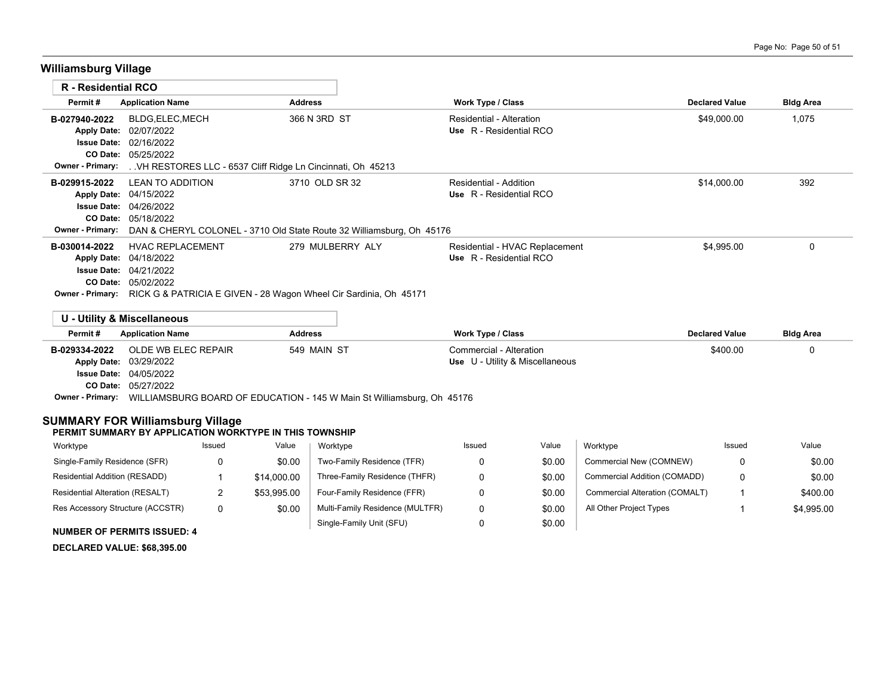# **Williamsburg Village**

| <b>R</b> - Residential RCO |                                                                   |                                                                       |                                |                       |                  |
|----------------------------|-------------------------------------------------------------------|-----------------------------------------------------------------------|--------------------------------|-----------------------|------------------|
| Permit#                    | <b>Application Name</b>                                           | <b>Address</b>                                                        | <b>Work Type / Class</b>       | <b>Declared Value</b> | <b>Bldg Area</b> |
| B-027940-2022              | BLDG, ELEC, MECH                                                  | 366 N 3RD ST                                                          | Residential - Alteration       | \$49,000.00           | 1,075            |
| <b>Apply Date:</b>         | 02/07/2022                                                        |                                                                       | Use R - Residential RCO        |                       |                  |
|                            | <b>Issue Date: 02/16/2022</b>                                     |                                                                       |                                |                       |                  |
| CO Date:                   | 05/25/2022                                                        |                                                                       |                                |                       |                  |
| Owner - Primary:           | VH RESTORES LLC - 6537 Cliff Ridge Ln Cincinnati, Oh 45213        |                                                                       |                                |                       |                  |
| B-029915-2022              | <b>LEAN TO ADDITION</b>                                           | 3710 OLD SR 32                                                        | Residential - Addition         | \$14,000.00           | 392              |
|                            | Apply Date: 04/15/2022                                            |                                                                       | Use R - Residential RCO        |                       |                  |
| <b>Issue Date:</b>         | 04/26/2022                                                        |                                                                       |                                |                       |                  |
| CO Date:                   | 05/18/2022                                                        |                                                                       |                                |                       |                  |
| <b>Owner - Primary:</b>    |                                                                   | DAN & CHERYL COLONEL - 3710 Old State Route 32 Williamsburg, Oh 45176 |                                |                       |                  |
| B-030014-2022              | <b>HVAC REPLACEMENT</b>                                           | 279 MULBERRY ALY                                                      | Residential - HVAC Replacement | \$4,995.00            | 0                |
| <b>Apply Date:</b>         | 04/18/2022                                                        |                                                                       | Use R - Residential RCO        |                       |                  |
| <b>Issue Date:</b>         | 04/21/2022                                                        |                                                                       |                                |                       |                  |
| CO Date:                   | 05/02/2022                                                        |                                                                       |                                |                       |                  |
| <b>Owner - Primary:</b>    | RICK G & PATRICIA E GIVEN - 28 Wagon Wheel Cir Sardinia, Oh 45171 |                                                                       |                                |                       |                  |
|                            | U - Utility & Miscellaneous                                       |                                                                       |                                |                       |                  |
|                            |                                                                   |                                                                       |                                |                       |                  |

| Permit#<br><b>Address</b><br><b>Application Name</b> |                                                                        |             | Work Type / Class               | <b>Declared Value</b> | <b>Bldg Area</b> |  |  |  |
|------------------------------------------------------|------------------------------------------------------------------------|-------------|---------------------------------|-----------------------|------------------|--|--|--|
| B-029334-2022                                        | OLDE WB ELEC REPAIR                                                    | 549 MAIN ST | Commercial - Alteration         | \$400.00              |                  |  |  |  |
|                                                      | Apply Date: 03/29/2022                                                 |             | Use U - Utility & Miscellaneous |                       |                  |  |  |  |
|                                                      | <b>Issue Date: 04/05/2022</b>                                          |             |                                 |                       |                  |  |  |  |
|                                                      | <b>CO Date: 05/27/2022</b>                                             |             |                                 |                       |                  |  |  |  |
| <b>Owner - Primary:</b>                              | WILLIAMSBURG BOARD OF EDUCATION - 145 W Main St Williamsburg, Oh 45176 |             |                                 |                       |                  |  |  |  |

### **SUMMARY FOR Williamsburg Village**

#### **PERMIT SUMMARY BY APPLICATION WORKTYPE IN THIS TOWNSHIP**

| Worktype                                                                                                                                                                                                                                                                                                                                                                                                                                                   | Issued | Value       | Worktype                        | Issued | Value  | Worktype                       | Issued | Value      |
|------------------------------------------------------------------------------------------------------------------------------------------------------------------------------------------------------------------------------------------------------------------------------------------------------------------------------------------------------------------------------------------------------------------------------------------------------------|--------|-------------|---------------------------------|--------|--------|--------------------------------|--------|------------|
| Single-Family Residence (SFR)                                                                                                                                                                                                                                                                                                                                                                                                                              |        | \$0.00      | Two-Family Residence (TFR)      |        | \$0.00 | Commercial New (COMNEW)        |        | \$0.00     |
| Residential Addition (RESADD)                                                                                                                                                                                                                                                                                                                                                                                                                              |        | \$14,000.00 | Three-Family Residence (THFR)   |        | \$0.00 | Commercial Addition (COMADD)   | 0      | \$0.00     |
| Residential Alteration (RESALT)                                                                                                                                                                                                                                                                                                                                                                                                                            |        | \$53.995.00 | Four-Family Residence (FFR)     |        | \$0.00 | Commercial Alteration (COMALT) |        | \$400.00   |
| Res Accessory Structure (ACCSTR)                                                                                                                                                                                                                                                                                                                                                                                                                           | 0      | \$0.00      | Multi-Family Residence (MULTFR) |        | \$0.00 | All Other Project Types        |        | \$4,995.00 |
| $\mathbf{1} \cup \mathbf{1} \cup \mathbf{2} \cup \mathbf{3} \cup \mathbf{4} \cup \mathbf{5} \cup \mathbf{6} \cup \mathbf{5} \cup \mathbf{6} \cup \mathbf{7} \cup \mathbf{8} \cup \mathbf{8} \cup \mathbf{9} \cup \mathbf{1} \cup \mathbf{1} \cup \mathbf{1} \cup \mathbf{1} \cup \mathbf{1} \cup \mathbf{1} \cup \mathbf{1} \cup \mathbf{1} \cup \mathbf{1} \cup \mathbf{1} \cup \mathbf{1} \cup \mathbf{1} \cup \mathbf{1} \cup \mathbf{1} \cup \mathbf{$ |        |             | Single-Family Unit (SFU)        |        | \$0.00 |                                |        |            |

### **NUMBER OF PERMITS ISSUED: 4**

#### **DECLARED VALUE: \$68,395.00**